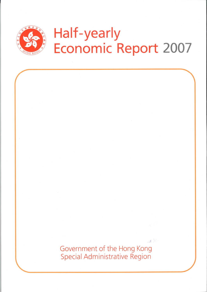

Government of the Hong Kong **Special Administrative Region** 

 $\mathcal{A} \subset \mathbb{R}$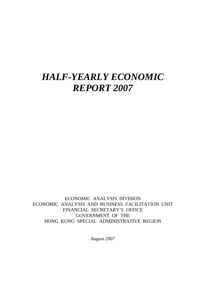# *HALF-YEARLY ECONOMIC REPORT 2007*

ECONOMIC ANALYSIS DIVISION ECONOMIC ANALYSIS AND BUSINESS FACILITATION UNIT FINANCIAL SECRETARY'S OFFICE GOVERNMENT OF THE HONG KONG SPECIAL ADMINISTRATIVE REGION

*August 2007*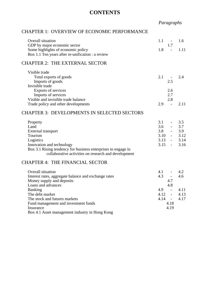# **CONTENTS**

*Paragraphs*

## CHAPTER 1: OVERVIEW OF ECONOMIC PERFORMANCE

| Overall situation                                             | 1.1<br>$\sim$ $-$               | 1.6  |
|---------------------------------------------------------------|---------------------------------|------|
| GDP by major economic sector                                  | 1.7                             |      |
| Some highlights of economic policy                            | 1.8<br>$\sim$                   | 1.11 |
| Box 1.1 Ten years after re-unification : a review             |                                 |      |
| <b>CHAPTER 2: THE EXTERNAL SECTOR</b>                         |                                 |      |
| Visible trade                                                 |                                 |      |
| Total exports of goods                                        | 2.1                             | 2.4  |
| Imports of goods                                              | 2.5                             |      |
| Invisible trade                                               |                                 |      |
| Exports of services                                           | 2.6                             |      |
| Imports of services                                           | 2.7                             |      |
| Visible and invisible trade balance                           | 2.8                             |      |
| Trade policy and other developments                           | 2.9<br>$\overline{a}$           | 2.11 |
|                                                               |                                 |      |
| <b>CHAPTER 3: DEVELOPMENTS IN SELECTED SECTORS</b>            |                                 |      |
| Property                                                      | 3.1<br>$\overline{\phantom{a}}$ | 3.5  |
| Land                                                          | 3.6                             | 3.7  |
| External transport                                            | 3.8                             | 3.9  |
| Tourism                                                       | 3.10                            | 3.12 |
| Logistics                                                     | 3.13                            | 3.14 |
| Innovation and technology                                     | 3.15<br>$\omega_{\rm{max}}$     | 3.16 |
| Box 3.1 Rising tendency for business enterprises to engage in |                                 |      |
| collaborative activities on research and development          |                                 |      |
| <b>CHAPTER 4: THE FINANCIAL SECTOR</b>                        |                                 |      |
|                                                               |                                 |      |
| Overall situation                                             | 4.1                             | 4.2  |
| Interest rates, aggregate balance and exchange rates          | 4.3<br>$\mathbb{Z}^2$           | 4.6  |
| Money supply and deposits                                     | 4.7                             |      |
| Loans and advances                                            | 4.8<br>4.9                      | 4.11 |
| <b>Banking</b><br>The debt market                             | $\sim$<br>4.12                  | 4.13 |
|                                                               | $\sim$<br>4.14                  | 4.17 |
| The stock and futures markets                                 | $\sim$<br>4.18                  |      |
| Fund management and investment funds<br>Insurance             | 4.19                            |      |
| Box 4.1 Asset management industry in Hong Kong                |                                 |      |
|                                                               |                                 |      |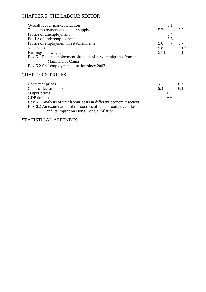# CHAPTER 5: THE LABOUR SECTOR

| Overall labour market situation                                |     | 5.1                      |               |
|----------------------------------------------------------------|-----|--------------------------|---------------|
| Total employment and labour supply                             | 5.2 | $\overline{\phantom{a}}$ | 5.3           |
| Profile of unemployment                                        |     | 5.4                      |               |
| Profile of underemployment                                     |     | 5.5                      |               |
| Profile of employment in establishments                        | 5.6 | $\overline{\phantom{a}}$ | 5.7           |
| Vacancies                                                      | 5.8 | $\sim 100$               | 5.10          |
| Earnings and wages                                             |     |                          | $5.11 - 5.15$ |
| Box 5.1 Recent employment situation of new immigrants from the |     |                          |               |
| Mainland of China                                              |     |                          |               |
| Box 5.2 Self-employment situation since 2003                   |     |                          |               |
|                                                                |     |                          |               |

# CHAPTER 6: PRICES

| Consumer prices                                                     | 6.1 | $\overline{\phantom{a}}$ | 62  |
|---------------------------------------------------------------------|-----|--------------------------|-----|
| Costs of factor inputs                                              | 6.3 | $\overline{a}$           | 6.4 |
| Output prices                                                       |     | 6.5                      |     |
| GDP deflator                                                        |     | 6.6                      |     |
| Box 6.1 Analysis of unit labour costs in different economic sectors |     |                          |     |
| Box 6.2 An examination of the sources of recent food price hikes    |     |                          |     |
| and its impact on Hong Kong's inflation                             |     |                          |     |

STATISTICAL APPENDIX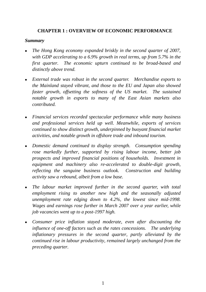# **CHAPTER 1 : OVERVIEW OF ECONOMIC PERFORMANCE**

#### *Summary*

- <sup>z</sup>*The Hong Kong economy expanded briskly in the second quarter of 2007, with GDP accelerating to a 6.9% growth in real terms, up from 5.7% in the first quarter. The economic upturn continued to be broad-based and distinctly above trend.*
- <sup>z</sup>*External trade was robust in the second quarter. Merchandise exports to the Mainland stayed vibrant, and those to the EU and Japan also showed faster growth, offsetting the softness of the US market. The sustained notable growth in exports to many of the East Asian markets also contributed.*
- <sup>z</sup>*Financial services recorded spectacular performance while many business and professional services held up well. Meanwhile, exports of services continued to show distinct growth, underpinned by buoyant financial market activities, and notable growth in offshore trade and inbound tourism.*
- <sup>z</sup>*Domestic demand continued to display strength. Consumption spending rose markedly further, supported by rising labour income, better job prospects and improved financial positions of households. Investment in equipment and machinery also re-accelerated to double-digit growth, reflecting the sanguine business outlook. Construction and building activity saw a rebound, albeit from a low base.*
- The labour market improved further in the second quarter, with total *employment rising to another new high and the seasonally adjusted unemployment rate edging down to 4.2%, the lowest since mid-1998. Wages and earnings rose further in March 2007 over a year earlier, while job vacancies went up to a post-1997 high.*
- <sup>z</sup>*Consumer price inflation stayed moderate, even after discounting the influence of one-off factors such as the rates concessions. The underlying inflationary pressures in the second quarter, partly alleviated by the continued rise in labour productivity, remained largely unchanged from the preceding quarter.*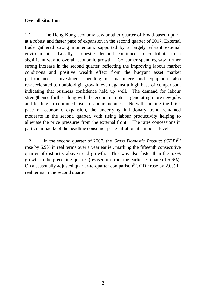# **Overall situation**

1.1 The Hong Kong economy saw another quarter of broad-based upturn at a robust and faster pace of expansion in the second quarter of 2007. External trade gathered strong momentum, supported by a largely vibrant external environment. Locally, domestic demand continued to contribute in a significant way to overall economic growth. Consumer spending saw further strong increase in the second quarter, reflecting the improving labour market conditions and positive wealth effect from the buoyant asset market performance. Investment spending on machinery and equipment also re-accelerated to double-digit growth, even against a high base of comparison, indicating that business confidence held up well. The demand for labour strengthened further along with the economic upturn, generating more new jobs and leading to continued rise in labour incomes. Notwithstanding the brisk pace of economic expansion, the underlying inflationary trend remained moderate in the second quarter, with rising labour productivity helping to alleviate the price pressures from the external front. The rates concessions in particular had kept the headline consumer price inflation at a modest level.

1.2 In the second quarter of 2007, the *Gross Domestic Product (GDP)*(1) rose by 6.9% in real terms over a year earlier, marking the fifteenth consecutive quarter of distinctly above-trend growth. This was also faster than the 5.7% growth in the preceding quarter (revised up from the earlier estimate of 5.6%). On a seasonally adjusted quarter-to-quarter comparison<sup>(2)</sup>, GDP rose by 2.0% in real terms in the second quarter.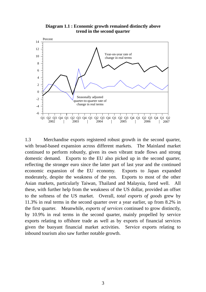#### **Diagram 1.1 : Economic growth remained distinctly above trend in the second quarter**



1.3 Merchandise exports registered robust growth in the second quarter, with broad-based expansion across different markets. The Mainland market continued to perform robustly, given its own vibrant trade flows and strong domestic demand. Exports to the EU also picked up in the second quarter, reflecting the stronger euro since the latter part of last year and the continued economic expansion of the EU economy. Exports to Japan expanded moderately, despite the weakness of the yen. Exports to most of the other Asian markets, particularly Taiwan, Thailand and Malaysia, fared well. All these, with further help from the weakness of the US dollar, provided an offset to the softness of the US market. Overall, *total exports of goods* grew by 11.3% in real terms in the second quarter over a year earlier, up from 8.2% in the first quarter. Meanwhile, *exports of services* continued to grow distinctly, by 10.9% in real terms in the second quarter, mainly propelled by service exports relating to offshore trade as well as by exports of financial services given the buoyant financial market activities. Service exports relating to inbound tourism also saw further notable growth.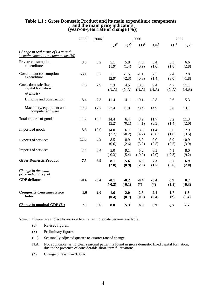# **Table 1.1 : Gross Domestic Product and its main expenditure components and the main price indicators (year-on-year rate of change (%))**

|                                                                               | $2005^{\text{*}}$ | $2006$ <sup>#</sup> | 2006               |                    |                 | 2007                      |                 |                 |
|-------------------------------------------------------------------------------|-------------------|---------------------|--------------------|--------------------|-----------------|---------------------------|-----------------|-----------------|
|                                                                               |                   |                     | $\Omega_1^*$       | $Q2^*$             | $\Omega^*$      | $\mathbf{Q4}^{\text{\#}}$ | $\Omega^*$      | $Q2^+$          |
| Change in real terms of GDP and<br><i>its main expenditure components (%)</i> |                   |                     |                    |                    |                 |                           |                 |                 |
| Private consumption<br>expenditure                                            | 3.3               | 5.2                 | 5.1<br>(1.9)       | 5.8<br>(1.4)       | 4.6<br>(0.9)    | 5.4<br>(1.0)              | 5.3<br>(1.8)    | 6.6<br>(2.8)    |
| Government consumption<br>expenditure                                         | $-3.1$            | 0.2                 | 1.1<br>(2.9)       | $-1.5$<br>$(-2.3)$ | $-1.1$<br>(0.3) | 2.3<br>(1.4)              | 2.4<br>(3.0)    | 2.8<br>$(-1.8)$ |
| Gross domestic fixed<br>capital formation                                     | 4.6               | 7.9                 | 7.3<br>(N.A)       | 4.5<br>(N.A)       | 10.3<br>(N.A)   | 9.4<br>(N.A)              | 4.7<br>(N.A)    | 11.1<br>(N.A)   |
| of which:                                                                     |                   |                     |                    |                    |                 |                           |                 |                 |
| Building and construction                                                     | $-8.4$            | $-7.3$              | $-11.4$            | $-4.1$             | $-10.1$         | $-2.8$                    | $-2.6$          | 5.3             |
| Machinery, equipment and<br>computer software                                 | 12.9              | 17.2                | 22.4               | 11.9               | 20.4            | 14.9                      | 6.8             | 13.1            |
| Total exports of goods                                                        | 11.2              | 10.2                | 14.4<br>(3.2)      | 6.4<br>(0.1)       | 8.9<br>(4.1)    | 11.7<br>(3.3)             | 8.2<br>(1.4)    | 11.3<br>(2.0)   |
| Imports of goods                                                              | 8.6               | 10.0                | 14.0<br>(2.7)      | 6.7<br>$(-0.2)$    | 8.5<br>(4.2)    | 11.4<br>(3.8)             | 8.6<br>(1.0)    | 12.9<br>(3.5)   |
| Exports of services                                                           | 11.3              | 8.9                 | 8.5<br>(0.6)       | 8.9<br>(2.6)       | 8.9<br>(3.2)    | 9.0<br>(2.5)              | 8.9<br>(0.5)    | 10.9<br>(3.9)   |
| Imports of services                                                           | 7.4               | 6.4                 | 5.0<br>$(-0.3)$    | 9.1<br>(5.4)       | 5.2<br>$(-0.9)$ | 6.5<br>(2.0)              | 4.1<br>$(-2.3)$ | 8.0<br>(9.2)    |
| <b>Gross Domestic Product</b>                                                 | 7.5               | 6.9                 | 8.1<br>(2.0)       | 5.6<br>(0.9)       | 6.8<br>(2.6)    | 7.3<br>(1.5)              | 5.7<br>(0.6)    | 6.9<br>(2.0)    |
| Change in the main<br>price indicators $(\%)$                                 |                   |                     |                    |                    |                 |                           |                 |                 |
| <b>GDP</b> deflator                                                           | $-0.4$            | $-0.4$              | $-0.1$<br>$(-0.2)$ | $-0.2$<br>$(-0.1)$ | $-0.4$<br>$(*)$ | $-0.4$<br>$(*)$           | 0.9<br>(1.1)    | 0.7<br>$(-0.3)$ |
| <b>Composite Consumer Price</b><br><b>Index</b>                               | 1.0               | 2.0                 | 1.6<br>(0.4)       | 2.0<br>(0.7)       | 2.3<br>(0.6)    | 2.1<br>(0.4)              | 1.7<br>$(*)$    | 1.3<br>(0.4)    |
| <i>Change in nominal GDP</i> $(\%)$                                           | 7.1               | 6.6                 | 8.0                | 5.3                | 6.3             | 6.9                       | 6.7             | 7.7             |

Notes : Figures are subject to revision later on as more data become available.

- (#) Revised figures.
- (+) Preliminary figures.
- ( ) Seasonally adjusted quarter-to-quarter rate of change.
- N.A. Not applicable, as no clear seasonal pattern is found in gross domestic fixed capital formation, due to the presence of considerable short-term fluctuations.
- (\*) Change of less than 0.05%.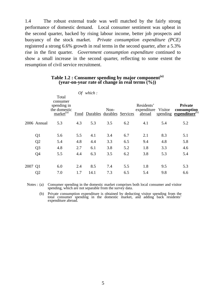1.4 The robust external trade was well matched by the fairly strong performance of domestic demand. Local consumer sentiment was upbeat in the second quarter, backed by rising labour income, better job prospects and buoyancy of the stock market. *Private consumption expenditure (PCE)* registered a strong 6.6% growth in real terms in the second quarter, after a 5.3% rise in the first quarter. *Government consumption expenditure* continued to show a small increase in the second quarter, reflecting to some extent the resumption of civil service recruitment.

|         |                |                                                                              |     | Of which:              |      |          |                                     |         |                                                               |
|---------|----------------|------------------------------------------------------------------------------|-----|------------------------|------|----------|-------------------------------------|---------|---------------------------------------------------------------|
|         |                | Total<br>consumer<br>spending in<br>the domestic<br>$mark$ et <sup>(a)</sup> |     | Food Durables durables | Non- | Services | Residents'<br>expenditure<br>abroad | Visitor | Private<br>consumption<br>spending expenditure <sup>(b)</sup> |
|         | 2006 Annual    | 5.3                                                                          | 4.3 | 5.3                    | 3.5  | 6.2      | 4.1                                 | 5.4     | 5.2                                                           |
|         | Q <sub>1</sub> | 5.6                                                                          | 5.5 | 4.1                    | 3.4  | 6.7      | 2.1                                 | 8.3     | 5.1                                                           |
|         | Q2             | 5.4                                                                          | 4.8 | 4.4                    | 3.3  | 6.5      | 9.4                                 | 4.8     | 5.8                                                           |
|         | Q <sub>3</sub> | 4.8                                                                          | 2.7 | 6.1                    | 3.8  | 5.2      | 1.8                                 | 3.3     | 4.6                                                           |
|         | Q <sub>4</sub> | 5.5                                                                          | 4.4 | 6.3                    | 3.5  | 6.2      | 3.8                                 | 5.3     | 5.4                                                           |
| 2007 Q1 |                | 6.0                                                                          | 2.4 | 8.5                    | 7.4  | 5.5      | 1.8                                 | 9.5     | 5.3                                                           |
|         | Q <sub>2</sub> | 7.0                                                                          | 1.7 | 14.1                   | 7.3  | 6.5      | 5.4                                 | 9.8     | 6.6                                                           |

## **Table 1.2 : Consumer spending by major component(a) (year-on-year rate of change in real terms (%))**

Notes : (a) Consumer spending in the domestic market comprises both local consumer and visitor spending, which are not separable from the survey data.

 (b) Private consumption expenditure is obtained by deducting visitor spending from the total consumer spending in the domestic market, and adding back residents' expenditure abroad.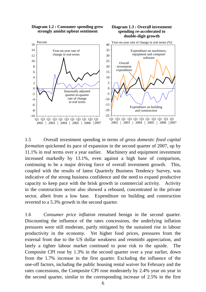

1.5 Overall investment spending in terms of *gross domestic fixed capital formation* quickened its pace of expansion in the second quarter of 2007, up by 11.1% in real terms over a year earlier. Machinery and equipment investment increased markedly by 13.1%, even against a high base of comparison, continuing to be a major driving force of overall investment growth. This, coupled with the results of latest Quarterly Business Tendency Survey, was indicative of the strong business confidence and the need to expand productive capacity to keep pace with the brisk growth in commercial activity. Activity in the construction sector also showed a rebound, concentrated in the private sector, albeit from a low base. Expenditure on building and construction reverted to a 5.3% growth in the second quarter.

1.6 *Consumer price inflation* remained benign in the second quarter. Discounting the influence of the rates concessions, the underlying inflation pressures were still moderate, partly mitigated by the sustained rise in labour productivity in the economy. Yet higher food prices, pressures from the external front due to the US dollar weakness and renminbi appreciation, and lately a tighter labour market continued to pose risk to the upside. The Composite CPI rose by 1.3% in the second quarter over a year earlier, down from the 1.7% increase in the first quarter. Excluding the influence of the one-off factors, including the public housing rental waiver for February and the rates concessions, the Composite CPI rose moderately by 2.4% year on year in the second quarter, similar to the corresponding increase of 2.5% in the first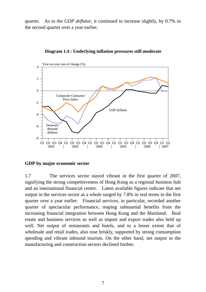quarter. As to the *GDP deflator*, it continued to increase slightly, by 0.7% in the second quarter over a year earlier.



**Diagram 1.4 : Underlying inflation pressures still moderate**

#### **GDP by major economic sector**

1.7 The services sector stayed vibrant in the first quarter of 2007, signifying the strong competitiveness of Hong Kong as a regional business hub and an international financial centre. Latest available figures indicate that net output in the services sector as a whole surged by 7.8% in real terms in the first quarter over a year earlier. Financial services, in particular, recorded another quarter of spectacular performance, reaping substantial benefits from the increasing financial integration between Hong Kong and the Mainland. Real estate and business services as well as import and export trades also held up well. Net output of restaurants and hotels, and to a lesser extent that of wholesale and retail trades, also rose briskly, supported by strong consumption spending and vibrant inbound tourism. On the other hand, net output in the manufacturing and construction sectors declined further.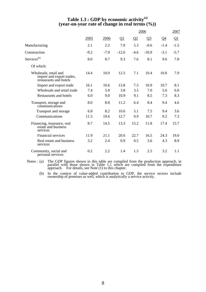### **Table 1.3 : GDP by economic activity(a) (year-on-year rate of change in real terms (%))**

|                                                                              |        |        |                       |          | 2006                  |        | 2007     |
|------------------------------------------------------------------------------|--------|--------|-----------------------|----------|-----------------------|--------|----------|
|                                                                              | 2005   | 2006   | $\Omega$ <sup>1</sup> | $\Omega$ | $\Omega$ <sup>3</sup> | $Q_4$  | $\Omega$ |
| Manufacturing                                                                | 2.1    | 2.2    | 7.0                   | 5.3      | $-0.6$                | $-1.4$ | $-1.5$   |
| Construction                                                                 | $-9.2$ | $-7.9$ | $-12.6$               | $-4.6$   | $-10.9$               | $-3.1$ | $-5.7$   |
| Services <sup>(b)</sup>                                                      | 8.0    | 8.7    | 9.3                   | 7.6      | 8.1                   | 9.6    | 7.8      |
| Of which:                                                                    |        |        |                       |          |                       |        |          |
| Wholesale, retail and<br>import and export trades,<br>restaurants and hotels | 14.4   | 10.0   | 12.5                  | 7.1      | 10.4                  | 10.0   | 7.9      |
| Import and export trade                                                      | 16.1   | 10.6   | 13.8                  | 7.3      | 10.9                  | 10.7   | 8.1      |
| Wholesale and retail trade                                                   | 7.4    | 5.0    | 3.8                   | 3.5      | 7.0                   | 5.6    | 6.0      |
| <b>Restaurants and hotels</b>                                                | 6.0    | 9.0    | 10.9                  | 9.1      | 8.5                   | 7.3    | 8.3      |
| Transport, storage and<br>communications                                     | 8.0    | 8.8    | 11.2                  | 6.4      | 8.4                   | 9.4    | 4.6      |
| Transport and storage                                                        | 6.8    | 8.2    | 10.6                  | 5.1      | 7.5                   | 9.4    | 3.6      |
| Communications                                                               | 11.5   | 10.6   | 12.7                  | 9.9      | 10.7                  | 9.2    | 7.3      |
| Financing, insurance, real<br>estate and business<br>services                | 8.7    | 14.5   | 13.3                  | 15.2     | 11.8                  | 17.4   | 15.7     |
| <b>Financial services</b>                                                    | 11.9   | 21.1   | 20.6                  | 22.7     | 16.5                  | 24.3   | 19.0     |
| Real estate and business<br>services                                         | 3.2    | 2.4    | 0.9                   | 0.5      | 3.6                   | 4.3    | 8.9      |
| Community, social and<br>personal services                                   | 0.2    | 2.2    | 1.4                   | 1.5      | 2.5                   | 3.2    | 1.1      |

Notes: (a) The GDP figures shown in this table are compiled from the production approach, in parallel with those shown in Table 1.1 which are compiled from the expenditure approach. For details, see Note (1) to this chapte

 (b) In the context of value-added contribution to GDP, the service sectors include ownership of premises as well, which is analytically a service activity.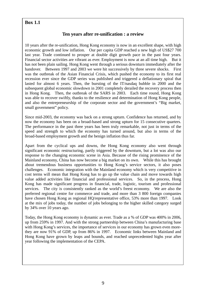# **Box 1.1**

# **Ten years after re-unification : a review**

10 years after the re-unification, Hong Kong economy is now in an excellent shape, with high economic growth and low inflation. Our per capita GDP reached a new high of US\$27 700 last year. Trade continued to prosper at double digit growth pace in the past four years. Financial sector activities are vibrant as ever. Employment is now at an all time high. But it has not been plain sailing. Hong Kong went through a serious downturn immediately after the handover. Between 1997 and 2003 we were hit successively by three severe shocks. First was the outbreak of the Asian Financial Crisis, which pushed the economy to its first real recession ever since the GDP series was published and triggered a deflationary spiral that lasted for almost 6 years. Then, the bursting of the IT/nasdaq bubble in 2000 and the subsequent global economic slowdown in 2001 completely derailed the recovery process then in Hong Kong. Then, the outbreak of the SARS in 2003. Each time round, Hong Kong was able to recover swiftly, thanks to the resilience and determination of Hong Kong people, and also the entrepreneurship of the corporate sector and the government's "Big market, small government" policy.

Since mid-2003, the economy was back on a strong upturn. Confidence has returned, and by now the economy has been on a broad-based and strong upturn for 15 consecutive quarters. The performance in the past three years has been truly remarkable, not just in terms of the speed and strength to which the economy has turned around, but also in terms of the broad-based employment growth and the benign inflation thus far.

Apart from the cyclical ups and downs, the Hong Kong economy also went through significant economic restructuring, partly triggered by the downturn, but a lot was also our response to the changing economic scene in Asia. Because of the rising prominence of the Mainland economy, China has now become a big market on its own. While this has brought about tremendous business opportunities to Hong Kong's service sectors, it also poses challenges. Economic integration with the Mainland economy which is very competitive in cost terms will mean that Hong Kong has to go up the value chain and move towards high value added activities like financial and professional services. So, in the process, Hong Kong has made significant progress in financial, trade, logistic, tourism and professional services. The city is consistently ranked as the world's freest economy. We are also the preferred regional centre for commerce and trade, and more than 3 800 foreign companies have chosen Hong Kong as regional HQ/representative office, 53% more than 1997. Look at the mix of jobs today, the number of jobs belonging to the higher skilled category surged by 34% over 10 years ago.

Today, the Hong Kong economy is dynamic as ever. Trade as a % of GDP was 400% in 2006, up from 259% in 1997. And with the strong partnership between China's manufacturing base with Hong Kong's services, the importance of services in our economy has grown even morethey are now 91% of GDP, up from 86% in 1997. Economic links between Mainland and Hong Kong have grown by leaps and bounds, and reached unprecedented highs year after year following the implementation of the CEPA.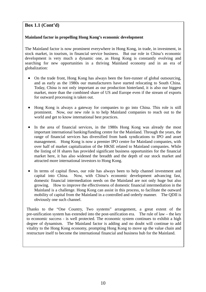# **Box 1.1 (Cont'd)**

#### **Mainland factor in propelling Hong Kong's economic development**

The Mainland factor is now prominent everywhere in Hong Kong, in trade, in investment, in stock market, in tourism, in financial service business. But our role in China's economic development is very much a dynamic one, as Hong Kong is constantly evolving and searching for new opportunities in a thriving Mainland economy and in an era of globalization:

- On the trade front, Hong Kong has always been the fore-runner of global outsourcing, and as early as the 1980s our manufacturers have started relocating to South China. Today, China is not only important as our production hinterland, it is also our biggest market, more than the combined share of US and Europe even if the stream of exports for outward processing is taken out.
- Hong Kong is always a gateway for companies to go into China. This role is still prominent. Now, our new role is to help Mainland companies to reach out to the world and get to know international best practices.
- In the area of financial services, in the 1980s Hong Kong was already the most important international banking/funding centre for the Mainland. Through the years, the range of financial services has diversified from bank syndications to IPO and asset management. Hong Kong is now a premier IPO centre for Mainland companies, with over half of market capitalization of the HKSE related to Mainland companies. While the listing of H shares has provided significant business opportunities for the financial market here, it has also widened the breadth and the depth of our stock market and attracted more international investors to Hong Kong.
- In terms of capital flows, our role has always been to help channel investment and capital into China. Now, with China's economic development advancing fast, domestic financial intermediation needs on the Mainland are not only huge but also growing. How to improve the effectiveness of domestic financial intermediation in the Mainland is a challenge. Hong Kong can assist in this process, to facilitate the outward mobility of capital from the Mainland in a controlled and orderly manner. The QDII is obviously one such channel.

Thanks to the "One Country, Two systems" arrangement, a great extent of the pre-unification system has extended into the post-unification era. The rule of law – the key to economic success - is well protected. The economic system continues to exhibit a high degree of dynamism. The Mainland factor is adding and no doubt will continue to add vitality to the Hong Kong economy, prompting Hong Kong to move up the value chain and restructure itself to become the international financial and business hub for the Mainland.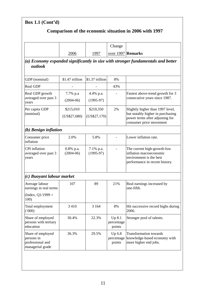|                                                                         |                             |                           | Change                         |                                                                                                                                    |
|-------------------------------------------------------------------------|-----------------------------|---------------------------|--------------------------------|------------------------------------------------------------------------------------------------------------------------------------|
|                                                                         | 2006                        | 1997                      | over 1997 Remarks              |                                                                                                                                    |
| outlook                                                                 |                             |                           |                                | (a) Economy expanded significantly in size with stronger fundamentals and better                                                   |
| GDP (nominal)                                                           | \$1.47 trillion             | \$1.37 trillion           | 8%                             |                                                                                                                                    |
| <b>Real GDP</b>                                                         |                             |                           | 43%                            |                                                                                                                                    |
| Real GDP growth<br>averaged over past 3<br>years                        | 7.7% p.a<br>$(2004-06)$     | 4.4% p.a.<br>$(1995-97)$  |                                | Fastest above-trend growth for 3<br>consecutive years since 1987.                                                                  |
| Per capita GDP<br>(nominal)                                             | \$215,010<br>(US\$27,680)   | \$210,350<br>(US\$27,170) | 2%                             | Slightly higher than 1997 level,<br>but notably higher in purchasing<br>power terms after adjusting for<br>consumer price movement |
| (b) Benign inflation                                                    |                             |                           |                                |                                                                                                                                    |
| Consumer price<br>inflation                                             | 2.0%                        | 5.8%                      |                                | Lower inflation rate.                                                                                                              |
| <b>CPI</b> inflation<br>averaged over past 3<br>years                   | $0.8\%$ p.a.<br>$(2004-06)$ | 7.1% p.a.<br>$(1995-97)$  |                                | The current high-growth-low<br>inflation macroeconomic<br>environment is the best<br>performance in recent history.                |
| (c) Buoyant labour market                                               |                             |                           |                                |                                                                                                                                    |
| Average labour<br>earnings in real terms                                | 107                         | 89                        | 21%                            | Real earnings increased by<br>one-fifth.                                                                                           |
| (Index, $Q1/1999 =$<br>100)                                             |                             |                           |                                |                                                                                                                                    |
| Total employment<br>(000)                                               | 3 4 1 0                     | 3 1 6 4                   | 8%                             | Hit successive record highs during<br>2006.                                                                                        |
| Share of employed<br>persons with tertiary<br>education                 | 30.4%                       | 22.3%                     | Up 8.1<br>percentage<br>points | Stronger pool of talents.                                                                                                          |
| Share of employed<br>persons in<br>professional and<br>managerial grade | 36.3%                       | 29.5%                     | Up 6.8<br>percentage<br>points | <b>Transformation towards</b><br>knowledge-based economy with<br>more higher end jobs.                                             |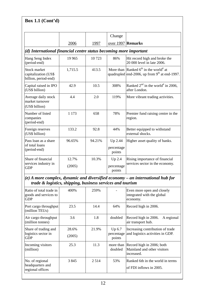| Box 1.1 $(Cont'd)$                                                |         |        |                      |                                                                                                        |
|-------------------------------------------------------------------|---------|--------|----------------------|--------------------------------------------------------------------------------------------------------|
|                                                                   |         |        | Change               |                                                                                                        |
|                                                                   | 2006    | 1997   | over 1997 Remarks    |                                                                                                        |
| (d) International financial centre status becoming more important |         |        |                      |                                                                                                        |
| Hang Seng Index<br>(period-end)                                   | 19 9 65 | 10723  | 86%                  | Hit record high and broke the<br>20 000 level in late 2006.                                            |
| Stock market<br>capitalization (US\$<br>billion, period-end)      | 1,715.5 | 413.5  |                      | More than Ranked $6th$ in the world <sup>#</sup> at<br>quadrupled end-2006, up from $9th$ at end-1997. |
| Capital raised in IPO<br>(US\$ billion)                           | 42.9    | 10.5   | 308%                 | Ranked $2^{nd}$ in the world <sup>#</sup> in 2006,<br>after London.                                    |
| Average daily stock<br>market turnover<br>(US\$ billion)          | 4.4     | 2.0    | 119%                 | More vibrant trading activities.                                                                       |
| Number of listed<br>companies<br>(period-end)                     | 1 1 7 3 | 658    | 78%                  | Premier fund raising centre in the<br>region.                                                          |
| Foreign reserves<br>(US\$ billion)                                | 133.2   | 92.8   | 44%                  | Better equipped to withstand<br>external shocks.                                                       |
| Pass loan as a share                                              | 96.65%  | 94.21% | Up 2.44              | Higher asset quality of banks.                                                                         |
| of total loans<br>(period-end)                                    |         |        | percentage<br>points |                                                                                                        |
| Share of financial                                                | 12.7%   | 10.3%  | $Up$ 2.4             | Rising importance of financial                                                                         |
| services industry in<br><b>GDP</b>                                | (2005)  |        | percentage<br>points | services sector in the economy.                                                                        |

*(e) A more complex, dynamic and diversified economy – an international hub for trade & logistics, shipping, business services and tourism*

| Ratio of total trade in<br>goods and services to<br><b>GDP</b> | 400\%           | 259%    |                      | Even more open and closely<br>integrated with the global<br>economy.            |
|----------------------------------------------------------------|-----------------|---------|----------------------|---------------------------------------------------------------------------------|
| Port cargo throughput<br>(million TEUs)                        | 23.5            | 14.4    | 64%                  | Record high in 2006.                                                            |
| Air cargo throughput<br>(million tonnes)                       | 3.6             | 1.8     | doubled              | Record high in 2006.<br>A regional<br>air transport hub.                        |
| Share of trading and<br>logistics sector in<br><b>GDP</b>      | 28.6%<br>(2005) | 21.9%   | Up 6.7<br>points     | Increasing contribution of trade<br>percentage and logistics activities in GDP. |
| Incoming visitors<br>(million)                                 | 25.3            | 11.3    | more than<br>doubled | Record high in 2006; both<br>Mainland and other visitors<br>increased.          |
| No. of regional<br>headquarters and<br>regional offices        | 3845            | 2 5 1 4 | 53%                  | Ranked 6th in the world in terms<br>of FDI inflows in 2005.                     |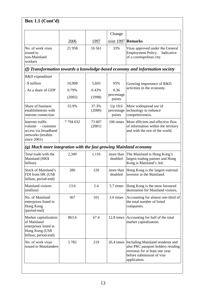| Box 1.1 $(Cont'd)$                                                                                       |         |                  |                                 |                                                                                                                                                                  |
|----------------------------------------------------------------------------------------------------------|---------|------------------|---------------------------------|------------------------------------------------------------------------------------------------------------------------------------------------------------------|
|                                                                                                          |         |                  | Change                          |                                                                                                                                                                  |
|                                                                                                          | 2006    | <u>1997</u>      | over 1997 Remarks               |                                                                                                                                                                  |
| No. of work visas<br>issued to<br>non-Mainland<br>workers                                                | 21958   | 16 5 61          | 33%                             | Visas approved under the General<br><b>Employment Policy.</b><br>Indicative<br>of a cosmopolitan city.                                                           |
|                                                                                                          |         |                  |                                 | (f) Transformation towards a knowledge-based economy and information society                                                                                     |
| R&D expenditure                                                                                          |         |                  |                                 |                                                                                                                                                                  |
| - \$ million                                                                                             | 10,908  | 5,603            | 95%                             | Growing importance of R&D                                                                                                                                        |
| - As a share of GDP                                                                                      | 0.79%   | 0.43%            | 0.36                            | activities in the economy.                                                                                                                                       |
|                                                                                                          | (2005)  | (1998)           | percentage<br>points            |                                                                                                                                                                  |
| Share of business<br>establishments with<br>internet connection                                          | 55.9%   | 37.3%<br>(2000)  | Up 18.6<br>percentage<br>points | More widespread use of<br>technology to enhance<br>competitiveness.                                                                                              |
| Internet traffic<br>volume<br>- customer<br>access via broadband<br>networks (terabits<br>since 2001)    | 7794032 | 73 607<br>(2001) | 106 times                       | More efficient and effective flow<br>of information within the territory<br>and with the rest of the world.                                                      |
| (g) Much more integration with the fast growing Mainland economy                                         |         |                  |                                 |                                                                                                                                                                  |
| Total trade with the<br>Mainland (HK\$<br>billion)                                                       | 2,349   | 1,116            | doubled                         | more than The Mainland is Hong Kong's<br>largest trading partner and Hong<br>Kong is Mainland's 3rd.                                                             |
| <b>Stock of Mainland's</b><br>FDI from HK (US\$<br>billion, period-end)                                  | 280     | 120              | doubled                         | more than  Hong Kong is the largest external<br>investor in the Mainland.                                                                                        |
| Mainland visitors<br>(million)                                                                           | 13.6    | 2.4              | 5.7 times                       | Hong Kong is the most favoured<br>destination for Mainland visitors.                                                                                             |
| No. of Mainland<br>enterprises listed in<br>Hong Kong<br>(period-end)                                    | 367     | 101              | 3.6 times                       | Accounting for almost one-third of<br>the total number of listed<br>companies.                                                                                   |
| Market capitalization<br>of Mainland<br>enterprises listed in<br>Hong Kong (US\$<br>billion, period-end) | 863.6   | 67.4             |                                 | 12.8 times Accounting for half of the total<br>market capitalisation.                                                                                            |
| No. of work visas<br>issued to Mainlanders                                                               | 5782    | 219              |                                 | 26.4 times Including Mainland residents and<br>also PRC passport holders residing<br>overseas for at least one year<br>before submission of visa<br>application. |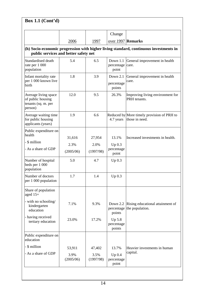|                                                                             |                   |                   | Change                           |                                                                                       |
|-----------------------------------------------------------------------------|-------------------|-------------------|----------------------------------|---------------------------------------------------------------------------------------|
|                                                                             | 2006              | 1997              | over 1997 Remarks                |                                                                                       |
| public services and better safety net                                       |                   |                   |                                  | (h) Socio-economic progression with higher living standard, continuous investments in |
| Standardised death<br>rate per 1 000<br>population                          | 5.4               | 6.5               | Down 1.1<br>percentage<br>point  | General improvement in health<br>care.                                                |
| Infant mortality rate<br>per 1 000 known live<br>birth                      | 1.8               | 3.9               | Down 2.1<br>percentage<br>points | General improvement in health<br>care.                                                |
| Average living space<br>of public housing<br>tenants (sq. m. per<br>person) | 12.0              | 9.5               | 26.3%                            | Improving living environment for<br>PRH tenants.                                      |
| Average waiting time<br>for public housing<br>applicants (years)            | 1.9               | 6.6               | 4.7 years                        | Reduced by More timely provision of PRH to<br>those in need.                          |
| Public expenditure on<br>health                                             |                   |                   |                                  |                                                                                       |
| - \$ million                                                                | 31,616            | 27,954            | 13.1%                            | Increased investments in health.                                                      |
| - As a share of GDP                                                         | 2.3%              | 2.0%              | $Up\ 0.3$<br>percentage          |                                                                                       |
|                                                                             | (2005/06)         | (1997/98)         | point                            |                                                                                       |
| Number of hospital<br>beds per 1 000<br>population                          | 5.0               | 4.7               | $Up\ 0.3$                        |                                                                                       |
| Number of doctors<br>per 1 000 population                                   | 1.7               | 1.4               | $Up\ 0.3$                        |                                                                                       |
| Share of population<br>aged $15+$                                           |                   |                   |                                  |                                                                                       |
| - with no schooling/<br>kindergarten<br>education                           | 7.1%              | 9.3%              | Down 2.2<br>percentage<br>points | Rising educational attainment of<br>the population.                                   |
| - having received<br>tertiary education                                     | 23.0%             | 17.2%             | Up 5.8<br>percentage<br>points   |                                                                                       |
| Public expenditure on<br>education                                          |                   |                   |                                  |                                                                                       |
| - \$ million                                                                | 53,911            | 47,402            | 13.7%                            | Heavier investments in human                                                          |
| - As a share of GDP                                                         | 3.9%<br>(2005/06) | 3.5%<br>(1997/98) | $Up\ 0.4$<br>percentage<br>point | capital.                                                                              |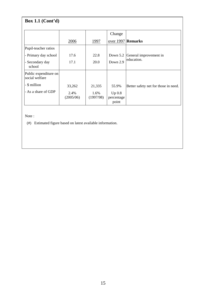# **Box 1.1 (Cont'd)**

|                                         |                   |                   | Change                           |                                      |
|-----------------------------------------|-------------------|-------------------|----------------------------------|--------------------------------------|
|                                         | 2006              | 1997              | over 1997 Remarks                |                                      |
| Pupil-teacher ratios                    |                   |                   |                                  |                                      |
| - Primary day school                    | 17.6              | 22.8              | Down $5.2$                       | General improvement in               |
| - Secondary day<br>school               | 17.1              | 20.0              | Down 2.9                         | education.                           |
| Public expenditure on<br>social welfare |                   |                   |                                  |                                      |
| - \$ million                            | 33,262            | 21,335            | 55.9%                            | Better safety net for those in need. |
| - As a share of GDP                     | 2.4%<br>(2005/06) | 1.6%<br>(1997/98) | $Up\ 0.8$<br>percentage<br>point |                                      |

Note :

(#) Estimated figure based on latest available information.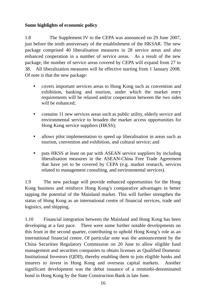# **Some highlights of economic policy**

1.8 The Supplement IV to the CEPA was announced on 29 June 2007, just before the tenth anniversary of the establishment of the HKSAR. The new package comprised 40 liberalisation measures in 28 service areas and also enhanced cooperation in a number of service areas. As a result of the new package, the number of service areas covered by CEPA will expand from 27 to 38. All liberalization measures will be effective starting from 1 January 2008. Of note is that the new package:

- covers important services areas to Hong Kong such as convention and exhibition, banking and tourism, under which the market entry requirements will be relaxed and/or cooperation between the two sides will be enhanced;
- contains 11 new services areas such as public utility, elderly service and environmental service to broaden the market access opportunities for Hong Kong service suppliers (HKSS);
- allows pilot implementation to speed up liberalisation in areas such as tourism, convention and exhibition, and cultural service; and
- puts HKSS at least on par with ASEAN service suppliers by including liberalisation measures in the ASEAN-China Free Trade Agreement that have yet to be covered by CEPA (e.g. market research, services related to management consulting, and environmental services).

1.9 The new package will provide enhanced opportunities for the Hong Kong business and reinforce Hong Kong's comparative advantages in better tapping the potential of the Mainland market. This will further strengthen the status of Hong Kong as an international centre of financial services, trade and logistics, and shipping.

1.10 Financial integration between the Mainland and Hong Kong has been developing at a fast pace. There were some further notable developments on this front in the second quarter, contributing to uphold Hong Kong's role as an international financial centre. Of particular note was the announcement by the China Securities Regulatory Commission on 20 June to allow eligible fund management and securities companies to obtain licenses as Qualified Domestic Institutional Investors (QDII), thereby enabling them to join eligible banks and insurers to invest in Hong Kong and overseas capital markets. Another significant development was the debut issuance of a renminbi-denominated bond in Hong Kong by the State Construction Bank in late June.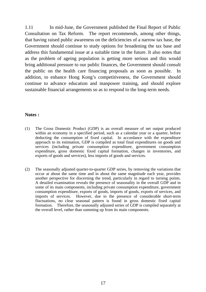1.11 In mid-June, the Government published the Final Report of Public Consultation on Tax Reform. The report recommends, among other things, that having raised public awareness on the deficiencies of a narrow tax base, the Government should continue to study options for broadening the tax base and address this fundamental issue at a suitable time in the future. It also notes that as the problem of ageing population is getting more serious and this would bring additional pressure to our public finances, the Government should consult the public on the health care financing proposals as soon as possible. In addition, to enhance Hong Kong's competitiveness, the Government should continue to advance education and manpower training, and should explore sustainable financial arrangements so as to respond to the long-term needs.

#### **Notes :**

- (1) The Gross Domestic Product (GDP) is an overall measure of net output produced within an economy in a specified period, such as a calendar year or a quarter, before deducting the consumption of fixed capital. In accordance with the expenditure approach to its estimation, GDP is compiled as total final expenditures on goods and services (including private consumption expenditure, government consumption expenditure, gross domestic fixed capital formation, changes in inventories, and exports of goods and services), less imports of goods and services.
- (2) The seasonally adjusted quarter-to-quarter GDP series, by removing the variations that occur at about the same time and in about the same magnitude each year, provides another perspective for discerning the trend, particularly in regard to turning points. A detailed examination reveals the presence of seasonality in the overall GDP and in some of its main components, including private consumption expenditure, government consumption expenditure, exports of goods, imports of goods, exports of services, and imports of services. However, due to the presence of considerable short-term fluctuations, no clear seasonal pattern is found in gross domestic fixed capital formation. Therefore, the seasonally adjusted series of GDP is compiled separately at the overall level, rather than summing up from its main components.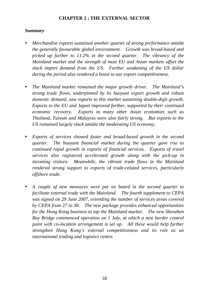# **CHAPTER 2 : THE EXTERNAL SECTOR**

# *Summary*

- *Merchandise exports sustained another quarter of strong performance amidst the generally favourable global environment. Growth was broad-based and picked up further to 11.2% in the second quarter. The vibrancy of the Mainland market and the strength of most EU and Asian markets offset the slack import demand from the US. Further weakening of the US dollar during the period also rendered a boost to our export competitiveness.*
- The Mainland market remained the major growth driver. The Mainland's *strong trade flows, underpinned by its buoyant export growth and robust domestic demand, saw exports to this market sustaining double-digit growth. Exports to the EU and Japan improved further, supported by their continued economic recovery. Exports to many other Asian economies such as Thailand, Taiwan and Malaysia were also fairly strong. But exports to the US remained largely slack amidst the moderating US economy.*
- *Exports of services showed faster and broad-based growth in the second quarter. The buoyant financial market during the quarter gave rise to continued rapid growth in exports of financial services. Exports of travel services also registered accelerated growth along with the pick-up in incoming visitors. Meanwhile, the vibrant trade flows in the Mainland rendered strong support to exports of trade-related services, particularly offshore trade.*
- y *A couple of new measures were put on board in the second quarter to facilitate external trade with the Mainland. The fourth supplement to CEPA was signed on 29 June 2007, extending the number of services areas covered by CEPA from 27 to 38. The new package provides enhanced opportunities for the Hong Kong business to tap the Mainland market. The new Shenzhen Bay Bridge commenced operation on 1 July, at which a new border control point with co-location arrangement is set up. All these would help further strengthen Hong Kong's external competitiveness and its role as an international trading and logistics centre.*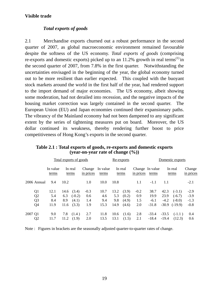# **Visible trade**

#### *Total exports of goods*

2.1 Merchandise exports churned out a robust performance in the second quarter of 2007, as global macroeconomic environment remained favourable despite the softness of the US economy. *Total exports of goods* (comprising re-exports and domestic exports) picked up to an  $11.2\%$  growth in real terms<sup>(1)</sup> in the second quarter of 2007, from 7.8% in the first quarter. Notwithstanding the uncertainties envisaged in the beginning of the year, the global economy turned out to be more resilient than earlier expected. This coupled with the buoyant stock markets around the world in the first half of the year, had rendered support to the import demand of major economies. The US economy, albeit showing some moderation, had not derailed into recession, and the negative impacts of the housing market correction was largely contained in the second quarter. The European Union (EU) and Japan economies continued their expansionary paths. The vibrancy of the Mainland economy had not been dampened to any significant extent by the series of tightening measures put on board. Moreover, the US dollar continued its weakness, thereby rendering further boost to price competitiveness of Hong Kong's exports in the second quarter.

|                | Total exports of goods |      |                  |                     |                   | Re-exports |                  |                              |         | Domestic exports |                  |                     |
|----------------|------------------------|------|------------------|---------------------|-------------------|------------|------------------|------------------------------|---------|------------------|------------------|---------------------|
|                | In value<br>terms      |      | In real<br>terms | Change<br>in prices | In value<br>terms |            | In real<br>terms | Change In value<br>in prices | terms   |                  | In real<br>terms | Change<br>in prices |
| 2006 Annual    | 9.4                    | 10.2 |                  | 1.0                 | 10.0              | 10.8       |                  | 1.1                          | $-1.1$  | 1.1              |                  | $-2.1$              |
| Q <sub>1</sub> | 12.1                   | 14.6 | (3.4)            | $-0.3$              | 10.7              | 13.2       | (3.9)            | $-0.2$                       | 38.7    | 42.3             | $(-3.1)$         | $-2.9$              |
| Q <sub>2</sub> | 5.4                    | 6.3  | $(-0.2)$         | 0.6                 | 4.6               | 5.3        | (0.2)            | 0.9                          | 19.9    | 23.9             | $(-6.7)$         | $-3.9$              |
| Q <sub>3</sub> | 8.4                    | 8.9  | (4.1)            | 1.4                 | 9.4               | 9.8        | (4.9)            | 1.5                          | $-6.1$  | $-4.2$           | $(-8.0)$         | $-1.3$              |
| Q4             | 11.9                   | 11.6 | (3.3)            | 1.9                 | 15.3              | 14.9       | (4.6)            | 2.0                          | $-31.8$ | $-30.9$          | $(-19.9)$        | $-0.8$              |
| 2007 Q1        | 9.0                    | 7.8  | (1.4)            | 2.7                 | 11.8              | 10.6       | (1.6)            | 2.8                          | $-33.4$ | $-33.5$          | $(-1.1)$         | 0.4                 |
| Q <sub>2</sub> | 11.7                   | 11.2 | (1.9)            | 2.0                 | 13.5              | 13.1       | (1.5)            | 2.1                          | $-18.4$ | $-19.4$          | (12.3)           | 0.6                 |

**Table 2.1 : Total exports of goods, re-exports and domestic exports (year-on-year rate of change (%))** 

Note : Figures in brackets are the seasonally adjusted quarter-to-quarter rates of change.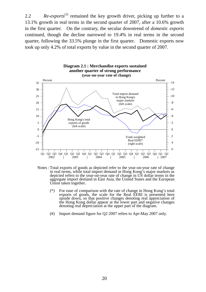2.2 *Re-exports*<sup>(2)</sup> remained the key growth driver, picking up further to a 13.1% growth in real terms in the second quarter of 2007, after a 10.6% growth in the first quarter. On the contrary, the secular downtrend of *domestic exports* continued, though the decline narrowed to 19.4% in real terms in the second quarter, following the 33.5% plunge in the first quarter. Domestic exports now took up only 4.2% of total exports by value in the second quarter of 2007.



- Notes : Total exports of goods as depicted refer to the year-on-year rate of change in real terms, while total import demand in Hong Kong's major markets as depicted refers to the year-on-year rate of change in US dollar terms in the aggregate import demand in East Asia, the United States and the European Union taken together.
	- $(*)$  For ease of comparison with the rate of change in Hong Kong's total exports of goods, the scale for the Real EERI is presented here upside down, so that positive changes denoting real appreciation of the Hong Kong dollar appear at the lower part and negative changes denoting real depreciation at the upper part of the diagram.
	- (#) Import demand figure for Q2 2007 refers to Apr-May 2007 only.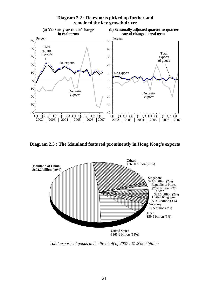

# **Diagram 2.2 : Re-exports picked up further and remained the key growth driver**

**Diagram 2.3 : The Mainland featured prominently in Hong Kong's exports**



*Total exports of goods in the first half of 2007 : \$1,239.0 billion*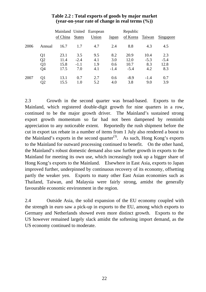|      |                |          |               | Mainland United European |        | Republic |        |           |
|------|----------------|----------|---------------|--------------------------|--------|----------|--------|-----------|
|      |                | of China | <b>States</b> | Union                    | Japan  | of Korea | Taiwan | Singapore |
| 2006 | Annual         | 16.7     | 1.7           | 4.7                      | 2.4    | 8.8      | 4.3    | 4.5       |
|      | Q1             | 23.1     | 3.5           | 9.5                      | 8.2    | 20.9     | 10.4   | 2.3       |
|      | Q <sub>2</sub> | 11.4     | $-2.4$        | 4.1                      | 3.0    | 12.0     | $-5.3$ | $-5.4$    |
|      | Q <sub>3</sub> | 15.8     | $-1.1$        | 1.9                      | 0.6    | 10.7     | 8.3    | 12.8      |
|      | Q <sub>4</sub> | 17.5     | 7.0           | 4.1                      | $-1.4$ | $-5.4$   | 4.2    | 8.3       |
| 2007 | Q1             | 13.1     | 0.7           | 2.7                      | 0.6    | $-8.9$   | $-1.4$ | 0.7       |
|      | Q2             | 15.5     | 1.0           | 5.2                      | 4.0    | 3.8      | 9.0    | 3.9       |

# **Table 2.2 : Total exports of goods by major market (year-on-year rate of change in real terms (%))**

2.3 Growth in the second quarter was broad-based. Exports to the Mainland, which registered double-digit growth for nine quarters in a row, continued to be the major growth driver. The Mainland's sustained strong export growth momentum so far had not been dampened by renminbi appreciation to any noticeable extent. Reportedly the rush shipment before the cut in export tax rebate in a number of items from 1 July also rendered a boost to the Mainland's exports in the second quarter<sup>(3)</sup>. As such, Hong Kong's exports to the Mainland for outward processing continued to benefit. On the other hand, the Mainland's robust domestic demand also saw further growth in exports to the Mainland for meeting its own use, which increasingly took up a bigger share of Hong Kong's exports to the Mainland. Elsewhere in East Asia, exports to Japan improved further, underpinned by continuous recovery of its economy, offsetting partly the weaker yen. Exports to many other East Asian economies such as Thailand, Taiwan, and Malaysia were fairly strong, amidst the generally favourable economic environment in the region.

2.4 Outside Asia, the solid expansion of the EU economy coupled with the strength in euro saw a pick-up in exports to the EU, among which exports to Germany and Netherlands showed even more distinct growth. Exports to the US however remained largely slack amidst the softening import demand, as the US economy continued to moderate.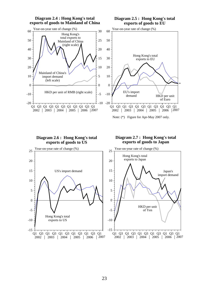

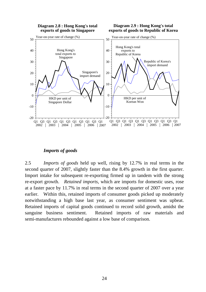

# *Imports of goods*

2.5 *Imports of goods* held up well, rising by 12.7% in real terms in the second quarter of 2007, slightly faster than the 8.4% growth in the first quarter. Import intake for subsequent re-exporting firmed up in tandem with the strong re-export growth. *Retained imports*, which are imports for domestic uses, rose at a faster pace by 11.7% in real terms in the second quarter of 2007 over a year earlier. Within this, retained imports of consumer goods picked up moderately notwithstanding a high base last year, as consumer sentiment was upbeat. Retained imports of capital goods continued to record solid growth, amidst the sanguine business sentiment. Retained imports of raw materials and semi-manufactures rebounded against a low base of comparison.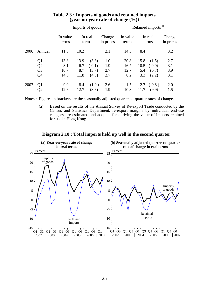|      |                                                                      |                                       | Imports of goods           |                                     | Retained imports <sup>(a)</sup> |                             |                            |                                     |                          |
|------|----------------------------------------------------------------------|---------------------------------------|----------------------------|-------------------------------------|---------------------------------|-----------------------------|----------------------------|-------------------------------------|--------------------------|
|      |                                                                      | In value<br>In real<br>terms<br>terms |                            | Change<br>in prices                 | In value<br>terms               | In real<br>terms            |                            | Change<br>in prices                 |                          |
| 2006 | Annual                                                               | 11.6                                  | 10.2                       |                                     | 2.1                             | 14.3                        | 8.4                        |                                     | 3.2                      |
|      | Q <sub>1</sub><br>Q <sub>2</sub><br>Q <sub>3</sub><br>Q <sub>4</sub> | 13.8<br>8.1<br>10.7<br>14.0           | 13.9<br>6.7<br>8.7<br>11.8 | (3.3)<br>$(-0.1)$<br>(3.7)<br>(4.0) | 1.0<br>1.9<br>2.7<br>2.7        | 20.8<br>16.7<br>12.7<br>8.2 | 15.8<br>10.5<br>5.4<br>3.3 | (1.5)<br>$(-0.9)$<br>(0.7)<br>(2.2) | 2.7<br>3.1<br>3.9<br>3.1 |
| 2007 | Q <sub>1</sub><br>Q2                                                 | 9.0<br>12.6                           | 8.4<br>12.7                | (1.0)<br>(3.6)                      | 2.6<br>1.9                      | 1.5<br>10.3                 | 2.7<br>11.7                | $(-0.8)$<br>(9.9)                   | 2.0<br>1.5               |

# **Table 2.3 : Imports of goods and retained imports (year-on-year rate of change (%))**

Notes : Figures in brackets are the seasonally adjusted quarter-to-quarter rates of change.

 (a) Based on the results of the Annual Survey of Re-export Trade conducted by the Census and Statistics Department, re-export margins by individual end-use category are estimated and adopted for deriving the value of imports retained for use in Hong Kong.



**Diagram 2.10 : Total imports held up well in the second quarter**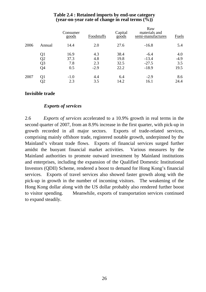|      |        | Consumer<br>goods | Foodstuffs | Capital<br>$\overline{goods}$ | Raw<br>materials and<br>semi-manufactures | Fuels  |
|------|--------|-------------------|------------|-------------------------------|-------------------------------------------|--------|
| 2006 | Annual | 14.4              | 2.0        | 27.6                          | $-16.8$                                   | 5.4    |
|      | Q1     | 16.9              | 4.3        | 38.4                          | $-6.4$                                    | 4.0    |
|      | Q2     | 37.3              | 4.8        | 19.8                          | $-13.4$                                   | $-4.9$ |
|      | Q3     | 7.8               | 2.3        | 32.5                          | $-27.5$                                   | 3.5    |
|      | Q4     | 0.5               | $-2.9$     | 22.2                          | $-18.9$                                   | 19.5   |
| 2007 | Q1     | $-1.0$            | 4.4        | 6.4                           | $-2.9$                                    | 8.6    |
|      | Q2     | 2.3               | 3.5        | 14.2                          | 16.1                                      | 24.4   |

# **Table 2.4 : Retained imports by end-use category (year-on-year rate of change in real terms (%))**

# **Invisible trade**

# *Exports of services*

2.6 *Exports of services* accelerated to a 10.9% growth in real terms in the second quarter of 2007, from an 8.9% increase in the first quarter, with pick-up in growth recorded in all major sectors. Exports of trade-related services, comprising mainly offshore trade, registered notable growth, underpinned by the Mainland's vibrant trade flows. Exports of financial services surged further amidst the buoyant financial market activities. Various measures by the Mainland authorities to promote outward investment by Mainland institutions and enterprises, including the expansion of the Qualified Domestic Institutional Investors (QDII) Scheme, rendered a boost to demand for Hong Kong's financial services. Exports of travel services also showed faster growth along with the pick-up in growth in the number of incoming visitors. The weakening of the Hong Kong dollar along with the US dollar probably also rendered further boost to visitor spending. Meanwhile, exports of transportation services continued to expand steadily.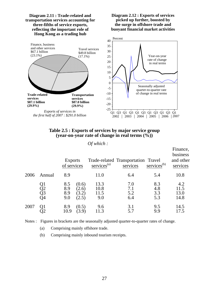

#### **Table 2.5 : Exports of services by major service group (year-on-year rate of change in real terms (%))**

*Of which :*

|      |                      | <b>Exports</b><br>of services |                                  | $s$ ervices <sup>(a)</sup>  | Trade-related Transportation Travel<br>services | $s$ ervices <sup>(b)</sup> | Finance,<br>business<br>and other<br>services |
|------|----------------------|-------------------------------|----------------------------------|-----------------------------|-------------------------------------------------|----------------------------|-----------------------------------------------|
| 2006 | Annual               | 8.9                           |                                  | 11.0                        | 6.4                                             | 5.4                        | 10.8                                          |
|      | Q1<br>Q2<br>Q3<br>Q4 | 8.5<br>8.9<br>8.9<br>9.0      | (0.6)<br>(2.6)<br>(3.2)<br>(2.5) | 13.3<br>10.8<br>11.5<br>9.0 | 7.0<br>7.1<br>5.2<br>6.4                        | 8.3<br>4.8<br>3.3<br>5.3   | 4.2<br>11.5<br>13.0<br>14.8                   |
| 2007 | Q1                   | 8.9<br>10.9                   | (0.5)<br>(3.9)                   | 9.6<br>11.3                 | 3.1<br>5.7                                      | 9.5<br>9.9                 | 14.5<br>17.5                                  |

Notes : Figures in brackets are the seasonally adjusted quarter-to-quarter rates of change.

(a) Comprising mainly offshore trade.

(b) Comprising mainly inbound tourism receipts.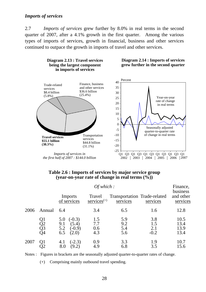# *Imports of services*

2.7 *Imports of services* grew further by 8.0% in real terms in the second quarter of 2007, after a 4.1% growth in the first quarter. Among the various types of imports of services, growth in financial, business and other services continued to outpace the growth in imports of travel and other services.



#### **Table 2.6 : Imports of services by major service group (year-on-year rate of change in real terms (%))**

|      |                      |                                                                    | Finance,                                          |                                          |                             |                                   |
|------|----------------------|--------------------------------------------------------------------|---------------------------------------------------|------------------------------------------|-----------------------------|-----------------------------------|
|      |                      | Imports<br>of services                                             | Travel<br>$s$ ervices <sup><math>(+)</math></sup> | Transportation Trade-related<br>services | services                    | business<br>and other<br>services |
| 2006 | Annual               | 6.4                                                                | 3.4                                               | 6.5                                      | 1.6                         | 12.8                              |
|      | Q1<br>Q2<br>Q3<br>Q4 | $(-0.3)$<br>5.0<br>(5.4)<br>9.1<br>5.2<br>$(-0.9)$<br>(2.0)<br>6.5 | 1.5<br>7.7<br>0.6<br>4.3                          | 5.9<br>9.2<br>5.4<br>5.6                 | 3.8<br>1.5<br>2.1<br>$-0.2$ | 10.5<br>13.4<br>13.9<br>13.4      |
| 2007 | Q1                   | $(-2.3)$<br>4.1<br>8.0<br>(9.2)                                    | 0.9<br>4.9                                        | 3.3<br>6.8                               | 1.9<br>3.5                  | 10.7<br>15.6                      |

Notes : Figures in brackets are the seasonally adjusted quarter-to-quarter rates of change.

(+) Comprising mainly outbound travel spending.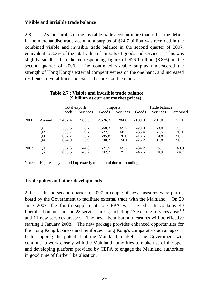# **Visible and invisible trade balance**

2.8 As the surplus in the invisible trade account more than offset the deficit in the merchandise trade account, a surplus of \$24.7 billion was recorded in the combined visible and invisible trade balance in the second quarter of 2007, equivalent to 3.2% of the total value of imports of goods and services. This was slightly smaller than the corresponding figure of \$26.1 billion (3.8%) in the second quarter of 2006. The continued sizeable surplus underscored the strength of Hong Kong's external competitiveness on the one hand, and increased resilience to volatilities and external shocks on the other.

|      |                      | Total exports           |                         |                         | Imports              | Trade balance                 |                      |                      |
|------|----------------------|-------------------------|-------------------------|-------------------------|----------------------|-------------------------------|----------------------|----------------------|
|      |                      | Goods                   | Services                | Goods                   | Services             | Goods                         | Services             | Combined             |
| 2006 | Annual               | 2,467.4                 | 565.0                   | 2,576.3                 | 284.0                | $-109.0$                      | 281.0                | 172.1                |
|      | Q1<br>Q2<br>Q3<br>Q4 | 538.5<br>586.7<br>667.2 | 128.7<br>129.7<br>150.7 | 568.3<br>622.1<br>685.8 | 65.7<br>68.2<br>76.0 | $-29.8$<br>$-35.4$<br>$-18.6$ | 63.0<br>61.5<br>74.8 | 33.2<br>26.1<br>56.2 |
|      |                      | 674.9                   | 155.9                   | 700.2                   | 74.1                 | $-25.2$                       | 81.8                 | 56.5                 |
| 2007 | Q1<br>Q2             | 587.3<br>656.5          | 144.8<br>146.2          | 621.5<br>702.7          | 69.7<br>75.2         | $-34.2$<br>$-46.6$            | 75.1<br>70.9         | 40.9<br>24.7         |

#### **Table 2.7 : Visible and invisible trade balance (\$ billion at current market prices)**

Note : Figures may not add up exactly to the total due to rounding.

#### **Trade policy and other developments**

2.9 In the second quarter of 2007, a couple of new measures were put on board by the Government to facilitate external trade with the Mainland. On 29 June 2007, the fourth supplement to CEPA was signed. It contains 40 liberalisation measures in 28 services areas, including 17 existing services areas<sup> $(4)$ </sup> and 11 new services areas<sup> $(5)$ </sup>. The new liberalisation measures will be effective starting 1 January 2008. The new package provides enhanced opportunities for the Hong Kong business and reinforces Hong Kong's comparative advantages in better tapping the potential of the Mainland market. The Government will continue to work closely with the Mainland authorities to make use of the open and developing platform provided by CEPA to engage the Mainland authorities in good time of further liberalisation.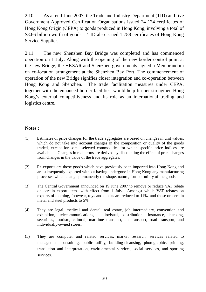2.10 As at end-June 2007, the Trade and Industry Department (TID) and five Government Approved Certification Organisations issued 24 174 certificates of Hong Kong Origin (CEPA) to goods produced in Hong Kong, involving a total of \$8.66 billion worth of goods. TID also issued 1 788 certificates of Hong Kong Service Supplier.

2.11 The new Shenzhen Bay Bridge was completed and has commenced operation on 1 July. Along with the opening of the new border control point at the new Bridge, the HKSAR and Shenzhen governments signed a Memorandum on co-location arrangement at the Shenzhen Bay Port. The commencement of operation of the new Bridge signifies closer integration and co-operation between Hong Kong and Shenzhen. The trade facilitation measures under CEPA, together with the enhanced border facilities, would help further strengthen Hong Kong's external competitiveness and its role as an international trading and logistics centre.

# **Notes :**

- (1) Estimates of price changes for the trade aggregates are based on changes in unit values, which do not take into account changes in the composition or quality of the goods traded, except for some selected commodities for which specific price indices are available. Changes in real terms are derived by discounting the effect of price changes from changes in the value of the trade aggregates.
- (2) Re-exports are those goods which have previously been imported into Hong Kong and are subsequently exported without having undergone in Hong Kong any manufacturing processes which change permanently the shape, nature, form or utility of the goods.
- (3) The Central Government announced on 19 June 2007 to remove or reduce VAT rebate on certain export items with effect from 1 July. Amongst which VAT rebates on exports of clothing, footwear, toys and clocks are reduced to 11%, and those on certain metal and steel products to 5%.
- (4) They are legal, medical and dental, real estate, job intermediary, convention and exhibition, telecommunications, audiovisual, distribution, insurance, banking, securities, tourism, cultural, maritime transport, air transport, road transport, and individually-owned stores.
- (5) They are computer and related services, market research, services related to management consulting, public utility, building-cleansing, photographic, printing, translation and interpretation, environmental services, social services, and sporting services.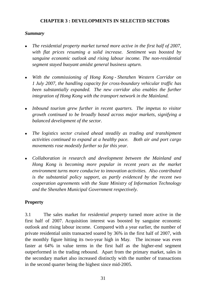# **CHAPTER 3 : DEVELOPMENTS IN SELECTED SECTORS**

## *Summary*

- *The residential property market turned more active in the first half of 2007, with flat prices resuming a solid increase. Sentiment was boosted by sanguine economic outlook and rising labour income. The non-residential segment stayed buoyant amidst general business upturn.*
- <sup>z</sup>*With the commissioning of Hong Kong Shenzhen Western Corridor on 1 July 2007, the handling capacity for cross-boundary vehicular traffic has been substantially expanded. The new corridor also enables the further integration of Hong Kong with the transport network in the Mainland.*
- Inbound tourism grew further in recent quarters. The impetus to visitor *growth continued to be broadly based across major markets, signifying a balanced development of the sector.*
- The logistics sector cruised ahead steadily as trading and transhipment *activities continued to expand at a healthy pace. Both air and port cargo movements rose modestly further so far this year.*
- <sup>z</sup>*Collaboration in research and development between the Mainland and Hong Kong is becoming more popular in recent years as the market environment turns more conducive to innovation activities. Also contributed is the substantial policy support, as partly evidenced by the recent two cooperation agreements with the State Ministry of Information Technology and the Shenzhen Municipal Government respectively.*

# **Property**

3.1 The sales market for *residential property* turned more active in the first half of 2007. Acquisition interest was boosted by sanguine economic outlook and rising labour income. Compared with a year earlier, the number of private residential units transacted soared by 36% in the first half of 2007, with the monthly figure hitting its two-year high in May. The increase was even faster at 64% in value terms in the first half as the higher-end segment outperformed in the trading rebound. Apart from the primary market, sales in the secondary market also increased distinctly with the number of transactions in the second quarter being the highest since mid-2005.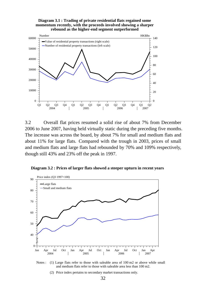



3.2 Overall flat prices resumed a solid rise of about 7% from December 2006 to June 2007, having held virtually static during the preceding five months. The increase was across the board, by about 7% for small and medium flats and about 11% for large flats. Compared with the trough in 2003, prices of small and medium flats and large flats had rebounded by 70% and 109% respectively, though still 43% and 23% off the peak in 1997.



**Diagram 3.2 : Prices of larger flats showed a steeper upturn in recent years**

Notes : (1) Large flats refer to those with saleable area of 100 m2 or above while small and medium flats refer to those with saleable area less than 100 m2.

(2) Price index pertains to secondary market transactions only.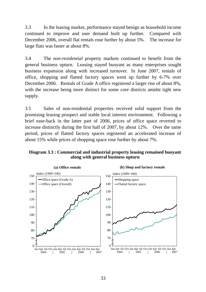3.3 In the leasing market, performance stayed benign as household income continued to improve and user demand built up further. Compared with December 2006, overall flat rentals rose further by about 5%. The increase for large flats was faster at about 8%.

3.4 The *non-residential* property markets continued to benefit from the general business upturn. Leasing stayed buoyant as many enterprises sought business expansion along with increased turnover. In June 2007, rentals of office, shopping and flatted factory spaces went up further by 6-7% over December 2006. Rentals of Grade A office registered a larger rise of about 8%, with the increase being more distinct for some core districts amidst tight new supply.

3.5 Sales of non-residential properties received solid support from the promising leasing prospect and stable local interest environment. Following a brief ease-back in the latter part of 2006, prices of office space reverted to increase distinctly during the first half of 2007, by about 12%. Over the same period, prices of flatted factory spaces registered an accelerated increase of about 15% while prices of shopping space rose further by about 7%.

## **Diagram 3.3 : Commercial and industrial property leasing remained buoyant along with general business upturn**

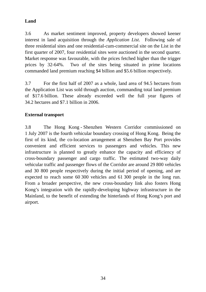# **Land**

3.6 As market sentiment improved, property developers showed keener interest in land acquisition through the *Application List*. Following sale of three residential sites and one residential-cum-commercial site on the List in the first quarter of 2007, four residential sites were auctioned in the second quarter. Market response was favourable, with the prices fetched higher than the trigger prices by 32-64%. Two of the sites being situated in prime locations commanded land premium reaching \$4 billion and \$5.6 billion respectively.

3.7 For the first half of 2007 as a whole, land area of 94.5 hectares from the Application List was sold through auction, commanding total land premium of \$17.6 billion. These already exceeded well the full year figures of 34.2 hectares and \$7.1 billion in 2006.

# **External transport**

3.8 The Hong Kong - Shenzhen Western Corridor commissioned on 1 July 2007 is the fourth vehicular boundary crossing of Hong Kong. Being the first of its kind, the co-location arrangement at Shenzhen Bay Port provides convenient and efficient services to passengers and vehicles. This new infrastructure is planned to greatly enhance the capacity and efficiency of cross-boundary passenger and cargo traffic. The estimated two-way daily vehicular traffic and passenger flows of the Corridor are around 29 800 vehicles and 30 800 people respectively during the initial period of opening, and are expected to reach some 60 300 vehicles and 61 300 people in the long run. From a broader perspective, the new cross-boundary link also fosters Hong Kong's integration with the rapidly-developing highway infrastructure in the Mainland, to the benefit of extending the hinterlands of Hong Kong's port and airport.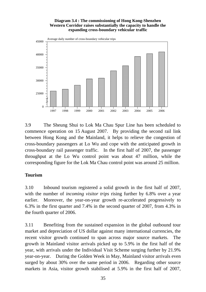#### **Diagram 3.4 : The commissioning of Hong Kong-Shenzhen Western Corridor raises substantially the capacity to handle the expanding cross-boundary vehicular traffic**



3.9 The Sheung Shui to Lok Ma Chau Spur Line has been scheduled to commence operation on 15 August 2007. By providing the second rail link between Hong Kong and the Mainland, it helps to relieve the congestion of cross-boundary passengers at Lo Wu and cope with the anticipated growth in cross-boundary rail passenger traffic. In the first half of 2007, the passenger throughput at the Lo Wu control point was about 47 million, while the corresponding figure for the Lok Ma Chau control point was around 25 million.

# **Tourism**

3.10 Inbound tourism registered a solid growth in the first half of 2007, with the number of *incoming visitor trips* rising further by 6.8% over a year earlier. Moreover, the year-on-year growth re-accelerated progressively to 6.3% in the first quarter and 7.4% in the second quarter of 2007, from 4.3% in the fourth quarter of 2006.

3.11 Benefiting from the sustained expansion in the global outbound tour market and depreciation of US dollar against many international currencies, the recent visitor growth continued to span across major source markets. The growth in Mainland visitor arrivals picked up to 5.9% in the first half of the year, with arrivals under the Individual Visit Scheme surging further by 21.9% year-on-year. During the Golden Week in May, Mainland visitor arrivals even surged by about 30% over the same period in 2006. Regarding other source markets in Asia, visitor growth stabilised at 5.9% in the first half of 2007,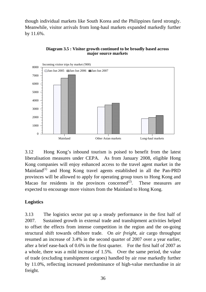though individual markets like South Korea and the Philippines fared strongly. Meanwhile, visitor arrivals from long-haul markets expanded markedly further by 11.6%.



**Diagram 3.5 : Visitor growth continued to be broadly based across major source markets**

3.12 Hong Kong's inbound tourism is poised to benefit from the latest liberalisation measures under CEPA. As from January 2008, eligible Hong Kong companies will enjoy enhanced access to the travel agent market in the Mainland<sup>(1)</sup> and Hong Kong travel agents established in all the Pan-PRD provinces will be allowed to apply for operating group tours to Hong Kong and Macao for residents in the provinces concerned<sup>(2)</sup>. These measures are expected to encourage more visitors from the Mainland to Hong Kong.

# **Logistics**

3.13 The logistics sector put up a steady performance in the first half of 2007. Sustained growth in external trade and transhipment activities helped to offset the effects from intense competition in the region and the on-going structural shift towards offshore trade. On *air freight*, air cargo throughput resumed an increase of 3.4% in the second quarter of 2007 over a year earlier, after a brief ease-back of 0.6% in the first quarter. For the first half of 2007 as a whole, there was a mild increase of 1.5%. Over the same period, the value of trade (excluding transhipment cargoes) handled by air rose markedly further by 11.0%, reflecting increased predominance of high-value merchandise in air freight.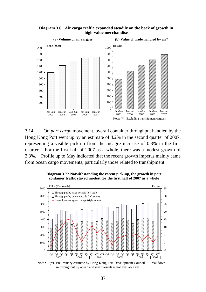



3.14 On *port cargo* movement, overall container throughput handled by the Hong Kong Port went up by an estimate of 4.2% in the second quarter of 2007, representing a visible pick-up from the meagre increase of 0.3% in the first quarter. For the first half of 2007 as a whole, there was a modest growth of 2.3%. Profile up to May indicated that the recent growth impetus mainly came from ocean cargo movements, particularly those related to transhipment.





Note : (\*) Preliminary estimate by Hong Kong Port Development Council. Breakdown in throughput by ocean and river vessels is not available yet.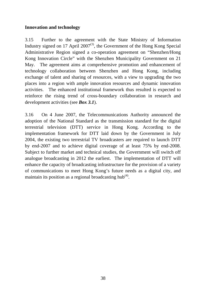# **Innovation and technology**

3.15 Further to the agreement with the State Ministry of Information Industry signed on 17 April  $2007^{(3)}$ , the Government of the Hong Kong Special Administrative Region signed a co-operation agreement on "Shenzhen/Hong Kong Innovation Circle" with the Shenzhen Municipality Government on 21 May. The agreement aims at comprehensive promotion and enhancement of technology collaboration between Shenzhen and Hong Kong, including exchange of talent and sharing of resources, with a view to upgrading the two places into a region with ample innovation resources and dynamic innovation activities. The enhanced institutional framework thus resulted is expected to reinforce the rising trend of cross-boundary collaboration in research and development activities (see *Box 3.1*).

3.16 On 4 June 2007, the Telecommunications Authority announced the adoption of the National Standard as the transmission standard for the digital terrestrial television (DTT) service in Hong Kong. According to the implementation framework for DTT laid down by the Government in July 2004, the existing two terrestrial TV broadcasters are required to launch DTT by end-2007 and to achieve digital coverage of at least 75% by end-2008. Subject to further market and technical studies, the Government will switch off analogue broadcasting in 2012 the earliest. The implementation of DTT will enhance the capacity of broadcasting infrastructure for the provision of a variety of communications to meet Hong Kong's future needs as a digital city, and maintain its position as a regional broadcasting hub $^{(4)}$ .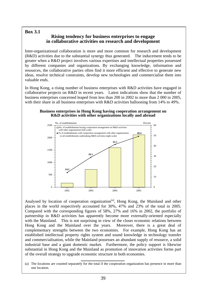# **Box 3.1**

# **Rising tendency for business enterprises to engage in collaborative activities on research and development**

Inter-organizational collaboration is more and more common for research and development (R&D) activities due to the substantial synergy thus generated. The inducement tends to be greater when a R&D project involves various expertises and intellectual properties possessed by different companies and organizations. By exchanging knowledge, information and resources, the collaborative parties often find it more efficient and effective to generate new ideas, resolve technical constraints, develop new technologies and commercialise them into valuable ends.

In Hong Kong, a rising number of business enterprises with R&D activities have engaged in collaborative projects on R&D in recent years. Latest indications show that the number of business enterprises concerned leaped from less than 200 in 2002 to more than 2 000 in 2005, with their share in all business enterprises with R&D activities ballooning from 14% to 49%.

#### **Business enterprises in Hong Kong having cooperation arrangement on R&D activities with other organizations locally and abroad**



Analysed by location of cooperation organization<sup>(a)</sup>, Hong Kong, the Mainland and other places in the world respectively accounted for 30%, 47% and 23% of the total in 2005. Compared with the corresponding figures of 58%, 27% and 16% in 2002, the portfolio of partnership in R&D activities has apparently become more externally-oriented especially with the Mainland. This is not surprising in view of the closer economic relations between Hong Kong and the Mainland over the years. Moreover, there is a great deal of complementary strengths between the two economies. For example, Hong Kong has an established intellectual property rights system and sound knowledge in technology transfer and commercialisation, while the Mainland possesses an abundant supply of resource, a solid industrial base and a giant domestic market. Furthermore, the policy support is likewise substantial in Hong Kong and the Mainland as promotion of innovation activities forms part of the overall strategy to upgrade economic structure in both economies.

(a) The locations are counted separately for the total if the cooperation organization has presence in more than one location.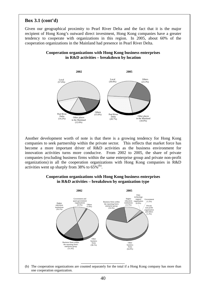## **Box 3.1 (cont'd)**

Given our geographical proximity to Pearl River Delta and the fact that it is the major recipient of Hong Kong's outward direct investment, Hong Kong companies have a greater tendency to cooperate with organizations in this region. In 2005, about 60% of the cooperation organizations in the Mainland had presence in Pearl River Delta.



**Cooperation organizations with Hong Kong business enterprises in R&D activities – breakdown by location** 

Another development worth of note is that there is a growing tendency for Hong Kong companies to seek partnership within the private sector. This reflects that market force has become a more important driver of R&D activities as the business environment for innovation activities turns more conducive. From 2002 to 2005, the share of private companies (excluding business firms within the same enterprise group and private non-profit organizations) in all the cooperation organizations with Hong Kong companies in R&D activities went up sharply from 38% to  $65\%$ <sup>(b)</sup>.

#### **Cooperation organizations with Hong Kong business enterprises in R&D activities – breakdown by organization type**



(b) The cooperation organizations are counted separately for the total if a Hong Kong company has more than one cooperation organization.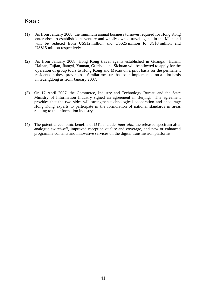## **Notes :**

- (1) As from January 2008, the minimum annual business turnover required for Hong Kong enterprises to establish joint venture and wholly-owned travel agents in the Mainland will be reduced from US\$12 million and US\$25 million to US\$8 million and US\$15 million respectively.
- (2) As from January 2008, Hong Kong travel agents established in Guangxi, Hunan, Hainan, Fujian, Jiangxi, Yunnan, Guizhou and Sichuan will be allowed to apply for the operation of group tours to Hong Kong and Macao on a pilot basis for the permanent residents in these provinces. Similar measure has been implemented on a pilot basis in Guangdong as from January 2007.
- (3) On 17 April 2007, the Commerce, Industry and Technology Bureau and the State Ministry of Information Industry signed an agreement in Beijing. The agreement provides that the two sides will strengthen technological cooperation and encourage Hong Kong experts to participate in the formulation of national standards in areas relating to the information industry.
- (4) The potential economic benefits of DTT include, *inter alia*, the released spectrum after analogue switch-off, improved reception quality and coverage, and new or enhanced programme contents and innovative services on the digital transmission platforms.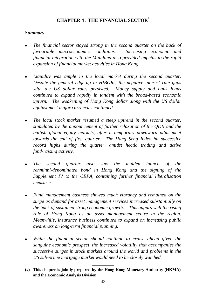# **CHAPTER 4 : THE FINANCIAL SECTOR#**

# *Summary*

- *The financial sector stayed strong in the second quarter on the back of favourable macroeconomic conditions. Increasing economic and financial integration with the Mainland also provided impetus to the rapid expansion of financial market activities in Hong Kong.*
- Liquidity was ample in the local market during the second quarter. *Despite the general edge-up in HIBORs, the negative interest rate gaps with the US dollar rates persisted. Money supply and bank loans continued to expand rapidly in tandem with the broad-based economic upturn. The weakening of Hong Kong dollar along with the US dollar against most major currencies continued.*
- <sup>z</sup>*The local stock market resumed a steep uptrend in the second quarter, stimulated by the announcement of further relaxation of the QDII and the bullish global equity markets, after a temporary downward adjustment towards the end of first quarter. The Hang Seng Index hit successive record highs during the quarter, amidst hectic trading and active fund-raising activity.*
- <sup>z</sup>*The second quarter also saw the maiden launch of the renminbi-denominated bond in Hong Kong and the signing of the Supplement IV to the CEPA, containing further financial liberalization measures.*
- <sup>z</sup>*Fund management business showed much vibrancy and remained on the surge as demand for asset management services increased substantially on the back of sustained strong economic growth. This augurs well the rising role of Hong Kong as an asset management centre in the region. Meanwhile, insurance business continued to expand on increasing public awareness on long-term financial planning.*
- <sup>z</sup>*While the financial sector should continue to cruise ahead given the sanguine economic prospect, the increased volatility that accompanies the successive surges in stock markets around the world and problems in the US sub-prime mortgage market would need to be closely watched.*

**\_\_\_\_\_\_\_\_\_** 

**<sup>(#)</sup> This chapter is jointly prepared by the Hong Kong Monetary Authority (HKMA) and the Economic Analysis Division.**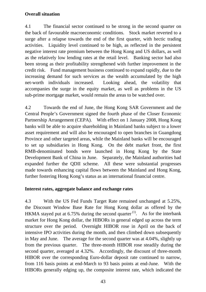# **Overall situation**

4.1 The financial sector continued to be strong in the second quarter on the back of favourable macroeconomic conditions. Stock market reverted to a surge after a relapse towards the end of the first quarter, with hectic trading activities. Liquidity level continued to be high, as reflected in the persistent negative interest rate premium between the Hong Kong and US dollars, as well as the relatively low lending rates at the retail level. Banking sector had also been strong as their profitability strengthened with further improvement in the credit risk. Fund management business continued to expand rapidly, due to the increasing demand for such services as the wealth accumulated by the high net-worth individuals increased. Looking ahead, the volatility that accompanies the surge in the equity market, as well as problems in the US sub-prime mortgage market, would remain the areas to be watched over.

4.2 Towards the end of June, the Hong Kong SAR Government and the Central People's Government signed the fourth phase of the Closer Economic Partnership Arrangement (CEPA). With effect on 1 January 2008, Hong Kong banks will be able to acquire shareholding in Mainland banks subject to a lower asset requirement and will also be encouraged to open branches in Guangdong Province and other targeted areas, while the Mainland banks will be encouraged to set up subsidiaries in Hong Kong. On the debt market front, the first RMB-denominated bonds were launched in Hong Kong by the State Development Bank of China in June. Separately, the Mainland authorities had expanded further the QDII scheme. All these were substantial progresses made towards enhancing capital flows between the Mainland and Hong Kong, further fostering Hong Kong's status as an international financial centre.

# **Interest rates, aggregate balance and exchange rates**

4.3 With the US Fed Funds Target Rate remained unchanged at 5.25%, the Discount Window Base Rate for Hong Kong dollar as offered by the HKMA stayed put at 6.75% during the second quarter  $(1)$ . As for the interbank market for Hong Kong dollar, the HIBORs in general edged up across the term structure over the period. Overnight HIBOR rose in April on the back of intensive IPO activities during the month, and then climbed down subsequently in May and June. The average for the second quarter was at 4.04%, slightly up from the previous quarter. The three-month HIBOR rose steadily during the second quarter, averaged at 4.32%. Accordingly, the discount of three-month HIBOR over the corresponding Euro-dollar deposit rate continued to narrow, from 116 basis points at end-March to 93 basis points at end-June. With the HIBORs generally edging up, the composite interest rate, which indicated the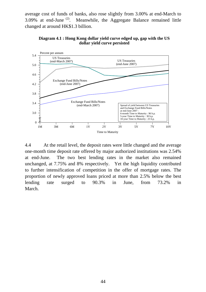average cost of funds of banks, also rose slightly from 3.00% at end-March to  $3.09\%$  at end-June <sup>(2)</sup>. Meanwhile, the Aggregate Balance remained little changed at around HK\$1.3 billion.



**Diagram 4.1 : Hong Kong dollar yield curve edged up, gap with the US dollar yield curve persisted**

4.4 At the retail level, the deposit rates were little changed and the average one-month time deposit rate offered by major authorized institutions was 2.54% at end-June. The two best lending rates in the market also remained unchanged, at 7.75% and 8% respectively. Yet the high liquidity contributed to further intensification of competition in the offer of mortgage rates. The proportion of newly approved loans priced at more than 2.5% below the best lending rate surged to 90.3% in June, from 73.2% in March.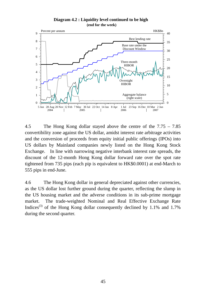

**Diagram 4.2 : Liquidity level continued to be high (end for the week)**

4.5 The Hong Kong dollar stayed above the centre of the 7.75 – 7.85 convertibility zone against the US dollar, amidst interest rate arbitrage activities and the conversion of proceeds from equity initial public offerings (IPOs) into US dollars by Mainland companies newly listed on the Hong Kong Stock Exchange. In line with narrowing negative interbank interest rate spreads, the discount of the 12-month Hong Kong dollar forward rate over the spot rate tightened from 735 pips (each pip is equivalent to HK\$0.0001) at end-March to 555 pips in end-June.

4.6 The Hong Kong dollar in general depreciated against other currencies, as the US dollar lost further ground during the quarter, reflecting the slump in the US housing market and the adverse conditions in its sub-prime mortgage market. The trade-weighted Nominal and Real Effective Exchange Rate Indices<sup>(3)</sup> of the Hong Kong dollar consequently declined by 1.1% and 1.7% during the second quarter.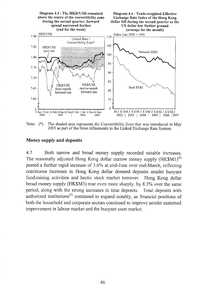

Note:  $(*)$ The shaded area represents the Convertibility Zone that was introduced in May 2005 as part of the three refinements to the Linked Exchange Rate System.

#### Money supply and deposits

4.7 Both narrow and broad money supply recorded notable increases. The seasonally adjusted Hong Kong dollar narrow money supply  $(HK$M1)^{(4)}$ posted a further rapid increase of 3.6% at end-June over end-March, reflecting continuous increases in Hong Kong dollar demand deposits amidst buoyant fund-raising activities and hectic stock market turnover. Hong Kong dollar broad money supply (HK\$M3) rose even more sharply, by 8.3% over the same period, along with the strong increases in time deposits. Total deposits with authorized institutions<sup>(5)</sup> continued to expand notably, as financial positions of both the household and corporate sectors continued to improve amidst sustained improvement in labour market and the buoyant asset market.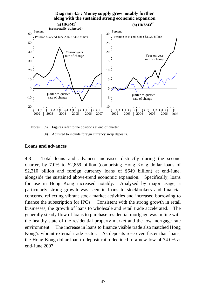

Notes: ( $\wedge$ ) Figures refer to the positions at end of quarter.

(#) Adjusted to include foreign currency swap deposits.

## **Loans and advances**

4.8 Total loans and advances increased distinctly during the second quarter, by 7.0% to \$2,859 billion (comprising Hong Kong dollar loans of \$2,210 billion and foreign currency loans of \$649 billion) at end-June, alongside the sustained above-trend economic expansion. Specifically, loans for use in Hong Kong increased notably. Analysed by major usage, a particularly strong growth was seen in loans to stockbrokers and financial concerns, reflecting vibrant stock market activities and increased borrowing to finance the subscription for IPOs. Consistent with the strong growth in retail businesses, the growth of loans to wholesale and retail trade accelerated. The generally steady flow of loans to purchase residential mortgage was in line with the healthy state of the residential property market and the low mortgage rate environment. The increase in loans to finance visible trade also matched Hong Kong's vibrant external trade sector. As deposits rose even faster than loans, the Hong Kong dollar loan-to-deposit ratio declined to a new low of 74.0% at end-June 2007.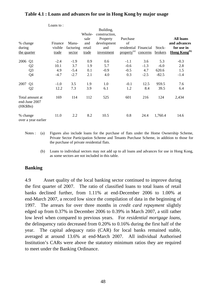|             |                                  | Loans to: |           |        |               |                         |          |         |                          |
|-------------|----------------------------------|-----------|-----------|--------|---------------|-------------------------|----------|---------|--------------------------|
|             |                                  |           |           |        | Building,     |                         |          |         |                          |
|             |                                  |           |           | Whole- | construction, |                         |          |         |                          |
|             |                                  |           |           | sale   | Property      | Purchase                |          |         | <b>All loans</b>         |
| % change    |                                  | Finance   | Manu-     | and    | development   | of                      |          |         | and advances             |
| during      |                                  | visible   | facturing | retail | and           | residential Financial   |          | Stock-  | for use in               |
| the quarter |                                  | trade     | sector    | trade  | investment    | property <sup>(a)</sup> | concerns | brokers | Hong Kong <sup>(b)</sup> |
| 2006        | Q1                               | $-2.4$    | $-1.9$    | 0.9    | 0.6           | $-1.1$                  | 3.6      | 5.3     | $-0.3$                   |
|             | Q <sub>2</sub>                   | 10.1      | 3.7       | 1.9    | 5.7           | $-0.6$                  | $-1.3$   | $-6.0$  | 2.8                      |
|             | Q <sub>3</sub>                   | 4.9       | $-5.4$    | 0.1    | $-0.9$        | $-0.5$                  | 4.7      | 620.6   | 1.5                      |
|             | Q4                               | $-4.7$    | $-2.7$    | 2.1    | 4.0           | 0.3                     | $-2.5$   | $-82.5$ | $-1.4$                   |
| 2007        | Q <sub>1</sub>                   | $-1.0$    | 3.5       | 1.9    | 1.0           | $-0.1$                  | 12.5     | 959.5   | 7.6                      |
|             | Q <sub>2</sub>                   | 12.2      | 7.3       | 3.9    | 6.1           | 1.2                     | 8.4      | 39.5    | 6.4                      |
| (HK\$Bn)    | Total amount at<br>end-June 2007 | 169       | 114       | 112    | 525           | 601                     | 216      | 124     | 2,434                    |
| % change    | over a year earlier              | 11.0      | 2.2       | 8.2    | 10.5          | 0.8                     | 24.4     | 1,760.4 | 14.6                     |

# **Table 4.1 : Loans and advances for use in Hong Kong by major usage**

Notes : (a) Figures also include loans for the purchase of flats under the Home Ownership Scheme, Private Sector Participation Scheme and Tenants Purchase Scheme, in addition to those for the purchase of private residential flats.

 (b) Loans to individual sectors may not add up to all loans and advances for use in Hong Kong, as some sectors are not included in this table.

# **Banking**

4.9 Asset quality of the local banking sector continued to improve during the first quarter of 2007. The ratio of classified loans to total loans of retail banks declined further, from 1.11% at end-December 2006 to 1.00% at end-March 2007, a record low since the compilation of data in the beginning of 1997. The arrears for over three months in *credit card repayment* slightly edged up from 0.37% in December 2006 to 0.39% in March 2007, a still rather low level when compared to previous years. For *residential mortgage loans,*  the delinquency ratio decreased from 0.20% to 0.16% during the first half of the year. The capital adequacy ratio (CAR) for local banks remained stable, averaged at around 13.6% at end-March 2007. All individual Authorised Institution's CARs were above the statutory minimum ratios they are required to meet under the Banking Ordinance.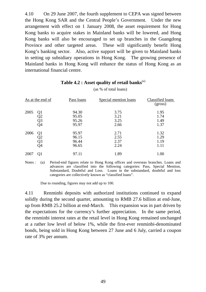4.10 On 29 June 2007, the fourth supplement to CEPA was signed between the Hong Kong SAR and the Central People's Government. Under the new arrangement with effect on 1 January 2008, the asset requirement for Hong Kong banks to acquire stakes in Mainland banks will be lowered, and Hong Kong banks will also be encouraged to set up branches in the Guangdong Province and other targeted areas. These will significantly benefit Hong Kong's banking sector. Also, active support will be given to Mainland banks in setting up subsidiary operations in Hong Kong. The growing presence of Mainland banks in Hong Kong will enhance the status of Hong Kong as an international financial centre.

|      | As at the end of     | Pass loans                       | Special mention loans        | Classified loans<br>(gross)  |
|------|----------------------|----------------------------------|------------------------------|------------------------------|
| 2005 | Q1<br>Q2<br>Q3<br>Q4 | 94.30<br>95.05<br>95.26<br>95.97 | 3.75<br>3.21<br>3.25<br>2.66 | 1.95<br>1.74<br>1.49<br>1.37 |
| 2006 | Q1<br>Q2<br>Q3<br>Q4 | 95.97<br>96.15<br>96.44<br>96.65 | 2.71<br>2.55<br>2.37<br>2.24 | 1.32<br>1.29<br>1.19<br>1.11 |
| 2007 | Q1                   | 97.11                            | 1.89                         | 1.00                         |

# **Table 4.2 : Asset quality of retail banks**(a)

(as % of total loans)

Notes : (a) Period-end figures relate to Hong Kong offices and overseas branches. Loans and advances are classified into the following categories: Pass, Special Mention, Substandard, Doubtful and Loss. Loans in the substandard, doubtful and loss categories are collectively known as "classified loans".

Due to rounding, figures may not add up to 100.

4.11 Renminbi deposits with authorized institutions continued to expand solidly during the second quarter, amounting to RMB 27.6 billion at end-June, up from RMB 25.2 billion at end-March. This expansion was in part driven by the expectations for the currency's further appreciation. In the same period, the renminbi interest rates at the retail level in Hong Kong remained unchanged at a rather low level of below 1%, while the first-ever renminbi-denominated bonds, being sold in Hong Kong between 27 June and 6 July, carried a coupon rate of 3% per annum.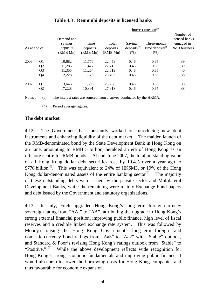|              |                |                                               |                              | Interest rates on $(a)$       |                                              |                                                       |                                                                  |  |
|--------------|----------------|-----------------------------------------------|------------------------------|-------------------------------|----------------------------------------------|-------------------------------------------------------|------------------------------------------------------------------|--|
| As at end of |                | Demand and<br>savings<br>deposits<br>(RMB Mn) | Time<br>deposits<br>(RMB Mn) | Total<br>deposits<br>(RMB Mn) | Saving<br>$\text{deposits}^{(b)}$<br>$(\% )$ | Three-month<br>$time$ deposits <sup>(b)</sup><br>(% ) | Number of<br>licensed banks<br>engaged in<br><b>RMB</b> business |  |
| 2006         | Q1             | 10,682                                        | 11,776                       | 22,458                        | 0.46                                         | 0.65                                                  | 39                                                               |  |
|              | Q <sub>2</sub> | 11,285                                        | 11,427                       | 22,712                        | 0.46                                         | 0.65                                                  | 39                                                               |  |
|              | Q <sub>3</sub> | 11,355                                        | 11,264                       | 22,619                        | 0.46                                         | 0.65                                                  | 40                                                               |  |
|              | Q <sub>4</sub> | 12,228                                        | 11,175                       | 23,403                        | 0.46                                         | 0.65                                                  | 38                                                               |  |
| 2007         | Q <sub>1</sub> | 13,643                                        | 11,595                       | 25,238                        | 0.46                                         | 0.65                                                  | 38                                                               |  |
|              | Q <sub>2</sub> | 17,228                                        | 10,391                       | 27,618                        | 0.46                                         | 0.65                                                  | 38                                                               |  |

# **Table 4.3 : Renminbi deposits in licensed banks**

Notes : (a) The interest rates are sourced from a survey conducted by the HKMA.

(b) Period average figures.

## **The debt market**

4.12 The Government has constantly worked on introducing new debt instruments and enhancing liquidity of the debt market. The maiden launch of the RMB-denominated bond by the State Development Bank in Hong Kong on 26 June, amounting to RMB 5 billion, heralded an era of Hong Kong as an offshore centre for RMB bonds. At end-June 2007, the total outstanding value of all Hong Kong dollar debt securities rose by 10.4% over a year ago to  $$776 billion<sup>(6)</sup>$ . This was equivalent to 24% of HK\$M3, or 19% of the Hong Kong dollar-denominated assets of the entire banking sector<sup>(7)</sup>. The majority of these outstanding debts were issued by the private sector and Multilateral Development Banks, while the remaining were mainly Exchange Fund papers and debt issued by the Government and statutory organizations.

4.13 In July, Fitch upgraded Hong Kong's long-term foreign-currency sovereign rating from "AA-" to "AA", attributing the upgrade to Hong Kong's strong external financial position, improving public finance, high level of fiscal reserves and a credible linked exchange rate system. This was followed by Moody's raising the Hong Kong Government's long-term foreign- and domestic-currency bond ratings from "Aa3" to "Aa2" with "Stable" outlook, and Standard & Poor's revising Hong Kong's ratings outlook from "Stable" to "Positive." (8) While the above development reflects wide recognition for Hong Kong's strong economic fundamentals and improving public finance, it would also help to lower the borrowing costs for Hong Kong companies and thus favourable for economic expansion.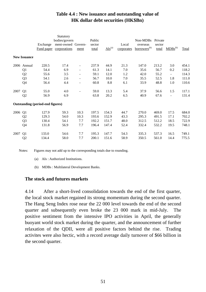# **Table 4.4 : New issuance and outstanding value of HK dollar debt securities (HK\$Bn)**

|      |                     |                                         | Statutory          |                              |        |                        |            |                          |              |                          |       |
|------|---------------------|-----------------------------------------|--------------------|------------------------------|--------|------------------------|------------|--------------------------|--------------|--------------------------|-------|
|      |                     | bodies/govern                           |                    |                              | Public |                        |            | Non-MDBs                 | Private      |                          |       |
|      |                     | Exchange                                | ment-owned Govern- |                              | sector |                        | Local      | overseas                 | sector       |                          |       |
|      |                     | Fund paper                              | corporations       | ment                         | total  | $\overline{AIs}^{(a)}$ | corporates | borrowers <sup>(b)</sup> | <u>total</u> | $MDBs^{(b)}$             | Total |
|      | <b>New Issuance</b> |                                         |                    |                              |        |                        |            |                          |              |                          |       |
|      | 2006 Annual         | 220.5                                   | 17.4               | $\overline{\phantom{m}}$     | 237.9  | 44.9                   | 21.3       | 147.0                    | 213.2        | 3.0                      | 454.1 |
|      | Q1                  | 54.4                                    | 6.9                |                              | 61.3   | 14.1                   | 7.0        | 35.6                     | 56.7         | 0.2                      | 118.2 |
|      | Q <sub>2</sub>      | 55.6                                    | 3.5                | $\qquad \qquad \blacksquare$ | 59.1   | 12.0                   | 1.2        | 42.0                     | 55.2         | $\overline{\phantom{a}}$ | 114.3 |
|      | Q <sub>3</sub>      | 54.1                                    | 2.6                | Ξ.                           | 56.7   | 10.0                   | 7.0        | 35.5                     | 52.5         | 1.8                      | 111.0 |
|      | Q <sub>4</sub>      | 56.4                                    | 4.4                | $\qquad \qquad \blacksquare$ | 60.8   | 8.8                    | 6.1        | 33.9                     | 48.8         | 1.0                      | 110.6 |
| 2007 | Q1                  | 55.0                                    | 4.0                |                              | 59.0   | 13.3                   | 5.4        | 37.9                     | 56.6         | 1.5                      | 117.1 |
|      | Q2                  | 56.9                                    | 6.9                |                              | 63.8   | 20.2                   | 6.5        | 40.9                     | 67.6         | $\overline{\phantom{a}}$ | 131.4 |
|      |                     | <b>Outstanding (period-end figures)</b> |                    |                              |        |                        |            |                          |              |                          |       |
| 2006 | Q <sub>1</sub>      | 127.9                                   | 59.3               | 10.3                         | 197.5  | 154.3                  | 44.7       | 270.0                    | 469.0        | 17.5                     | 684.0 |
|      | Q <sub>2</sub>      | 129.3                                   | 54.0               | 10.3                         | 193.6  | 152.9                  | 43.3       | 295.3                    | 491.5        | 17.1                     | 702.2 |
|      | Q <sub>3</sub>      | 130.4                                   | 54.1               | 7.7                          | 192.2  | 151.7                  | 48.0       | 312.5                    | 512.2        | 18.5                     | 722.9 |
|      | Q <sub>4</sub>      | 131.8                                   | 56.9               | 7.7                          | 196.4  | 147.4                  | 52.4       | 332.4                    | 532.2        | 19.5                     | 748.1 |
| 2007 | Q1                  | 133.0                                   | 54.6               | 7.7                          | 195.3  | 147.7                  | 54.3       | 335.3                    | 537.3        | 16.5                     | 749.1 |
|      | Q2                  | 134.4                                   | 58.0               | 7.7                          | 200.1  | 151.6                  | 58.9       | 350.5                    | 561.0        | 14.4                     | 775.5 |

Notes: Figures may not add up to the corresponding totals due to rounding.

- (a) AIs : Authorized Institutions.
- (b) MDBs : Multilateral Development Banks.

## **The stock and futures markets**

4.14 After a short-lived consolidation towards the end of the first quarter, the local stock market regained its strong momentum during the second quarter. The Hang Seng Index rose near the 22 000 level towards the end of the second quarter and subsequently even broke the 23 000 mark in mid-July. The positive sentiment from the intensive IPO activities in April, the generally buoyant world stock market during the quarter, and the announcement of further relaxation of the QDII, were all positive factors behind the rise. Trading activites were also hectic, with a record average daily turnover of \$66 billion in the second quarter.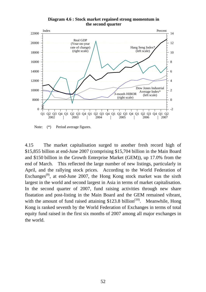

**Diagram 4.6 : Stock market regained strong momentum in the second quarter**

Note: (\*) Period average figures.

4.15 The market capitalisation surged to another fresh record high of \$15,855 billion at end-June 2007 (comprising \$15,704 billion in the Main Board and \$150 billion in the Growth Enterprise Market (GEM)), up 17.0% from the end of March. This reflected the large number of new listings, particularly in April, and the rallying stock prices. According to the World Federation of Exchanges<sup>(9)</sup>, at end-June 2007, the Hong Kong stock market was the sixth largest in the world and second largest in Asia in terms of market capitalisation. In the second quarter of 2007, fund raising activities through new share floatation and post-listing in the Main Board and the GEM remained vibrant, with the amount of fund raised attaining  $$123.8$  billion<sup>(10)</sup>. Meanwhile, Hong Kong is ranked seventh by the World Federation of Exchanges in terms of total equity fund raised in the first six months of 2007 among all major exchanges in the world.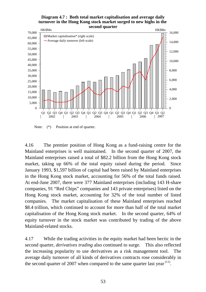#### **Diagram 4.7 : Both total market capitalisation and average daily turnover in the Hong Kong stock market surged to new highs in the second quarter**



Note:  $(*)$  Position at end of quarter.

4.16 The premier position of Hong Kong as a fund-raising centre for the Mainland enterprises is well maintained. In the second quarter of 2007, the Mainland enterprises raised a total of \$82.2 billion from the Hong Kong stock market, taking up 66% of the total equity raised during the period. Since January 1993, \$1,597 billion of capital had been raised by Mainland enterprises in the Hong Kong stock market, accounting for 56% of the total funds raised. At end-June 2007, there were 377 Mainland enterprises (including 143 H-share companies, 91 "Red Chips" companies and 143 private enterprises) listed on the Hong Kong stock market, accounting for 32% of the total number of listed companies. The market capitalisation of these Mainland enterprises reached \$8.4 trillion, which continued to account for more than half of the total market capitalisation of the Hong Kong stock market. In the second quarter, 64% of equity turnover in the stock market was contributed by trading of the above Mainland-related stocks.

4.17 While the trading activities in the equity market had been hectic in the second quarter, *derivatives trading* also continued to surge. This also reflected the increasing popularity to use derivatives as a risk management tool. The average daily turnover of all kinds of derivatives contracts rose considerably in the second quarter of 2007 when compared to the same quarter last year  $(11)$ .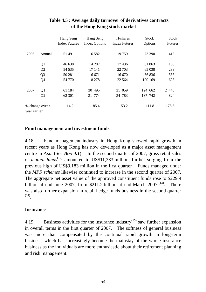|              |                 | Hang Seng<br><b>Index Futures</b> | Hang Seng<br><b>Index Options</b> | H-shares<br><b>Index Futures</b> | <b>Stock</b><br><b>Options</b> | Stock<br><b>Futures</b> |
|--------------|-----------------|-----------------------------------|-----------------------------------|----------------------------------|--------------------------------|-------------------------|
| 2006         | Annual          | 51 491                            | 16 5 8 2                          | 19759                            | 73 390                         | 413                     |
|              | Q <sub>1</sub>  | 46 638                            | 14 287                            | 17436                            | 61 863                         | 163                     |
|              | Q <sub>2</sub>  | 54 5 35                           | 17 141                            | 22 703                           | 65 038                         | 299                     |
|              | Q <sub>3</sub>  | 50 281                            | 16 671                            | 16 670                           | 66 836                         | 553                     |
|              | Q <sub>4</sub>  | 54 770                            | 18 27 8                           | 22 5 64                          | 100 169                        | 628                     |
| 2007         | Q <sub>1</sub>  | 61 184                            | 30 495                            | 31 059                           | 124 662                        | 2 4 4 8                 |
|              | Q <sub>2</sub>  | 62 301                            | 31 774                            | 34 783                           | 137 742                        | 824                     |
| year earlier | % change over a | 14.2                              | 85.4                              | 53.2                             | 111.8                          | 175.6                   |

# **Table 4.5 : Average daily turnover of derivatives contracts of the Hong Kong stock market**

# **Fund management and investment funds**

4.18 Fund management industry in Hong Kong showed rapid growth in recent years as Hong Kong has now developed as a major asset management centre in Asia (See *Box 4.1*). In the second quarter of 2007, gross retail sales of *mutual funds*(12) amounted to US\$11,383 million, further surging from the previous high of US\$9,183 million in the first quarter. Funds managed under the *MPF schemes* likewise continued to increase in the second quarter of 2007. The aggregate net asset value of the approved constituent funds rose to \$229.9 billion at end-June 2007, from \$211.2 billion at end-March 2007<sup> $(13)$ </sup>. There was also further expansion in retail hedge funds business in the second quarter (14).

## **Insurance**

4.19 Business activities for the insurance industry<sup> $(15)$ </sup> saw further expansion in overall terms in the first quarter of 2007. The softness of general business was more than compensated by the continual rapid growth in long-term business, which has increasingly become the mainstay of the whole insurance business as the individuals are more enthusiastic about their retirement planning and risk management.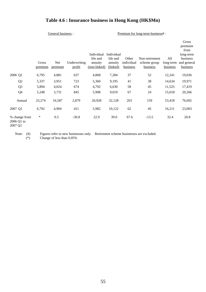# **Table 4.6 : Insurance business in Hong Kong (HK\$Mn)**

#### General business : <br> Premium for long-term business# :

|                                                 |                  |                |                        | Individual<br>life and  | Individual<br>life and | Other                  | Non-retirement           | All                   | Gross<br>premium<br>from<br>long-term<br>business |
|-------------------------------------------------|------------------|----------------|------------------------|-------------------------|------------------------|------------------------|--------------------------|-----------------------|---------------------------------------------------|
|                                                 | Gross<br>premium | Net<br>premium | Underwriting<br>profit | annuity<br>(non-linked) | annuity<br>(linked)    | individual<br>business | scheme group<br>business | long-term<br>business | and general<br>business                           |
| 2006 Q1                                         | 6,795            | 4,881          | 637                    | 4,868                   | 7,284                  | 37                     | 52                       | 12,241                | 19,036                                            |
| Q <sub>2</sub>                                  | 5,337            | 3,951          | 723                    | 5,360                   | 9,195                  | 41                     | 38                       | 14,634                | 19,971                                            |
| Q <sub>3</sub>                                  | 5,894            | 4,024          | 674                    | 4,792                   | 6,630                  | 58                     | 45                       | 11,525                | 17,419                                            |
| Q <sub>4</sub>                                  | 5,248            | 3,731          | 845                    | 5,908                   | 9,019                  | 67                     | 24                       | 15,018                | 20,266                                            |
| Annual                                          | 23,274           | 16,587         | 2,879                  | 20,928                  | 32,128                 | 203                    | 159                      | 53,418                | 76,692                                            |
| 2007 Q1                                         | 6,792            | 4,904          | 411                    | 5,982                   | 10,122                 | 62                     | 45                       | 16,211                | 23,003                                            |
| % change from<br>2006 Q1 to<br>2007. $\Omega$ 1 | $\ast$           | 0.5            | $-30.8$                | 22.9                    | 39.0                   | 67.6                   | $-13.5$                  | 32.4                  | 20.8                                              |

2007 Q1

Note: (#) Figures refer to new businesses only. Retirement scheme businesses are excluded.

(\*) Change of less than 0.05%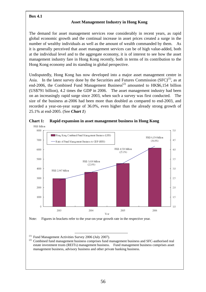## **Box 4.1**

## **Asset Management Industry in Hong Kong**

The demand for asset management services rose considerably in recent years, as rapid global economic growth and the continual increase in asset prices created a surge in the number of wealthy individuals as well as the amount of wealth commanded by them. As it is generally perceived that asset management services can be of high value-added, both at the individual level and to the aggregate economy, it is of interest to see how the asset management industry fare in Hong Kong recently, both in terms of its contribution to the Hong Kong economy and its standing in global perspective.

Undisputedly, Hong Kong has now developed into a major asset management centre in Asia. In the latest survey done by the Securities and Futures Commission  $(SFC)^{(1)}$ , as at end-2006, the Combined Fund Management Business<sup>(2)</sup> amounted to HK\$6.154 billion (US\$791 billion), 4.2 times the GDP in 2006. The asset management industry had been on an increasingly rapid surge since 2003, when such a survey was first conducted. The size of the business at-2006 had been more than doubled as compared to end-2003, and recorded a year-on-year surge of 36.0%, even higher than the already strong growth of 25.1% at end-2005. (See *Chart 1*)



**Chart 1: Rapid expansion in asset management business in Hong Kong** 

Note: Figures in brackets refer to the year-on-year growth rate in the respective year.

(1) Fund Management Activities Survey 2006 (July 2007).

<sup>(2)</sup> Combined fund management business comprises fund management business and SFC-authorised real estate investment trusts (REITs) management business. Fund management business comprises asset management business, advisory business and other private banking business.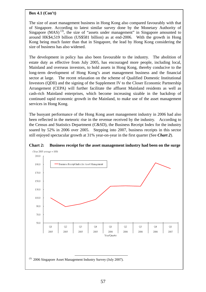#### **Box 4.1 (Con't)**

The size of asset management business in Hong Kong also compared favourably with that of Singapore. According to latest similar survey done by the Monetary Authority of Singapore  $(MAS)^{(3)}$ , the size of "assets under management" in Singapore amounted to around HK\$4,519 billion (US\$581 billion) as at end-2006. With the growth in Hong Kong being much faster than that in Singapore, the lead by Hong Kong considering the size of business has also widened.

The development in policy has also been favourable to the industry. The abolition of estate duty as effective from July 2005, has encouraged more people, including local, Mainland and overseas investors, to hold assets in Hong Kong, thereby conducive to the long-term development of Hong Kong's asset management business and the financial sector at large. The recent relaxation on the scheme of Qualified Domestic Institutional Investors (QDII) and the signing of the Supplement IV to the Closer Economic Partnership Arrangement (CEPA) will further facilitate the affluent Mainland residents as well as cash-rich Mainland enterprises, which become increasing sizable in the backdrop of continued rapid economic growth in the Mainland, to make use of the asset management services in Hong Kong.

The buoyant performance of the Hong Kong asset management industry in 2006 had also been reflected in the meteoric rise in the revenue received by the industry. According to the Census and Statistics Department (C&SD), the Business Receipt Index for the industry soared by 52% in 2006 over 2005. Stepping into 2007, business receipts in this sector still enjoyed spectacular growth at 31% year-on-year in the first quarter (See *Chart 2*).



## **Chart 2: Business receipt for the asset management industry had been on the surge**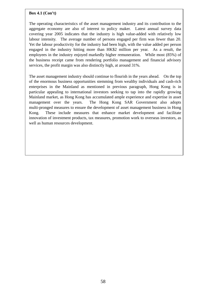#### **Box 4.1 (Con't)**

The operating characteristics of the asset management industry and its contribution to the aggregate economy are also of interest to policy maker. Latest annual survey data covering year 2005 indicates that the industry is high value-added with relatively low labour intensity. The average number of persons engaged per firm was fewer than 20. Yet the labour productivity for the industry had been high, with the value added per person engaged in the industry hitting more than HK\$2 million per year. As a result, the employees in the industry enjoyed markedly higher remuneration. While most (85%) of the business receipt came from rendering portfolio management and financial advisory services, the profit margin was also distinctly high, at around 31%.

The asset management industry should continue to flourish in the years ahead. On the top of the enormous business opportunities stemming from wealthy individuals and cash-rich enterprises in the Mainland as mentioned in previous paragraph, Hong Kong is in particular appealing to international investors seeking to tap into the rapidly growing Mainland market, as Hong Kong has accumulated ample experience and expertise in asset management over the years. The Hong Kong SAR Government also adopts multi-pronged measures to ensure the development of asset management business in Hong Kong. These include measures that enhance market development and facilitate innovation of investment products, tax measures, promotion work to overseas investors, as well as human resources development.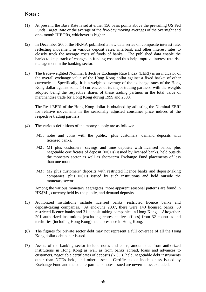## **Notes :**

- (1) At present, the Base Rate is set at either 150 basis points above the prevailing US Fed Funds Target Rate or the average of the five-day moving averages of the overnight and one- month HIBORs, whichever is higher.
- (2) In December 2005, the HKMA published a new data series on composite interest rate, reflecting movement in various deposit rates, interbank and other interest rates to closely track the average costs of funds of banks. The published data enable the banks to keep track of changes in funding cost and thus help improve interest rate risk management in the banking sector.
- (3) The trade-weighted Nominal Effective Exchange Rate Index (EERI) is an indicator of the overall exchange value of the Hong Kong dollar against a fixed basket of other currencies. Specifically, it is a weighted average of the exchange rates of the Hong Kong dollar against some 14 currencies of its major trading partners, with the weights adopted being the respective shares of these trading partners in the total value of merchandise trade for Hong Kong during 1999 and 2000.

 The Real EERI of the Hong Kong dollar is obtained by adjusting the Nominal EERI for relative movements in the seasonally adjusted consumer price indices of the respective trading partners.

- (4) The various definitions of the money supply are as follows:
	- M1 : notes and coins with the public, plus customers' demand deposits with licensed banks.
	- M2 : M1 plus customers' savings and time deposits with licensed banks, plus negotiable certificates of deposit (NCDs) issued by licensed banks, held outside the monetary sector as well as short-term Exchange Fund placements of less than one month.
	- M3 : M2 plus customers' deposits with restricted licence banks and deposit-taking companies, plus NCDs issued by such institutions and held outside the monetary sector.

 Among the various monetary aggregates, more apparent seasonal patterns are found in HK\$M1, currency held by the public, and demand deposits.

- (5) Authorized institutions include licensed banks, restricted licence banks and deposit-taking companies. At end-June 2007, there were 140 licensed banks, 30 restricted licence banks and 31 deposit-taking companies in Hong Kong. Altogether, 201 authorized institutions (excluding representative offices) from 32 countries and territories (including Hong Kong) had a presence in Hong Kong.
- (6) The figures for private sector debt may not represent a full coverage of all the Hong Kong dollar debt paper issued.
- (7) Assets of the banking sector include notes and coins, amount due from authorized institutions in Hong Kong as well as from banks abroad, loans and advances to customers, negotiable certificates of deposits (NCDs) held, negotiable debt instruments other than NCDs held, and other assets. Certificates of indebtedness issued by Exchange Fund and the counterpart bank notes issued are nevertheless excluded.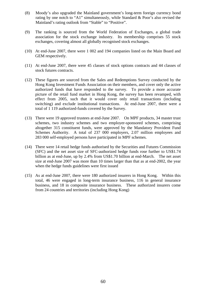- (8) Moody's also upgraded the Mainland government's long-term foreign currency bond rating by one notch to "A1" simultaneously, while Standard & Poor's also revised the Mainland's rating outlook from "Stable" to "Positive".
- (9) The ranking is sourced from the World Federation of Exchanges, a global trade association for the stock exchange industry. Its membership comprises 55 stock exchanges, covering almost all globally recognised stock exchanges.
- (10) At end-June 2007, there were 1 002 and 194 companies listed on the Main Board and GEM respectively.
- (11) At end-June 2007, there were 45 classes of stock options contracts and 44 classes of stock futures contracts.
- (12) These figures are sourced from the Sales and Redemptions Survey conducted by the Hong Kong Investment Funds Association on their members, and cover only the active authorized funds that have responded to the survey. To provide a more accurate picture of the retail fund market in Hong Kong, the survey has been revamped, with effect from 2005, such that it would cover only retail transactions (including switching) and exclude institutional transactions. At end-June 2007, there were a total of 1 119 authorized-funds covered by the Survey.
- (13) There were 19 approved trustees at end-June 2007. On MPF products, 34 master trust schemes, two industry schemes and two employer-sponsored schemes, comprising altogether 315 constituent funds, were approved by the Mandatory Provident Fund Schemes Authority. A total of 237 000 employers, 2.07 million employees and 283 000 self-employed persons have participated in MPF schemes.
- (14) There were 14 retail hedge funds authorised by the Securities and Futures Commission (SFC) and the net asset size of SFC-authorized hedge funds rose further to US\$1.74 billion as at end-June, up by 2.4% from US\$1.70 billion at end-March. The net asset size at end-June 2007 was more than 10 times larger than that as at end-2002, the year when the hedge funds guidelines were first issued
- (15) As at end-June 2007, there were 180 authorized insurers in Hong Kong. Within this total, 46 were engaged in long-term insurance business, 116 in general insurance business, and 18 in composite insurance business. These authorized insurers come from 24 countries and territories (including Hong Kong)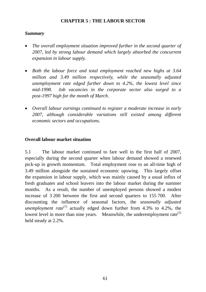# **CHAPTER 5 : THE LABOUR SECTOR**

## *Summary*

- *The overall employment situation improved further in the second quarter of 2007, led by strong labour demand which largely absorbed the concurrent expansion in labour supply.*
- *Both the labour force and total employment reached new highs at 3.64 million and 3.49 million respectively, while the seasonally adjusted unemployment rate edged further down to 4.2%, the lowest level since mid-1998. Job vacancies in the corporate sector also surged to a post-1997 high for the month of March.*
- *Overall labour earnings continued to register a moderate increase in early 2007, although considerable variations still existed among different economic sectors and occupations.*

# **Overall labour market situation**

5.1 The labour market continued to fare well in the first half of 2007, especially during the second quarter when labour demand showed a renewed pick-up in growth momentum. Total employment rose to an all-time high of 3.49 million alongside the sustained economic upswing. This largely offset the expansion in labour supply, which was mainly caused by a usual influx of fresh graduates and school leavers into the labour market during the summer months. As a result, the number of unemployed persons showed a modest increase of 3 200 between the first and second quarters to 155 700. After discounting the influence of seasonal factors, the *seasonally adjusted unemployment rate*<sup>(1)</sup> actually edged down further from 4.3% to 4.2%, the lowest level in more than nine years. Meanwhile, the underemployment rate<sup>(2)</sup> held steady at 2.2%.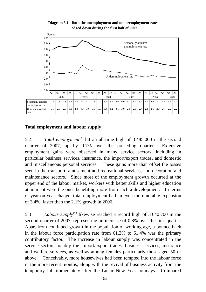

**Diagram 5.1 : Both the unemployment and underemployment rates edged down during the first half of 2007**

# **Total employment and labour supply**

5.2 *Total employment*(3) hit an all-time high of 3 485 000 in the second quarter of 2007, up by 0.7% over the preceding quarter. Extensive employment gains were observed in many service sectors, including in particular business services, insurance, the import/export trades, and domestic and miscellaneous personal services. These gains more than offset the losses seen in the transport, amusement and recreational services, and decoration and maintenance sectors. Since most of the employment growth occurred at the upper end of the labour market, workers with better skills and higher education attainment were the ones benefiting more from such a development. In terms of year-on-year change, total employment had an even more notable expansion of 3.4%, faster than the 2.1% growth in 2006.

5.3 *Labour supply*(4) likewise reached a record high of 3 640 700 in the second quarter of 2007, representing an increase of 0.8% over the first quarter. Apart from continued growth in the population of working age, a bounce-back in the labour force participation rate from 61.2% to 61.4% was the primary contributory factor. The increase in labour supply was concentrated in the service sectors notably the import/export trades, business services, insurance and welfare services, as well as among females particularly those aged 50 or above. Conceivably, more housewives had been tempted into the labour force in the more recent months, along with the revival of business activity from the temporary lull immediately after the Lunar New Year holidays. Compared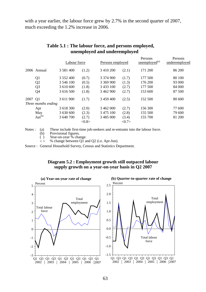with a year earlier, the labour force grew by 2.7% in the second quarter of 2007, much exceeding the 1.2% increase in 2006.

|         |                     | Labour force  |       | Persons employed |                 | Persons<br>unemployed <sup>(a)</sup> | Persons<br>underemployed |
|---------|---------------------|---------------|-------|------------------|-----------------|--------------------------------------|--------------------------|
|         | 2006 Annual         | 3 5 8 1 4 0 0 | (1.2) | 3 410 200        | (2.1)           | 171 200                              | 86 200                   |
|         | Q <sub>1</sub>      | 3 552 400     | (0.7) | 3 3 7 4 9 0 0    | (1.7)           | 177 500                              | 80 100                   |
|         | Q <sub>2</sub>      | 3 546 100     | (0.5) | 3 369 900        | (1.3)           | 176 200                              | 93 000                   |
|         | Q <sub>3</sub>      | 3 610 600     | (1.8) | 3 4 3 3 1 0 0    | (2.7)           | 177 500                              | 84 000                   |
|         | Q <sub>4</sub>      | 3 616 500     | (1.8) | 3 462 900        | (2.7)           | 153 600                              | 87 500                   |
| 2007 Q1 |                     | 3 611 900     | (1.7) | 3 459 400        | (2.5)           | 152 500                              | 80 600                   |
|         | Three months ending |               |       |                  |                 |                                      |                          |
|         | Apr                 | 3 618 300     | (2.0) | 3 462 000        | (2.7)           | 156 300                              | 77 600                   |
|         | May                 | 3 630 600     | (2.3) | 3 475 100        | (2.8)           | 155 500                              | 79 600                   |
|         | $Jun^{(b)}$         | 3 640 700     | (2.7) | 3 485 000        | (3.4)           | 155 700                              | 81 200                   |
|         |                     |               | <0.8> |                  | $<\!\!0.7\!\!>$ |                                      |                          |

# **Table 5.1 : The labour force, and persons employed, unemployed and underemployed**

Notes : (a) These include first-time job-seekers and re-entrants into the labour force.

(b) Provisional figures.

( ) Year-on-year % change.

 $\langle \rangle$  % change between Q1 and Q2 (i.e. Apr-Jun).

Source : General Household Survey, Census and Statistics Department.

## **Diagram 5.2 : Employment growth still outpaced labour supply growth on a year-on-year basis in Q2 2007**



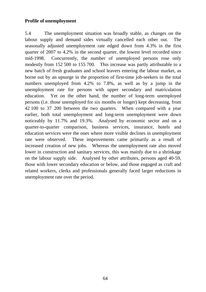# **Profile of unemployment**

5.4 The unemployment situation was broadly stable, as changes on the labour supply and demand sides virtually cancelled each other out. The seasonally adjusted unemployment rate edged down from 4.3% in the first quarter of 2007 to 4.2% in the second quarter, the lowest level recorded since mid-1998. Concurrently, the number of unemployed persons rose only modestly from 152 500 to 155 700. This increase was partly attributable to a new batch of fresh graduates and school leavers entering the labour market, as borne out by an upsurge in the proportion of first-time job-seekers in the total numbers unemployed from 4.2% to 7.8%, as well as by a jump in the unemployment rate for persons with upper secondary and matriculation education. Yet on the other hand, the number of long-term unemployed persons (i.e. those unemployed for six months or longer) kept decreasing, from 42 100 to 37 200 between the two quarters. When compared with a year earlier, both total unemployment and long-term unemployment were down noticeably by 11.7% and 19.3%. Analysed by economic sector and on a quarter-to-quarter comparison, business services, insurance, hotels and education services were the ones where more visible declines in unemployment rate were observed. These improvements came primarily as a result of increased creation of new jobs. Whereas the unemployment rate also moved lower in construction and sanitary services, this was mainly due to a shrinkage on the labour supply side. Analysed by other attributes, persons aged 40-59, those with lower secondary education or below, and those engaged as craft and related workers, clerks and professionals generally faced larger reductions in unemployment rate over the period.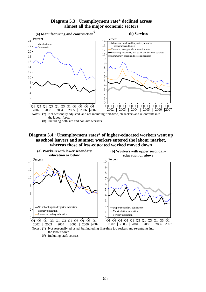#### **Diagram 5.3 : Unemployment rate\* declined across almost all the major economic sectors**



### **Diagram 5.4 : Unemployment rates\* of higher-educated workers went up as school leavers and summer workers entered the labour market, whereas those of less-educated worked moved down**



the labour force. (#) Including craft courses.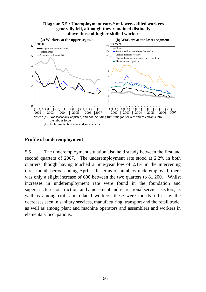### **Diagram 5.5 : Unemployment rates\* of lower-skilled workers generally fell, although they remained distinctly above those of higher-skilled workers**



# **Profile of underemployment**

5.5 The underemployment situation also held steady between the first and second quarters of 2007. The underemployment rate stood at 2.2% in both quarters, though having touched a nine-year low of 2.1% in the intervening three-month period ending April. In terms of numbers underemployed, there was only a slight increase of 600 between the two quarters to 81 200. Whilst increases in underemployment rate were found in the foundation and superstructure construction, and amusement and recreational services sectors, as well as among craft and related workers, these were mostly offset by the decreases seen in sanitary services, manufacturing, transport and the retail trade, as well as among plant and machine operators and assemblers and workers in elementary occupations.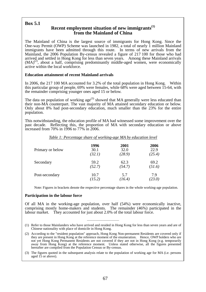## **Box 5.1**

## **Recent employment situation of new immigrants(1) from the Mainland of China**

The Mainland of China is the largest source of immigrants for Hong Kong. Since the One-way Permit (OWP) Scheme was launched in 1982, a total of nearly 1 million Mainland immigrants have been admitted through this route. In terms of new arrivals from the Mainland, the 2006 Population By-census revealed a figure of 217 100 for those who had arrived and settled in Hong Kong for less than seven years. Among these Mainland arrivals  $(MA)^{(2)}$ , about a half, comprising predominantly middle-aged women, were economically active within the local workforce.

### **Education attainment of recent Mainland arrivals**

In 2006, the 217 100 MA accounted for 3.2% of the total population in Hong Kong. Within this particular group of people, 69% were females, while 68% were aged between 15-64, with the remainder comprising younger ones aged 15 or below.

The data on population of working  $age^{(3)}$  showed that MA generally were less educated than their non-MA counterpart. The vast majority of MA attained secondary education or below. Only about 8% had post-secondary education, much smaller than the 23% for the entire population.

This notwithstanding, the education profile of MA had witnessed some improvement over the past decade. Reflecting this, the proportion of MA with secondary education or above increased from 70% in 1996 to 77% in 2006.

| Table 1: Percentage share of working-age MA by education level |        |        |        |  |  |  |
|----------------------------------------------------------------|--------|--------|--------|--|--|--|
| Primary or below                                               | 1996   | 2001   | 2006   |  |  |  |
|                                                                | 30.1   | 32.0   | 22.9   |  |  |  |
|                                                                | (32.1) | (28.9) | (25.4) |  |  |  |
| Secondary                                                      | 59.2   | 62.3   | 69.2   |  |  |  |
|                                                                | (52.7) | (54.7) | (51.6) |  |  |  |
| Post-secondary                                                 | 10.7   | 5.7    | 7.9    |  |  |  |
|                                                                | (15.2) | (16.4) | (23.0) |  |  |  |

Note: Figures in brackets denote the respective percentage shares in the whole working-age population.

### **Participation in the labour force**

Of all MA in the working-age population, over half (54%) were economically inactive, comprising mostly home-makers and students. The remainder (46%) participated in the labour market. They accounted for just about 2.0% of the total labour force.

 $\_$ 

<sup>(1)</sup> Refer to those Mainlanders who have arrived and resided in Hong Kong for less than seven years and are of Chinese nationality with place of domicile in Hong Kong.

<sup>(2)</sup> According to the "resident population" approach, Hong Kong Non-permanent Residents are covered only if they are present in Hong Kong at the reference moment of the enumeration. Hence, OWP holders who are not yet Hong Kong Permanent Residents are not covered if they are not in Hong Kong (e.g. temporarily away from Hong Kong) at the reference moment. Unless stated otherwise, all the figures presented hereafter are compiled from the Population Census or By-census.

<sup>(3)</sup> The figures quoted in the subsequent analysis relate to the population of working age for MA (i.e. persons aged 15 or above).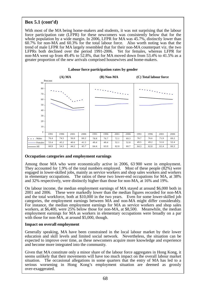## **Box 5.1 (cont'd)**

With most of the MA being home-makers and students, it was not surprising that the labour force participation rate (LFPR) for these newcomers was consistently below that for the whole population by a wide margin. In 2006, LFPR for MA was 45.7%, distinctly lower than 60.7% for non-MA and 60.3% for the total labour force. Also worth noting was that the trend of male LFPR for MA largely resembled that for their non-MA counterpart viz. the two LFPRs both declined over the period 1991-2006. Yet for females, whereas LFPR for non-MA went up from 49.4% to 52.8%, that for MA moved down from 53.4% to 41.5% as a greater proportion of the new arrivals comprised housewives and home-makers.



#### **Labour force participation rates by gender**

### **Occupation categories and employment earnings**

Among those MA who were economically active in 2006, 63 900 were in employment. They accounted for 1.9% of the total numbers employed. Most of these people (82%) were engaged in lower-skilled jobs, mainly as service workers and shop sales workers and workers in elementary occupations. The ratios of these two lower-end occupations for MA, at 38% and 32% respectively, were distinctly higher than those for non-MA, at 16% and 19%.

On labour income, the median employment earnings of MA stayed at around \$6,000 both in 2001 and 2006. These were markedly lower than the median figures recorded for non-MA and the total workforce, both at \$10,000 in the two years. Even for some lower-skilled job categories, the employment earnings between MA and non-MA might differ considerably. For instance, the median employment earnings for MA as service workers and shop sales workers, at \$6,400, were 25% below those for non-MA, at \$8,500. Meanwhile, the median employment earnings for MA as workers in elementary occupations were broadly on a par with those for non-MA, at around \$5,000, though.

### **Impact on overall employment**

Generally speaking, MA have been constrained in the local labour market by their lower education and skill levels and limited social network. Nevertheless, the situation can be expected to improve over time, as these newcomers acquire more knowledge and experience and become more integrated into the community.

Given that MA constitute only a minor share of the labour force aggregates in Hong Kong, it seems unlikely that their movements will have too much impact on the overall labour market situation. The occasional allegations in some quarters that the entry of MA has led to a serious worsening in Hong Kong's employment situation are deemed as grossly over-exaggerated.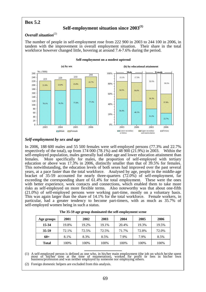## **Box 5.2**

## **Self-employment situation since 2003(1)**

### **Overall situation**<sup>(2)</sup>

The number of people in self-employment rose from 222 900 in 2003 to 244 100 in 2006, in tandem with the improvement in overall employment situation. Their share in the total workforce however changed little, hovering at around 7.4-7.6% during the period.



**Self-employment on a modest uptrend**

### *Self-employment by sex and age*

In 2006, 188 600 males and 55 500 females were self-employed persons (77.3% and 22.7% respectively of the total), up from 174 000 (78.1%) and 48 900 (21.9%) in 2003. Within the self-employed population, males generally had older age and lower education attainment than females. More specifically for males, the proportion of self-employed with tertiary education or above was 17.3% in 2006, distinctly smaller than that of 39.5% for females. This notwithstanding, the education levels of both sexes had improved over the past several years, at a pace faster than the total workforce. Analysed by age, people in the middle-age bracket of 35-59 accounted for nearly three-quarters (72.0%) of self-employment, far exceeding the corresponding share of 61.4% for total employment. These were the ones with better experience, work contacts and connections, which enabled them to take more risks as self-employed on more flexible terms. Also noteworthy was that about one-fifth (21.0%) of self-employed persons were working part-time, mostly on a voluntary basis. This was again larger than the share of 14.1% for the total workforce. Female workers, in particular, had a greater tendency to become part-timers, with as much as 35.7% of self-employed women being in such a status.

| Age groups   | 2001  | 2002  | 2003  | 2004  | 2005  | 2006  |
|--------------|-------|-------|-------|-------|-------|-------|
| 15-34        | 19.8% | 19.2% | 19.1% | 20.4% | 19.3% | 19.5% |
| 35-59        | 72.1% | 72.5% | 72.5% | 71.7% | 72.8% | 72.0% |
| $60+$        | 8.1%  | 8.3%  | 8.5%  | 7.9%  | 7.9%  | 8.5%  |
| <b>Total</b> | 100%  | 100%  | 100%  | 100%  | 100%  | 100%  |

| The 35-59 age group dominated the self-employment scene |  |
|---------------------------------------------------------|--|
|---------------------------------------------------------|--|

(1) A self-employed person is defined as one who, in his/her main employment (the job on which he/she spent most of his/her time at the time of enumeration), worked for profit or fees in his/her own business/profession and

\_\_\_\_\_\_\_\_\_\_\_\_\_\_\_\_\_\_\_\_\_\_\_\_\_\_\_

(2) Foreign domestic helpers are excluded from this analysis.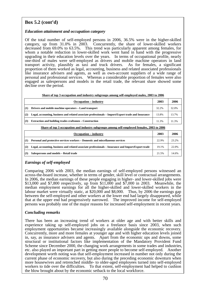## **Box 5.2 (cont'd)**

### *Education attainment and occupation category*

Of the total number of self-employed persons in 2006, 36.5% were in the higher-skilled category, up from 31.0% in 2003. Concurrently, the share of lower-skilled workers decreased from 69.0% to 63.5%. This trend was particularly apparent among females, for whom a notable reduction in lower-skilled work went hand in hand with the progressive upgrading in their education levels over the years. In terms of occupational profile, nearly one-third of males were self-employed as drivers and mobile machine operators in land transport activity, plausibly as taxi and truck drivers. As for females, a significant proportion of them worked as legal, accounting, business and related associated professionals like insurance advisers and agents, as well as own-account suppliers of a wide range of personal and professional services. Whereas a considerable proportion of females were also engaged as salespersons and models in the retail trade, the relevant share showed some decline over the period.

| Share of top 3 occupation and industry subgroups among self-employed males, 2003 to 2006 |  |
|------------------------------------------------------------------------------------------|--|
|                                                                                          |  |

|            | <b>Occupation</b> – industry                                                                        | 2003  | 2006  |
|------------|-----------------------------------------------------------------------------------------------------|-------|-------|
| $\vert(1)$ | Drivers and mobile machine operators – Land transport                                               | 32.2% | 32.0% |
| (2)        | Legal, accounting, business and related associate professionals – Import/Export trade and Insurance | 13.8% | 13.7% |
| (3)        | <b>Extraction and building trades craftsmen – Construction</b>                                      | 11.3% | 11.3% |

|     | Share of top 3 occupation and industry subgroups among self-employed females, 2003 to 2006          |       |       |  |  |  |  |
|-----|-----------------------------------------------------------------------------------------------------|-------|-------|--|--|--|--|
|     | <b>Occupation</b> – industry                                                                        | 2003  | 2006  |  |  |  |  |
| (1) | Personal and protective services workers – Domestic and miscellaneous services                      | 22.9% | 23.2% |  |  |  |  |
| (2) | Legal, accounting, business and related associate professionals – Insurance and Import/Export trade | 19.1% | 22.0% |  |  |  |  |
| (3) | Salespersons and models - Retail trade                                                              | 21.5% | 14.6% |  |  |  |  |

## *Earnings of self-employed*

Comparing 2006 with 2003, the median earnings of self-employed persons witnessed an across-the-board increase, whether in terms of gender, skill level or contractual arrangements. In 2006, the median earnings of these people engaging in higher- and lower-skilled jobs were \$13,000 and \$7,800 respectively, up from \$11,000 and \$7,000 in 2003. Meanwhile, the median employment earnings for all the higher-skilled and lower-skilled workers in the labour market were virtually static, at \$20,000 and \$8,000. Thus, by 2006 the earnings gap between the self-employed and other workers at the lower end had largely disappeared, while that at the upper end had progressively narrowed. The improved income for self-employed persons was probably one of the major reasons for increased self-employment in recent years.

### *Concluding remarks*

There has been an increasing trend of workers at older age and with better skills and experience taking up self-employed jobs on a freelance basis since 2003, when such employment opportunities became increasingly available alongside the economic recovery. Concurrently, more and more females at younger age and with higher education levels joined in, say, as insurance advisers and agents. Apart from the economic ups and downs, some structural or institutional factors like implementation of the Mandatory Provident Fund Scheme since December 2000, the changing work arrangements in some trades and industries, etc. also played an important part in getting more people to become self-employed. Another development worth noting was that self-employment increased in number not only during the current phase of economic recovery, but also during the preceding economic downturn when more housewives and retrenched middle- to older-aged employees turned into self-employed workers to tide over the difficulties. To that extent, self-employment had helped to cushion the blow brought about by the economic setback to the local workforce.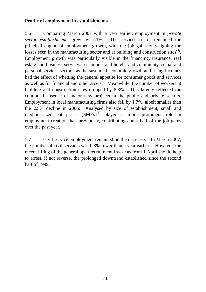## **Profile of employment in establishments**

5.6 Comparing March 2007 with a year earlier, employment in *private sector establishments* grew by 2.1%. The services sector remained the principal engine of employment growth, with the job gains outweighing the losses seen in the manufacturing sector and at building and construction sites<sup>(5)</sup>. Employment growth was particularly visible in the financing, insurance, real estate and business services; restaurants and hotels; and community, social and personal services sectors, as the sustained economic growth and rising incomes had the effect of whetting the general appetite for consumer goods and services as well as for financial and other assets. Meanwhile, the number of workers at building and construction sites dropped by 8.3%. This largely reflected the continued absence of major new projects in the public and private sectors. Employment in local manufacturing firms also fell by 1.7%, albeit smaller than the 2.5% decline in 2006. Analysed by size of establishment, small and medium-sized enterprises  $(SMEs)^{(6)}$  played a more prominent role in employment creation than previously, contributing about half of the job gains over the past year.

5.7 Civil service employment remained on the decrease. In March 2007, the number of civil servants was 0.8% fewer than a year earlier. However, the recent lifting of the general open recruitment freeze as from 1 April should help to arrest, if not reverse, the prolonged downtrend established since the second half of 1999.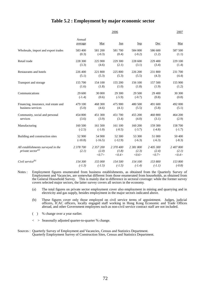## **Table 5.2 : Employment by major economic sector**

|                                                               |                    |                             | 2006                        |                             |                             | 2007                        |
|---------------------------------------------------------------|--------------------|-----------------------------|-----------------------------|-----------------------------|-----------------------------|-----------------------------|
|                                                               | Annual<br>average  | Mar                         | Jun                         | <b>Sep</b>                  | Dec                         | Mar                         |
| Wholesale, import and export trades                           | 583 400            | 581 200                     | 581 700                     | 584 000                     | 586 600                     | 587 500                     |
|                                                               | (0.3)              | $(-0.3)$                    | (0.4)                       | $(-0.2)$                    | (1.2)                       | (1.1)                       |
| Retail trade                                                  | 228 300            | 225 900                     | 229 300                     | 228 600                     | 229 400                     | 229 100                     |
|                                                               | (3.3)              | (4.6)                       | (2.1)                       | (3.1)                       | (3.4)                       | (1.4)                       |
| Restaurants and hotels                                        | 226 400            | 221 800                     | 225 800                     | 226 200                     | 231 800                     | 231 700                     |
|                                                               | (5.1)              | (5.3)                       | (5.3)                       | (5.5)                       | (4.3)                       | (4.4)                       |
| Transport and storage                                         | 155 700            | 154 100                     | 155 200                     | 156 100                     | 157 500                     | 155 900                     |
|                                                               | (1.6)              | (1.8)                       | (1.0)                       | (1.8)                       | (1.9)                       | (1.2)                       |
| Communications                                                | 29 600             | 30 000                      | 29 300                      | 29 500                      | 29 400                      | 30 300                      |
|                                                               | $(-1.4)$           | (0.6)                       | $(-5.9)$                    | $(-0.7)$                    | (0.8)                       | (0.8)                       |
| Financing, insurance, real estate and                         | 479 100            | 468 300                     | 475 900                     | 480 500                     | 491 600                     | 492 000                     |
| business services                                             | (5.0)              | (4.6)                       | (4.1)                       | (5.5)                       | (5.8)                       | (5.1)                       |
| Community, social and personal                                | 454 800            | 451 300                     | 451 700                     | 455 200                     | 460 800                     | 464 200                     |
| services                                                      | (3.6)              | (3.9)                       | (3.4)                       | (4.0)                       | (3.1)                       | (2.9)                       |
| Manufacturing                                                 | 160 500            | 161 500                     | 161 100                     | 160 200                     | 159 300                     | 158 700                     |
|                                                               | $(-2.5)$           | $(-1.0)$                    | $(-0.5)$                    | $(-3.7)$                    | $(-4.8)$                    | $(-1.7)$                    |
| Building and construction sites                               | 52 900             | 54 900                      | 52 300                      | 53 300                      | 51 000                      | 50 400                      |
|                                                               | $(-10.8)$          | $(-16.5)$                   | $(-12.9)$                   | $(-6.3)$                    | $(-6.3)$                    | $(-8.3)$                    |
| All establishments surveyed in the<br>private sector $^{(a)}$ | 2 378 700<br>(2.1) | 2 357 200<br>(2.0)<br><0.7> | 2 370 400<br>(1.8)<br><0.4> | 2 381 800<br>(2.3)<br><0.6> | 2 405 300<br>(2.4)<br><0.7> | 2 407 800<br>(2.1)<br><0.4> |
| Civil service $^{(b)}$                                        | 154 300            | 155 000                     | 154 500                     | 154 100                     | 153 800                     | 153 800                     |
|                                                               | $(-1.3)$           | $(-1.5)$                    | $(-1.5)$                    | $(-1.4)$                    | $(-1.1)$                    | $(-0.8)$                    |

Notes : Employment figures enumerated from business establishments, as obtained from the Quarterly Survey of Employment and Vacancies, are somewhat different from those enumerated from households, as obtained from the General Household Survey. This is mainly due to difference in sectoral coverage: while the former survey covers selected major sectors, the latter survey covers all sectors in the economy.

- (a) The total figures on private sector employment cover also employment in mining and quarrying and in electricity and gas supply, besides employment in the major sectors indicated above.
- (b) These figures cover only those employed on civil service terms of appointment. Judges, judicial officers, ICAC officers, locally engaged staff working in Hong Kong Economic and Trade Offices abroad, and other Government employees such as non-civil service contract staff are not included.
- ( ) % change over a year earlier.
- < > Seasonally adjusted quarter-to-quarter % change.
- Sources : Quarterly Survey of Employment and Vacancies, Census and Statistics Department. Quarterly Employment Survey of Construction Sites, Census and Statistics Department.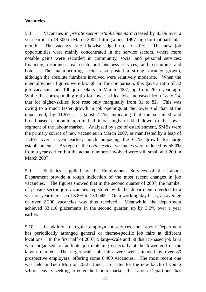## **Vacancies**

5.8 Vacancies in *private sector establishments* increased by 8.3% over a year earlier to 49 300 in March 2007, hitting a post-1997 high for that particular month. The vacancy rate likewise edged up, to 2.0%. The new job opportunities were mainly concentrated in the service sectors, where more notable gains were recorded in community, social and personal services; financing, insurance, real estate and business services; and restaurants and hotels. The manufacturing sector also posted a strong vacancy growth, although the absolute numbers involved were relatively moderate. When the unemployment figures were brought in for comparison, this gave a ratio of 32 job vacancies per 100 job-seekers in March 2007, up from 26 a year ago. While the corresponding ratio for lower-skilled jobs increased from 18 to 24, that for higher-skilled jobs rose only marginally from 81 to 82. This was owing to a much faster growth in job openings at the lower end than at the upper end, by 11.9% as against 4.1%, indicating that the sustained and broad-based economic upturn had increasingly trickled down to the lower segment of the labour market. Analysed by size of establishment, SMEs were the primary source of new vacancies in March 2007, as manifested by a leap of 15.8% over a year earlier, much outpacing the 0.7% growth for large establishments. As regards the *civil service,* vacancies were reduced by 55.0% from a year earlier, but the actual numbers involved were still small at 1 200 in March 2007.

5.9 Statistics supplied by the Employment Services of the Labour Department provide a rough indication of the most recent changes in job vacancies. The figures showed that in the second quarter of 2007, the number of private sector job vacancies registered with the department reverted to a year-on-year increase of 8.8% to 130 045. On a working day basis, an average of over 2 200 vacancies was thus received. Meanwhile, the department achieved 33 110 placements in the second quarter, up by 3.6% over a year earlier.

5.10 In addition to regular employment services, the Labour Department has periodically arranged general or theme-specific job fairs at different locations. In the first half of 2007, 5 large-scale and 58 district-based job fairs were organised to facilitate job matching especially at the lower end of the labour market. The larger-scale job fairs were well attended by over 80 prospective employers, offering some 6 400 vacancies. The most recent one was held in Tuen Mun on 26-27 June. To cater for the new batch of young school leavers seeking to enter the labour market, the Labour Department has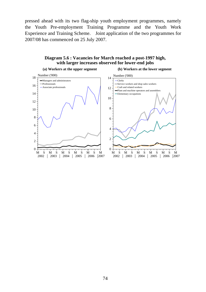pressed ahead with its two flag-ship youth employment programmes, namely the Youth Pre-employment Training Programme and the Youth Work Experience and Training Scheme. Joint application of the two programmes for 2007/08 has commenced on 25 July 2007.



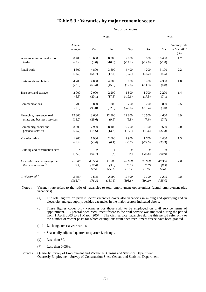## **Table 5.3 : Vacancies by major economic sector**

No. of vacancies

|                                                               |                     | 2006                      |                                           |                          | 2007                   |                          |                                       |
|---------------------------------------------------------------|---------------------|---------------------------|-------------------------------------------|--------------------------|------------------------|--------------------------|---------------------------------------|
|                                                               | Annual<br>average   | Mar                       | Jun                                       | <b>Sep</b>               | Dec                    | Mar                      | Vacancy rate<br>in Mar 2007<br>$(\%)$ |
| Wholesale, import and export<br>trades                        | 8 4 0 0<br>$(-8.2)$ | 10 600<br>(3.0)           | 8 300<br>$(-10.8)$                        | 7800<br>$(-14.2)$        | 6 800<br>$(-12.9)$     | 10 400<br>$(-1.8)$       | 1.7                                   |
| Retail trade                                                  | 4 300<br>(16.2)     | 4 800<br>(58.7)           | 3 800<br>(17.4)                           | 4 4 0 0<br>$(-9.1)$      | 4 200<br>(13.2)        | 5 100<br>(5.5)           | 2.2                                   |
| Restaurants and hotels                                        | 4 200<br>(22.6)     | 4 0 0 0<br>(63.4)         | 4 0 0 0<br>(45.3)                         | 5 0 0 0<br>(17.6)        | 3 700<br>$(-11.3)$     | 4 300<br>(6.8)           | 1.8                                   |
| Transport and storage                                         | 2 000<br>(6.5)      | 2 0 0 0<br>(20.1)         | 2 200<br>(17.5)                           | 1800<br>$(-19.6)$        | 1700<br>(17.5)         | 2 2 0 0<br>(7.1)         | 1.4                                   |
| Communications                                                | 700<br>(0.8)        | 800<br>(93.0)             | 800<br>(52.6)                             | 700<br>$(-42.6)$         | 700<br>$(-15.4)$       | 800<br>(3.0)             | 2.5                                   |
| Financing, insurance, real<br>estate and business services    | 12 300<br>(13.2)    | 13 600<br>(29.6)          | 12 300<br>(9.6)                           | 12 800<br>(6.8)          | 10 500<br>(7.6)        | 14 600<br>(7.7)          | 2.9                                   |
| Community, social and<br>personal services                    | 8 600<br>(20.7)     | 7 9 0 0<br>(15.6)         | 8 100<br>(13.3)                           | 9 200<br>(15.1)          | 9 300<br>(40.6)        | 9 600<br>(22.3)          | 2.0                                   |
| Manufacturing                                                 | 1 900<br>$(-6.4)$   | 1 900<br>$(-3.4)$         | 2 000<br>(6.1)                            | 1 900<br>$(-3.7)$        | 1 700<br>$(-22.5)$     | 2 400<br>(23.3)          | 1.5                                   |
| Building and construction sites                               | #<br>$(-7.0)$       | #<br>(66.7)               | #<br>$(*)$                                | $\#$<br>$(*)$            | #<br>$(-23.8)$         | #<br>(660.0)             | 0.1                                   |
| All establishments surveyed in<br>the private sector $^{(a)}$ | 42 300<br>(9.1)     | 45 500<br>(22.8)<br><2.5> | 41 500<br>(9.3)<br>$\langle -5.6 \rangle$ | 43 600<br>(0.1)<br><3.3> | 38 600<br>(5.7)<br>5.9 | 49 300<br>(8.3)<br><4.6> | 2.0                                   |
| Civil service <sup>(b)</sup>                                  | 2 500<br>(166.7)    | 2 600<br>(76.3)           | 2 500<br>(131.6)                          | 2 900<br>(308.8)         | 2 100<br>(304.0)       | 1 200<br>$(-55.0)$       | 0.8                                   |

Notes : Vacancy rate refers to the ratio of vacancies to total employment opportunities (actual employment plus vacancies).

(a) The total figures on private sector vacancies cover also vacancies in mining and quarrying and in electricity and gas supply, besides vacancies in the major sectors indicated above.

(b) These figures cover only vacancies for those staff to be employed on civil service terms of appointment. A general open recruitment freeze to the civil service was imposed during the period from 1 April 2003 to 31 March 2007. The civil service vacancies during this period refer only to the number of vacant posts for which exemptions from open recruitment freeze have been granted.

- ( ) % change over a year earlier.
- < > Seasonally adjusted quarter-to-quarter % change.
- $(\#)$  Less than 50.
- (\*) Less than 0.05%.

Sources : Quarterly Survey of Employment and Vacancies, Census and Statistics Department. Quarterly Employment Survey of Construction Sites, Census and Statistics Department.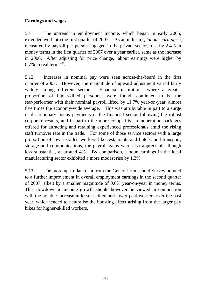## **Earnings and wages**

5.11 The uptrend in employment income, which began in early 2005, extended well into the first quarter of 2007. As an indicator, *labour earnings*<sup>(7)</sup>, measured by payroll per person engaged in the private sector, rose by 2.4% in money terms in the first quarter of 2007 over a year earlier, same as the increase in 2006. After adjusting for price change, labour earnings were higher by  $0.7\%$  in real terms<sup> $(8)$ </sup>.

5.12 Increases in nominal pay were seen across-the-board in the first quarter of 2007. However, the magnitude of upward adjustment varied fairly widely among different sectors. Financial institutions, where a greater proportion of high-skilled personnel were found, continued to be the star-performer with their nominal payroll lifted by 11.7% year-on-year, almost five times the economy-wide average. This was attributable in part to a surge in discretionary bonus payments in the financial sector following the robust corporate results, and in part to the more competitive remuneration packages offered for attracting and retaining experienced professionals amid the rising staff turnover rate in the trade. For some of those service sectors with a large proportion of lower-skilled workers like restaurants and hotels; and transport, storage and communications, the payroll gains were also appreciable, though less substantial, at around 4%. By comparison, labour earnings in the local manufacturing sector exhibited a more modest rise by 1.3%.

5.13 The more up-to-date data from the General Household Survey pointed to a further improvement in overall employment earnings in the second quarter of 2007, albeit by a smaller magnitude of 0.6% year-on-year in money terms. This slowdown in income growth should however be viewed in conjunction with the notable increase in lesser-skilled and lower-paid workers over the past year, which tended to neutralise the boosting effect arising from the larger pay hikes for higher-skilled workers.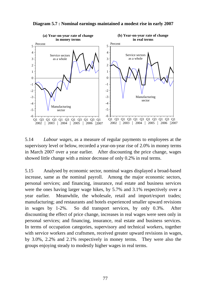

**Diagram 5.7 : Nominal earnings maintained a modest rise in early 2007**

5.14 *Labour wages*, as a measure of regular payments to employees at the supervisory level or below, recorded a year-on-year rise of 2.0% in money terms in March 2007 over a year earlier. After discounting the price change, wages showed little change with a minor decrease of only 0.2% in real terms.

5.15 Analysed by economic sector, nominal wages displayed a broad-based increase, same as the nominal payroll. Among the major economic sectors, personal services; and financing, insurance, real estate and business services were the ones having larger wage hikes, by 5.7% and 3.1% respectively over a year earlier. Meanwhile, the wholesale, retail and import/export trades; manufacturing; and restaurants and hotels experienced smaller upward revisions in wages by 1-2%. So did transport services, by only 0.3%. After discounting the effect of price change, increases in real wages were seen only in personal services; and financing, insurance, real estate and business services. In terms of occupation categories, supervisory and technical workers, together with service workers and craftsmen, received greater upward revisions in wages, by 3.0%, 2.2% and 2.1% respectively in money terms. They were also the groups enjoying steady to modestly higher wages in real terms.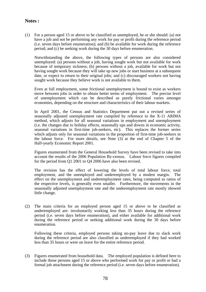## **Notes :**

(1) For a person aged 15 or above to be classified as unemployed, he or she should: (a) not have a job and not be performing any work for pay or profit during the reference period (i.e. seven days before enumeration); and (b) be available for work during the reference period; and (c) be seeking work during the 30 days before enumeration.

 Notwithstanding the above, the following types of persons are also considered unemployed: (a) persons without a job, having sought work but not available for work because of temporary sickness; (b) persons without a job, available for work but not having sought work because they will take up new jobs or start business at a subsequent date, or expect to return to their original jobs; and (c) discouraged workers not having sought work because they believe work is not available to them.

 Even at full employment, some frictional unemployment is bound to exist as workers move between jobs in order to obtain better terms of employment. The precise level of unemployment which can be described as purely frictional varies amongst economies, depending on the structure and characteristics of their labour markets.

 In April 2001, the Census and Statistics Department put out a revised series of seasonally adjusted unemployment rate compiled by reference to the X-11 ARIMA method, which adjusts for all seasonal variations in employment and unemployment (i.e. the changes due to holiday effects, seasonally ups and downs in economic activity, seasonal variations in first-time job-seekers, etc). This replaces the former series which adjusts only for seasonal variations in the proportion of first-time job-seekers in the labour force. For more details, see Note (3) at the end of Chapter 5 of the Half-yearly Economic Report 2001.

 Figures enumerated from the General Household Survey have been revised to take into account the results of the 2006 Population By-census. Labour force figures compiled for the period from Q1 2001 to Q4 2006 have also been revised.

 The revision has the effect of lowering the levels of total labour force, total employment, and the unemployed and underemployed by a modest margin. The effect on the unemployment and underemployment rates, being computed as ratios of the respective levels, is generally even smaller. Furthermore, the movements in the seasonally adjusted unemployment rate and the underemployment rate mostly showed little change.

(2) The main criteria for an employed person aged 15 or above to be classified as underemployed are: involuntarily working less than 35 hours during the reference period (i.e. seven days before enumeration), and either available for additional work during the reference period or seeking additional work during the 30 days before enumeration.

 Following these criteria, employed persons taking no-pay leave due to slack work during the reference period are also classified as underemployed if they had worked less than 35 hours or were on leave for the entire reference period.

(3) Figures enumerated from household data. The employed population is defined here to include those persons aged 15 or above who performed work for pay or profit or had a formal job attachment during the reference period (i.e. seven days before enumeration).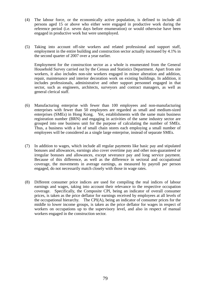- (4) The labour force, or the economically active population, is defined to include all persons aged 15 or above who either were engaged in productive work during the reference period (i.e. seven days before enumeration) or would otherwise have been engaged in productive work but were unemployed.
- (5) Taking into account off-site workers and related professional and support staff, employment in the entire building and construction sector actually increased by 4.1% in the second quarter of 2007 over a year earlier.

 Employment for the construction sector as a whole is enumerated from the General Household Survey carried out by the Census and Statistics Department. Apart from site workers, it also includes non-site workers engaged in minor alteration and addition, repair, maintenance and interior decoration work on existing buildings. In addition, it includes professionals, administrative and other support personnel engaged in that sector, such as engineers, architects, surveyors and contract managers, as well as general clerical staff.

- (6) Manufacturing enterprise with fewer than 100 employees and non-manufacturing enterprises with fewer than 50 employees are regarded as small and medium-sized enterprises (SMEs) in Hong Kong. Yet, establishments with the same main business registration number (BRN) and engaging in activities of the same industry sector are grouped into one business unit for the purpose of calculating the number of SMEs. Thus, a business with a lot of small chain stores each employing a small number of employees will be considered as a single large enterprise, instead of separate SMEs.
- (7) In addition to wages, which include all regular payments like basic pay and stipulated bonuses and allowances, earnings also cover overtime pay and other non-guaranteed or irregular bonuses and allowances, except severance pay and long service payment. Because of this difference, as well as the difference in sectoral and occupational coverage, the movements in average earnings, as measured by payroll per person engaged, do not necessarily match closely with those in wage rates.
- (8) Different consumer price indices are used for compiling the real indices of labour earnings and wages, taking into account their relevance to the respective occupation coverage. Specifically, the Composite CPI, being an indicator of overall consumer prices, is taken as the price deflator for earnings received by employees at all levels of the occupational hierarchy. The CPI(A), being an indicator of consumer prices for the middle to lower income groups, is taken as the price deflator for wages in respect of workers on occupations up to the supervisory level, and also in respect of manual workers engaged in the construction sector.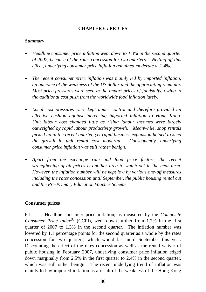## **CHAPTER 6 : PRICES**

## *Summary*

- *Headline consumer price inflation went down to 1.3% in the second quarter of 2007, because of the rates concession for two quarters. Netting off this effect, underlying consumer price inflation remained moderate at 2.4%.*
- *The recent consumer price inflation was mainly led by imported inflation, an outcome of the weakness of the US dollar and the appreciating renminbi. Most price pressures were seen in the import prices of foodstuffs, owing to the additional cost push from the worldwide food inflation lately.*
- *Local cost pressures were kept under control and therefore provided an effective cushion against increasing imported inflation to Hong Kong. Unit labour cost changed little as rising labour incomes were largely outweighed by rapid labour productivity growth. Meanwhile, shop rentals picked up in the recent quarter, yet rapid business expansion helped to keep the growth in unit rental cost moderate. Consequently, underlying consumer price inflation was still rather benign.*
- *Apart from the exchange rate and food price factors, the recent strengthening of oil prices is another area to watch out in the near term. However, the inflation number will be kept low by various one-off measures including the rates concession until September, the public housing rental cut and the Pre-Primary Education Voucher Scheme.*

## **Consumer prices**

6.1 Headline consumer price inflation, as measured by the *Composite Consumer Price Index*<sup>(1)</sup> (CCPI), went down further from 1.7% in the first quarter of 2007 to 1.3% in the second quarter. The inflation number was lowered by 1.1 percentage points for the second quarter as a whole by the rates concession for two quarters, which would last until September this year. Discounting the effect of the rates concession as well as the rental waiver of public housing in February 2007, underlying consumer price inflation edged down marginally from 2.5% in the first quarter to 2.4% in the second quarter, which was still rather benign. The recent underlying trend of inflation was mainly led by imported inflation as a result of the weakness of the Hong Kong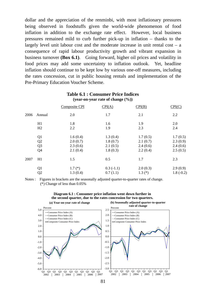dollar and the appreciation of the renminbi, with most inflationary pressures being observed in foodstuffs given the world-wide phenomenon of food inflation in addition to the exchange rate effect. However, local business pressures remained mild to curb further pick-up in inflation – thanks to the largely level unit labour cost and the moderate increase in unit rental cost – a consequence of rapid labour productivity growth and vibrant expansion in business turnover **(Box 6.1)**. Going forward, higher oil prices and volatility in food prices may add some uncertainty to inflation outlook. Yet, headline inflation should continue to be kept low by various one-off measures, including the rates concession, cut in public housing rentals and implementation of the Pre-Primary Education Voucher Scheme.

|      | (year-on-year rate of change $(\%)$ ) |               |             |          |             |  |  |  |  |
|------|---------------------------------------|---------------|-------------|----------|-------------|--|--|--|--|
|      |                                       | Composite CPI | CPI(A)      | CPI(B)   | CPI(C)      |  |  |  |  |
| 2006 | Annual                                | 2.0           | 1.7         | 2.1      | 2.2         |  |  |  |  |
|      | H1                                    | 1.8           | 1.6         | 1.9      | 2.0         |  |  |  |  |
|      | H2                                    | 2.2           | 1.9         | 2.3      | 2.4         |  |  |  |  |
|      | Q1                                    | 1.6(0.4)      | 1.3(0.4)    | 1.7(0.5) | 1.7(0.5)    |  |  |  |  |
|      | Q2                                    | 2.0(0.7)      | 1.8(0.7)    | 2.1(0.7) | 2.3(0.9)    |  |  |  |  |
|      | Q <sub>3</sub>                        | 2.3(0.6)      | 2.1(0.5)    | 2.4(0.6) | 2.4(0.6)    |  |  |  |  |
|      | Q4                                    | 2.1(0.4)      | 1.8(0.3)    | 2.2(0.4) | 2.5(0.5)    |  |  |  |  |
| 2007 | H1                                    | 1.5           | 0.5         | 1.7      | 2.3         |  |  |  |  |
|      | Q <sub>1</sub>                        | $1.7(*)$      | $0.3(-1.1)$ | 2.0(0.3) | 2.9(0.9)    |  |  |  |  |
|      | Q <sub>2</sub>                        | 1.3(0.4)      | 0.7(1.1)    | $1.3(*)$ | $1.8(-0.2)$ |  |  |  |  |

# **Table 6.1 : Consumer Price Indices**

Notes : Figures in brackets are the seasonally adjusted quarter-to-quarter rates of change. (\*) Change of less than 0.05%



### **Diagram 6.1 : Consumer price inflation went down further in the second quarter, due to the rates concession for two quarters.**

81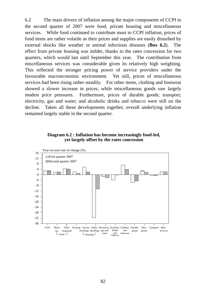6.2 The main drivers of inflation among the major components of CCPI in the second quarter of 2007 were food, private housing and miscellaneous services. While food continued to contribute most to CCPI inflation, prices of food items are rather volatile as their prices and supplies are easily disturbed by external shocks like weather or animal infectious diseases (**Box 6.2**). The effect from private housing was milder, thanks to the rates concession for two quarters, which would last until September this year. The contribution from miscellaneous services was considerable given its relatively high weighting. This reflected the stronger pricing power of service providers under the favourable macroeconomic environment. Yet still, prices of miscellaneous services had been rising rather steadily. For other items, clothing and footwear showed a slower increase in prices, while miscellaneous goods saw largely modest price pressures. Furthermore, prices of durable goods; transport; electricity, gas and water; and alcoholic drinks and tobacco were still on the decline. Taken all these developments together, overall underlying inflation remained largely stable in the second quarter.

**Diagram 6.2 : Inflation has become increasingly food-led, yet largely offset by the rates concession**

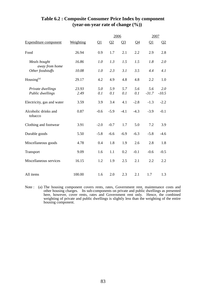|                                 |           |                       |          | 2006   |          | 2007     |          |
|---------------------------------|-----------|-----------------------|----------|--------|----------|----------|----------|
| <b>Expenditure component</b>    | Weighting | $\Omega$ <sup>1</sup> | $\Omega$ | $Q_3$  | $\Omega$ | $\Omega$ | $\Omega$ |
| Food                            | 26.94     | 0.9                   | 1.7      | 2.1    | 2.2      | 2.9      | 2.8      |
| Meals bought<br>away from home  | 16.86     | 1.0                   | 1.3      | 1.5    | 1.5      | 1.8      | 2.0      |
| Other foodstuffs                | 10.08     | 1.0                   | 2.3      | 3.1    | 3.5      | 4.4      | 4.1      |
| Housing $(a)$                   | 29.17     | 4.2                   | 4.9      | 4.8    | 4.8      | 2.2      | 1.0      |
| Private dwellings               | 23.93     | 5.0                   | 5.9      | 5.7    | 5.6      | 5.6      | 2.0      |
| Public dwellings                | 2.49      | 0.1                   | 0.1      | 0.1    | 0.1      | $-31.7$  | $-10.5$  |
| Electricity, gas and water      | 3.59      | 3.9                   | 3.4      | 4.1    | $-2.8$   | $-1.3$   | $-2.2$   |
| Alcoholic drinks and<br>tobacco | 0.87      | $-0.6$                | $-5.9$   | $-4.1$ | $-4.3$   | $-3.9$   | $-0.1$   |
| Clothing and footwear           | 3.91      | $-2.0$                | $-0.7$   | 1.7    | 5.0      | 7.2      | 3.9      |
| Durable goods                   | 5.50      | $-5.8$                | $-6.6$   | $-6.9$ | $-6.3$   | $-5.8$   | $-4.6$   |
| Miscellaneous goods             | 4.78      | 0.4                   | 1.8      | 1.9    | 2.6      | 2.8      | 1.8      |
| Transport                       | 9.09      | 1.6                   | 1.1      | 0.2    | $-0.1$   | $-0.6$   | $-0.5$   |
| Miscellaneous services          | 16.15     | 1.2                   | 1.9      | 2.5    | 2.1      | 2.2      | 2.2      |
| All items                       | 100.00    | 1.6                   | 2.0      | 2.3    | 2.1      | 1.7      | 1.3      |

## **Table 6.2 : Composite Consumer Price Index by component (year-on-year rate of change (%))**

Note : (a) The housing component covers rents, rates, Government rent, maintenance costs and other housing charges. Its sub-components on private and public dwellings as presented here, however, cover rents, rates and Government rent only. Hence, the combined weighting of private and public dwellings is slightly less than the weighting of the entire housing component.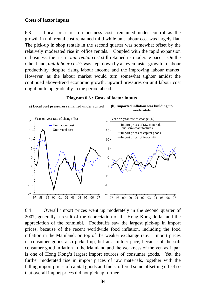### **Costs of factor inputs**

6.3 Local pressures on business costs remained under control as the growth in unit rental cost remained mild while unit labour cost was largely flat. The pick-up in shop rentals in the second quarter was somewhat offset by the relatively moderated rise in office rentals. Coupled with the rapid expansion in business, the rise in *unit rental cost* still retained its moderate pace. On the other hand, *unit labour cost*<sup>(2)</sup> was kept down by an even faster growth in labour productivity, despite rising labour income and the improving labour market. However, as the labour market would turn somewhat tighter amidst the continued above-trend economic growth, upward pressures on unit labour cost might build up gradually in the period ahead.

### **Diagram 6.3 : Costs of factor inputs**

**(a) Local cost pressures remained under control (b) Imported inflation was building up** 





6.4 Overall import prices went up moderately in the second quarter of 2007, generally a result of the depreciation of the Hong Kong dollar and the appreciation of the renminbi. Foodstuffs saw the largest pick-up in import prices, because of the recent worldwide food inflation, including the food inflation in the Mainland, on top of the weaker exchange rate. Import prices of consumer goods also picked up, but at a milder pace, because of the soft consumer good inflation in the Mainland and the weakness of the yen as Japan is one of Hong Kong's largest import sources of consumer goods. Yet, the further moderated rise in import prices of raw materials, together with the falling import prices of capital goods and fuels, offered some offsetting effect so that overall import prices did not pick up further.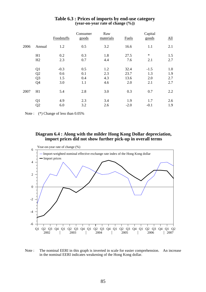|      |                | Foodstuffs | Consumer<br>goods | Raw<br>materials | Fuels  | Capital<br>goods | All |
|------|----------------|------------|-------------------|------------------|--------|------------------|-----|
| 2006 | Annual         | 1.2        | 0.5               | 3.2              | 16.6   | 1.1              | 2.1 |
|      | H1             | 0.2        | 0.3               | 1.8              | 27.5   | $\star$          | 1.5 |
|      | H2             | 2.3        | 0.7               | 4.4              | 7.6    | 2.1              | 2.7 |
|      | Q1             | $-0.3$     | 0.5               | 1.2              | 32.4   | $-1.5$           | 1.0 |
|      | Q <sub>2</sub> | 0.6        | 0.1               | 2.3              | 23.7   | 1.3              | 1.9 |
|      | Q <sub>3</sub> | 1.5        | 0.4               | 4.3              | 13.6   | 2.0              | 2.7 |
|      | Q4             | 3.0        | 1.1               | 4.6              | 2.0    | 2.1              | 2.7 |
| 2007 | H1             | 5.4        | 2.8               | 3.0              | 0.3    | 0.7              | 2.2 |
|      | Q1             | 4.9        | 2.3               | 3.4              | 1.9    | 1.7              | 2.6 |
|      | Q <sub>2</sub> | 6.0        | 3.2               | 2.6              | $-2.0$ | $-0.1$           | 1.9 |

### **Table 6.3 : Prices of imports by end-use category (year-on-year rate of change (%))**

Note : (\*) Change of less than  $0.05\%$ 

### **Diagram 6.4 : Along with the milder Hong Kong Dollar depreciation, import prices did not show further pick-up in overall terms**



Note : The nominal EERI in this graph is inverted in scale for easier comprehension. An increase in the nominal EERI indicates weakening of the Hong Kong dollar.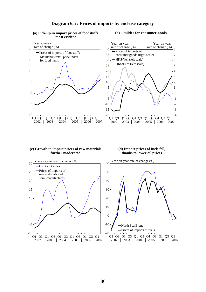

#### **(a) Pick-up in import prices of foodstuffs most evident**

#### **(b) ...milder for consumer goods**



#### **(c) Growth in import prices of raw materials further moderated**

#### **(d) Import prices of fuels fell, thanks to lower oil prices**



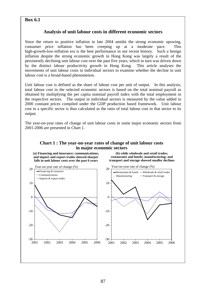## **Box 6.1**

## **Analysis of unit labour costs in different economic sectors**

Since the return to positive inflation in late 2004 amidst the strong economic upswing, consumer price inflation has been creeping up at a moderate pace. This high-growth-low-inflation era is the best performance in our recent history. Such a benign inflation despite the strong economic growth in Hong Kong was largely a result of the persistently declining unit labour cost over the past five years, which in turn was driven down by the distinct labour productivity growth in Hong Kong. This article analyses the movements of unit labour costs in individual sectors to examine whether the decline in unit labour cost is a broad-based phenomenon.

Unit labour cost is defined as the share of labour cost per unit of output. In this analysis, total labour cost in the selected economic sectors is based on the total nominal payroll as obtained by multiplying the per capita nominal payroll index with the total employment in the respective sectors. The output in individual sectors is measured by the value added in 2000 constant prices compiled under the GDP production based framework. Unit labour cost in a specific sector is thus calculated as the ratio of total labour cost in that sector to its output.

The year-on-year rates of change of unit labour costs in some major economic sectors from 2001-2006 are presented in Chart 1.

### **Chart 1 : The year-on-year rates of change of unit labour costs in major economic sectors**

**(a) Financing and insurance; communications; and import and export trades showed sharper falls in unit labour costs over the past 6 years**

**(b) while wholesale and retail trades; restaurants and hotels; manufacturing; and transport and storage showed smaller declines**

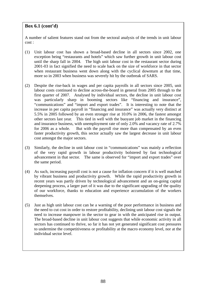## **Box 6.1 (cont'd)**

A number of salient features stand out from the sectoral analysis of the trends in unit labour cost :

- (1) Unit labour cost has shown a broad-based decline in all sectors since 2002, one exception being "restaurants and hotels" which saw further growth in unit labour cost until the sharp fall in 2004. The high unit labour cost in the restaurant sector during 2001-03 in fact signified the need to scale back on the size of workforce in that sector when restaurant business went down along with the cyclical downturn at that time, more so in 2003 when business was severely hit by the outbreak of SARS.
- (2) Despite the rise-back in wages and per capita payrolls in all sectors since 2005, unit labour costs continued to decline across-the-board in general from 2005 through to the first quarter of 2007. Analysed by individual sectors, the decline in unit labour cost was particularly sharp in booming sectors like "financing and insurance", "communications" and "import and export trades". It is interesting to note that the increase in per capita payroll in "financing and insurance" was actually very distinct at 5.5% in 2005 followed by an even stronger rise at 10.0% in 2006, the fastest amongst other sectors last year. This tied in well with the buoyant job market in the financing and insurance business, with unemployment rate of only 2.0% and vacancy rate of 2.7% for 2006 as a whole. But with the payroll rise more than compensated by an even faster productivity growth, this sector actually saw the largest decrease in unit labour cost amongst the major sectors.
- (3) Similarly, the decline in unit labour cost in "communications" was mainly a reflection of the very rapid growth in labour productivity bolstered by fast technological advancement in that sector. The same is observed for "import and export trades" over the same period.
- (4) As such, increasing payroll cost is not a cause for inflation concern if it is well matched by vibrant business and productivity growth. While the rapid productivity growth in recent years was partly driven by technological advancement and an on-going capital deepening process, a larger part of it was due to the significant upgrading of the quality of our workforce, thanks to education and experience accumulation of the workers themselves.
- (5) Just as high unit labour cost can be a warning of the poor performance in business and the need to cut cost in order to restore profitability, declining unit labour cost signals the need to increase manpower in the sector to gear in with the anticipated rise in output. The broad-based decline in unit labour cost suggests that while economic activity in all sectors has continued to thrive, so far it has not yet generated significant cost pressures to undermine the competitiveness or profitability at the macro economy level, nor at the individual sector level.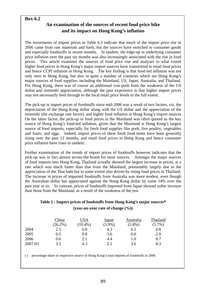## **Box 6.2**

## **An examination of the sources of recent food price hike and its impact on Hong Kong's inflation**

The movements of import prices in Table 6.3 indicate that much of the import price rise in 2006 came from raw materials and fuels, but the sources have switched to consumer goods and especially foodstuffs in recent months. In tandem, the edge-up in underlying consumer price inflation over the past six months was also increasingly associated with the rise in food prices. This article examines the sources of food price rise and analyses to what extent higher food prices in Hong Kong's major import sources have transmitted to retail food prices and hence CCPI inflation in Hong Kong. The key finding is that food-led inflation was not only seen in Hong Kong, but also in quite a number of countries which are Hong Kong's major sources of food supplies, including the Mainland, US, Japan, Australia, and Thailand. For Hong Kong, there was of course an additional cost-push from the weakness of the US dollar and renminbi appreciation, although the past experience is that higher import prices may not necessarily feed through to the local retail price levels to the full extent.

The pick-up in import prices of foodstuffs since mid-2006 was a result of two factors, viz. the depreciation of the Hong Kong dollar along with the US dollar and the appreciation of the renminbi (the exchange rate factor), and higher food inflation in Hong Kong's import sources. On the latter factor, the pick-up in food prices in the Mainland was often quoted as the key source of Hong Kong's food-led inflation, given that the Mainland is Hong Kong's largest source of food imports, especially for fresh food supplies like pork; live poultry; vegetables and fruits; and eggs. Indeed, import prices of these fresh food items have been generally rising over the past 12 months, and retail food prices in Hong Kong and hence consumer price inflation have risen in tandem.

Further examination of the trends of import prices of foodstuffs however indicates that the pick-up was in fact almost across-the-board for most sources. Amongst the major sources of food imports into Hong Kong, Thailand actually showed the largest increase in prices, at a rate which was much faster than that from the Mainland, presumably largely due to the appreciation of the Thai baht but to some extent also driven by rising food prices in Thailand. The increase in prices of imported foodstuffs from Australia was more modest, even though the Australian dollar has appreciated against the Hong Kong dollar by some 14% over the past year or so. In contrast, prices of foodstuffs imported from Japan showed softer increase than those from the Mainland, as a result of the weakness of the yen.

## **Table 1 : Import prices of foodstuffs from Hong Kong's major sources\* (year-on-year rate of change (%))**

|         | China      | USA        | Japan     | Australia | Thailand  |
|---------|------------|------------|-----------|-----------|-----------|
|         | $(26.2\%)$ | $(10.4\%)$ | $(5.9\%)$ | $(5.8\%)$ | $(5.7\%)$ |
| 2004    | 2.5        | 6.8        | 4.3       | 6.1       | 0.8       |
| 2005    | 0.5        | $\rm 0.8$  | 3.6       | 6.0       | $-2.0$    |
| 2006    | 0.6        | 2.1        | 4.4       | 1.0       | 8.7       |
| 2007 H1 | 3.1        | 4.3        | 2.2       | 3.6       | 8.3       |

( ) percentage share of respective source of Hong Kong's total imports of foodstuffs in 2006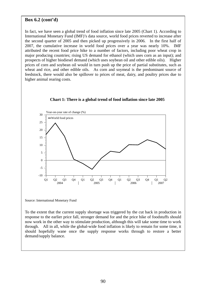## **Box 6.2 (cont'd)**

In fact, we have seen a global trend of food inflation since late 2005 (Chart 1). According to International Monetary Fund (IMF)'s data source, world food prices reverted to increase after the second quarter of 2005 and then picked up progressively in 2006. In the first half of 2007, the cumulative increase in world food prices over a year was nearly 10%. IMF attributed the recent food price hike to a number of factors, including poor wheat crop in major producing countries; rising US demand for ethanol (which uses corn as an input); and prospects of higher biodiesel demand (which uses soybean oil and other edible oils). Higher prices of corn and soybean oil would in turn push up the price of partial substitutes, such as wheat and rice, and other edible oils. As corn and soymeal is the predominant source of feedstock, there would also be spillover to prices of meat, dairy, and poultry prices due to higher animal rearing costs.



**Chart 1: There is a global trend of food inflation since late 2005**

Source: International Monetary Fund

To the extent that the current supply shortage was triggered by the cut back in production in response to the earlier price fall, stronger demand for and the price hike of foodstuffs should now work in the other way to stimulate production, although this will take some time to work through. All in all, while the global-wide food inflation is likely to remain for some time, it should hopefully wane once the supply response works through to restore a better demand/supply balance.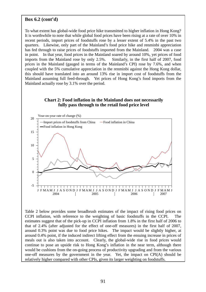## **Box 6.2 (cont'd)**

To what extent has global-wide food price hike transmitted to higher inflation in Hong Kong? It is worthwhile to note that while global food prices have been rising at a rate of over 10% in recent periods, import prices of foodstuffs rose by a lesser extent of 5.4% in the past two quarters. Likewise, only part of the Mainland's food price hike and renminbi appreciation has fed through to raise prices of foodstuffs imported from the Mainland. 2004 was a case in point. In that year, food prices in the Mainland soared by around 10%, yet prices of food imports from the Mainland rose by only 2.5%. Similarly, in the first half of 2007, food prices in the Mainland (gauged in terms of the Mainland's CPI) rose by 7.6%, and when coupled with the 5% cumulative appreciation in the renminbi against the Hong Kong dollar, this should have translated into an around 13% rise in import cost of foodstuffs from the Mainland assuming full feed-through. Yet prices of Hong Kong's food imports from the Mainland actually rose by 3.1% over the period.

### **Chart 2: Food inflation in the Mainland does not necessarily fully pass through to the retail food price level**



Table 2 below provides some broadbrush estimates of the impact of rising food prices on CCPI inflation, with reference to the weighting of basic foodstuffs in the CCPI. The estimates suggest that of the pick-up in CCPI inflation from 1.8% in the first half of 2006 to that of 2.4% (after adjusted for the effect of one-off measures) in the first half of 2007, around 0.3% point was due to food price hikes. The impact would be slightly higher, at around 0.4% point, if the induced indirect lifting effect from the ensuing increase in prices of meals out is also taken into account. Clearly, the global-wide rise in food prices would continue to pose an upside risk to Hong Kong's inflation in the near term, although there would be cushions from the on-going process of productivity upgrading and from the various one-off measures by the government in the year. Yet, the impact on CPI(A) should be relatively higher compared with other CPIs, given its larger weighting on foodstuffs.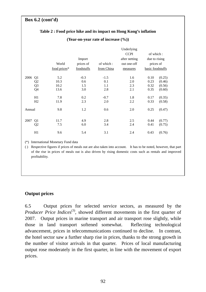## **Box 6.2 (cont'd)**

|        |                | World<br>food prices* | Import<br>prices of<br>foodstuffs | of which:<br>from China | Underlying<br><b>CCPI</b><br>after netting<br>out one-off<br>measures | of which:<br>due to rising<br>prices of<br>basic foodstuffs |        |
|--------|----------------|-----------------------|-----------------------------------|-------------------------|-----------------------------------------------------------------------|-------------------------------------------------------------|--------|
| 2006   | Q <sub>1</sub> | 5.2                   | $-0.3$                            | $-1.5$                  | 1.6                                                                   | 0.10                                                        | (0.25) |
|        | Q <sub>2</sub> | 10.3                  | 0.6                               | 0.1                     | 2.0                                                                   | 0.23                                                        | (0.46) |
|        | Q <sub>3</sub> | 10.2                  | 1.5                               | 1.1                     | 2.3                                                                   | 0.32                                                        | (0.56) |
|        | Q4             | 13.6                  | 3.0                               | 2.8                     | 2.1                                                                   | 0.35                                                        | (0.60) |
|        | H1             | 7.8                   | 0.2                               | $-0.7$                  | 1.8                                                                   | 0.17                                                        | (0.35) |
|        | H <sub>2</sub> | 11.9                  | 2.3                               | 2.0                     | 2.2                                                                   | 0.33                                                        | (0.58) |
| Annual |                | 9.8                   | 1.2                               | 0.6                     | 2.0                                                                   | 0.25                                                        | (0.47) |
| 2007   | Q1             | 11.7                  | 4.9                               | 2.8                     | 2.5                                                                   | 0.44                                                        | (0.77) |
|        | Q <sub>2</sub> | 7.5                   | 6.0                               | 3.4                     | 2.4                                                                   | 0.41                                                        | (0.75) |
|        | H1             | 9.6                   | 5.4                               | 3.1                     | 2.4                                                                   | 0.43                                                        | (0.76) |

### **Table 2 : Food price hike and its impact on Hong Kong's inflation**

**(Year-on-year rate of increase (%))** 

(\*) International Monetary Fund data

( ) Respective figures if prices of meals out are also taken into account. It has to be noted, however, that part of the rise in prices of meals out is also driven by rising domestic costs such as rentals and improved profitability.

## **Output prices**

6.5 Output prices for selected service sectors, as measured by the *Producer Price Indices*<sup>(3)</sup>, showed different movements in the first quarter of 2007. Output prices in marine transport and air transport rose slightly, while those in land transport softened somewhat. Reflecting technological advancement, prices in telecommunications continued to decline. In contrast, the hotel sector saw a further sharp rise in prices, thanks to the strong growth in the number of visitor arrivals in that quarter. Prices of local manufacturing output rose moderately in the first quarter, in line with the movement of export prices.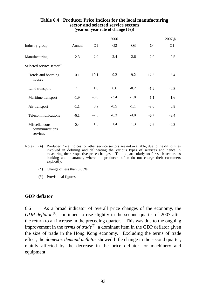|                                             |        |                       | 2006   |        |        | 2007@    |
|---------------------------------------------|--------|-----------------------|--------|--------|--------|----------|
| Industry group                              | Annual | $\Omega$ <sup>1</sup> | Q2     | $Q_3$  | $Q_4$  | $\Omega$ |
| Manufacturing                               | 2.3    | 2.0                   | 2.4    | 2.6    | 2.0    | 2.5      |
| Selected service sector <sup>(#)</sup>      |        |                       |        |        |        |          |
| Hotels and boarding<br>houses               | 10.1   | 10.1                  | 9.2    | 9.2    | 12.5   | 8.4      |
| Land transport                              | $\ast$ | 1.0                   | 0.6    | $-0.2$ | $-1.2$ | $-0.8$   |
| Maritime transport                          | $-1.9$ | $-3.6$                | $-3.4$ | $-1.8$ | 1.1    | 1.6      |
| Air transport                               | $-1.1$ | 0.2                   | $-0.5$ | $-1.1$ | $-3.0$ | 0.8      |
| Telecommunications                          | $-6.1$ | $-7.5$                | $-6.3$ | $-4.0$ | $-6.7$ | $-3.4$   |
| Miscellaneous<br>communications<br>services | 0.4    | 1.5                   | 1.4    | 1.3    | $-2.6$ | $-0.3$   |

### **Table 6.4 : Producer Price Indices for the local manufacturing sector and selected service sectors (year-on-year rate of change (%))**

- Notes : (#) Producer Price Indices for other service sectors are not available, due to the difficulties involved in defining and delineating the various types of services and hence in measuring their respective price changes. This is particularly so for such sectors as banking and insurance, where the producers often do not charge their customers explicitly.
	- (\*) Change of less than 0.05%
	- $\binom{a}{b}$  Provisional figures

## **GDP deflator**

6.6 As a broad indicator of overall price changes of the economy, the *GDP deflator*<sup>(4)</sup>, continued to rise slightly in the second quarter of 2007 after the return to an increase in the preceding quarter. This was due to the ongoing improvement in the *terms of trade*<sup>(5)</sup>, a dominant item in the GDP deflator given the size of trade in the Hong Kong economy. Excluding the terms of trade effect, the *domestic demand deflator* showed little change in the second quarter, mainly affected by the decrease in the price deflator for machinery and equipment.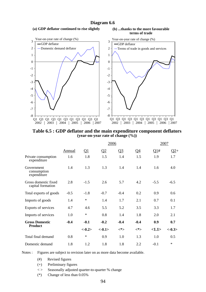### **Diagram 6.6**

#### **(a) GDP deflator continued to rise slightly (b) ...thanks to the more favourable**





**Table 6.5 : GDP deflator and the main expenditure component deflators (year-on-year rate of change (%))** 

|                                           |        |           | 2006     |         |           | 2007   |          |
|-------------------------------------------|--------|-----------|----------|---------|-----------|--------|----------|
|                                           | Annual | <u>Q1</u> | $\Omega$ | $Q_2^2$ | <u>Q4</u> | Q1#    | $Q2+$    |
| Private consumption<br>expenditure        | 1.6    | 1.8       | 1.5      | 1.4     | 1.5       | 1.9    | 1.7      |
| Government<br>consumption<br>expenditure  | 1.4    | 1.3       | 1.3      | 1.4     | 1.4       | 1.6    | 4.0      |
| Gross domestic fixed<br>capital formation | 2.8    | $-1.5$    | 2.6      | 5.7     | 4.2       | $-5.5$ | $-6.5$   |
| Total exports of goods                    | $-0.5$ | $-1.8$    | $-0.7$   | $-0.4$  | 0.2       | 0.9    | 0.6      |
| Imports of goods                          | 1.4    | $\ast$    | 1.4      | 1.7     | 2.1       | 0.7    | 0.1      |
| Exports of services                       | 4.7    | 4.6       | 5.5      | 5.2     | 3.5       | 3.3    | 1.7      |
| Imports of services                       | 1.0    | $\ast$    | 0.8      | 1.4     | 1.8       | 2.0    | 2.1      |
| <b>Gross Domestic</b>                     | $-0.4$ | $-0.1$    | $-0.2$   | $-0.4$  | $-0.4$    | 0.9    | 0.7      |
| <b>Product</b>                            |        | $<-0.2>$  | $<-0.1>$ | $<^*>$  | <*>       | <1.1>  | $<-0.3>$ |
| Total final demand                        | 0.8    | $\ast$    | 0.9      | 1.0     | 1.3       | 1.0    | 0.5      |
| Domestic demand                           | 1.8    | 1.2       | 1.8      | 1.8     | 2.2       | $-0.1$ | $\ast$   |

Notes : Figures are subject to revision later on as more data become available.

- (#) Revised figures
- (+) Preliminary figures

< > Seasonally adjusted quarter-to-quarter % change

(\*) Change of less than 0.05%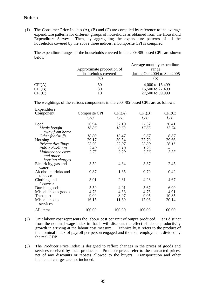### **Notes :**

(1) The Consumer Price Indices (A), (B) and (C) are compiled by reference to the average expenditure patterns for different groups of households as obtained from the Household Expenditure Survey. Then, by aggregating the expenditure patterns of all the households covered by the above three indices, a Composite CPI is compiled.

 The expenditure ranges of the households covered in the 2004/05-based CPIs are shown below:

|        | Approximate proportion of<br>households covered<br>(%) | Average monthly expenditure.<br>range<br>during Oct 2004 to Sep $2005$ |
|--------|--------------------------------------------------------|------------------------------------------------------------------------|
| CPI(A) | 50                                                     | 4,000 to 15,499                                                        |
| CPI(B) | 30                                                     | 15,500 to 27,499                                                       |
| CPI(C) | 10                                                     | 27,500 to 59,999                                                       |

The weightings of the various components in the 2004/05-based CPIs are as follows:

| Expenditure          |                      |        |        |        |
|----------------------|----------------------|--------|--------|--------|
| <b>Component</b>     | <b>Composite CPI</b> | CPI(A) | CPI(B) | CPI(C) |
|                      | $(\%)$               | (% )   | (% )   | (%)    |
| Food                 | 26.94                | 32.10  | 27.32  | 20.41  |
| Meals bought         | 16.86                | 18.63  | 17.65  | 13.74  |
| away from home       |                      |        |        |        |
| Other foodstuffs     | 10.08                | 13.47  | 9.67   | 6.67   |
| Housing              | 29.17                | 30.54  | 27.70  | 29.66  |
| Private dwellings    | 23.93                | 22.07  | 23.89  | 26.11  |
| Public dwellings     | 2.49                 | 6.18   | 1.25   |        |
| Maintenance costs    | 2.75                 | 2.29   | 2.56   | 3.55   |
| and other            |                      |        |        |        |
| housing charges      |                      |        |        |        |
| Electricity, gas and | 3.59                 | 4.84   | 3.37   | 2.45   |
| water                |                      |        |        |        |
| Alcoholic drinks and | 0.87                 | 1.35   | 0.79   | 0.42   |
| tobacco              |                      |        |        |        |
| Clothing and         | 3.91                 | 2.81   | 4.28   | 4.67   |
| footwear             |                      |        |        |        |
| Durable goods        | 5.50                 | 4.01   | 5.67   | 6.99   |
| Miscellaneous goods  | 4.78                 | 4.68   | 4.76   | 4.91   |
| <b>Transport</b>     | 9.09                 | 8.07   | 9.05   | 10.35  |
| Miscellaneous        | 16.15                | 11.60  | 17.06  | 20.14  |
| services             |                      |        |        |        |
| All items            | 100.00               | 100.00 | 100.00 | 100.00 |
|                      |                      |        |        |        |

- (2) Unit labour cost represents the labour cost per unit of output produced. It is distinct from the nominal wage index in that it will discount the effect of labour productivity growth in arriving at the labour cost measure. Technically, it refers to the product of the nominal index of payroll per person engaged and the total employment, divided by the real GDP.
- (3) The Producer Price Index is designed to reflect changes in the prices of goods and services received by local producers. Producer prices refer to the transacted prices, net of any discounts or rebates allowed to the buyers. Transportation and other incidental charges are not included.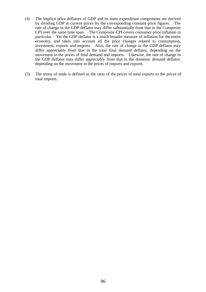- (4) The implicit price deflators of GDP and its main expenditure components are derived by dividing GDP at current prices by the corresponding constant price figures. The rate of change in the GDP deflator may differ substantially from that in the Composite CPI over the same time span. The Composite CPI covers consumer price inflation in particular. Yet the GDP deflator is a much broader measure of inflation for the entire economy, and takes into account all the price changes related to consumption, investment, exports and imports. Also, the rate of change in the GDP deflator may differ appreciably from that in the total final demand deflator, depending on the movement in the prices of final demand and imports. Likewise, the rate of change in the GDP deflator may differ appreciably from that in the domestic demand deflator, depending on the movement in the prices of imports and exports.
- (5) The terms of trade is defined as the ratio of the prices of total exports to the prices of total imports.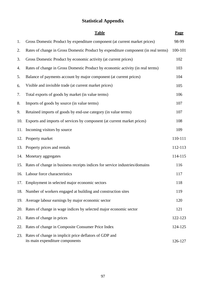## **Statistical Appendix**

|     | <b>Table</b>                                                                              | Page    |
|-----|-------------------------------------------------------------------------------------------|---------|
| 1.  | Gross Domestic Product by expenditure component (at current market prices)                | 98-99   |
| 2.  | Rates of change in Gross Domestic Product by expenditure component (in real terms)        | 100-101 |
| 3.  | Gross Domestic Product by economic activity (at current prices)                           | 102     |
| 4.  | Rates of change in Gross Domestic Product by economic activity (in real terms)            | 103     |
| 5.  | Balance of payments account by major component (at current prices)                        | 104     |
| 6.  | Visible and invisible trade (at current market prices)                                    | 105     |
| 7.  | Total exports of goods by market (in value terms)                                         | 106     |
| 8.  | Imports of goods by source (in value terms)                                               | 107     |
| 9.  | Retained imports of goods by end-use category (in value terms)                            | 107     |
| 10. | Exports and imports of services by component (at current market prices)                   | 108     |
| 11. | Incoming visitors by source                                                               | 109     |
| 12. | Property market                                                                           | 110-111 |
| 13. | Property prices and rentals                                                               | 112-113 |
| 14. | Monetary aggregates                                                                       | 114-115 |
| 15. | Rates of change in business receipts indices for service industries/domains               | 116     |
|     | 16. Labour force characteristics                                                          | 117     |
|     | 17. Employment in selected major economic sectors                                         | 118     |
|     | 18. Number of workers engaged at building and construction sites                          | 119     |
| 19. | Average labour earnings by major economic sector                                          | 120     |
| 20. | Rates of change in wage indices by selected major economic sector                         | 121     |
| 21. | Rates of change in prices                                                                 | 122-123 |
| 22. | Rates of change in Composite Consumer Price Index                                         | 124-125 |
| 23. | Rates of change in implicit price deflators of GDP and<br>its main expenditure components | 126-127 |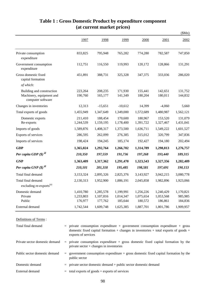|                                                                            |                                   |                                   |                                   |                                   |                                   | \$Mn\$                          |
|----------------------------------------------------------------------------|-----------------------------------|-----------------------------------|-----------------------------------|-----------------------------------|-----------------------------------|---------------------------------|
|                                                                            | 1997                              | 1998                              | 1999                              | 2000                              | 2001                              | 2002                            |
| Private consumption<br>expenditure                                         | 833,825                           | 795,948                           | 765,282                           | 774,280                           | 782,587                           | 747,850                         |
| Government consumption<br>expenditure                                      | 112,751                           | 116,550                           | 119,993                           | 120,172                           | 128,866                           | 131,291                         |
| Gross domestic fixed<br>capital formation                                  | 451,891                           | 388,731                           | 325,328                           | 347,375                           | 333,036                           | 286,020                         |
| of which:                                                                  |                                   |                                   |                                   |                                   |                                   |                                 |
| Building and construction<br>Machinery, equipment and<br>computer software | 223,264<br>190,760                | 208,235<br>165,177                | 171,930<br>141,349                | 155,441<br>180,204                | 142,651<br>180,011                | 131,752<br>144,832              |
| Changes in inventories                                                     | 12,313                            | $-15,651$                         | $-10,612$                         | 14,399                            | $-4,060$                          | 5,660                           |
| Total exports of goods                                                     | 1,455,949                         | 1,347,649                         | 1,349,000                         | 1,572,689                         | 1,480,987                         | 1,562,121                       |
| Domestic exports<br>Re-exports                                             | 211,410<br>1,244,539              | 188,454<br>1,159,195              | 170,600<br>1,178,400              | 180,967<br>1,391,722              | 153,520<br>1,327,467              | 131,079<br>1,431,041            |
| Imports of goods                                                           | 1,589,876                         | 1,408,317                         | 1,373,500                         | 1,636,711                         | 1,549,222                         | 1,601,527                       |
| Exports of services                                                        | 286,595                           | 262,099                           | 276,385                           | 315,012                           | 320,799                           | 347,836                         |
| Imports of services                                                        | 198,424                           | 194,245                           | 185,174                           | 192,427                           | 194,180                           | 202,494                         |
| <b>GDP</b>                                                                 | 1,365,024                         | 1,292,764                         | 1,266,702                         | 1,314,789                         | 1,298,813                         | 1,276,757                       |
| Per capita GDP $(\$)$ <sup><math>\degree</math></sup>                      | 210,350                           | 197,559                           | 191,736                           | 197,268                           | 193,440                           | 189,315                         |
| <b>GNP</b>                                                                 | 1,363,409                         | 1,317,362                         | 1,291,470                         | 1,323,543                         | 1,327,356                         | 1,282,409                       |
| Per capita GNP $(\$)$ <sup><i>®</i></sup>                                  | 210,101                           | 201,318                           | 195,485                           | 198,581                           | 197,691                           | 190,153                         |
| Total final demand                                                         | 3,153,324                         | 2,895,326                         | 2,825,376                         | 3,143,927                         | 3,042,215                         | 3,080,778                       |
| Total final demand<br>excluding re-exports <sup>(a)</sup>                  | 2,130,313                         | 1,952,900                         | 1,886,191                         | 2,045,858                         | 1,982,896                         | 1,923,066                       |
| Domestic demand<br>Private<br>Public                                       | 1,410,780<br>1,233,803<br>176,977 | 1,285,578<br>1,107,816<br>177,762 | 1,199,991<br>1,014,347<br>185,644 | 1,256,226<br>1,075,654<br>180,572 | 1,240,429<br>1,053,568<br>186,861 | 1,170,821<br>985,985<br>184,836 |
| External demand                                                            | 1,742,544                         | 1,609,748                         | 1,625,385                         | 1,887,701                         | 1,801,786                         | 1,909,957                       |

## **Table 1 : Gross Domestic Product by expenditure component (at current market prices)**

Definitions of Terms :

| Total final demand             | $=$ private consumption expenditure $+$ government consumption expenditure $+$ gross<br>domestic fixed capital formation $+$ changes in inventories $+$ total exports of goods $+$<br>exports of services |
|--------------------------------|-----------------------------------------------------------------------------------------------------------------------------------------------------------------------------------------------------------|
| Private sector domestic demand | $=$ private consumption expenditure $+$ gross domestic fixed capital formation by the<br>private sector $+$ changes in inventories                                                                        |
| Public sector domestic demand  | $=$ government consumption expenditure $+$ gross domestic fixed capital formation by the<br>public sector                                                                                                 |
| Domestic demand                | $=$ private sector domestic demand $+$ public sector domestic demand                                                                                                                                      |
| External demand                | $=$ total exports of goods + exports of services                                                                                                                                                          |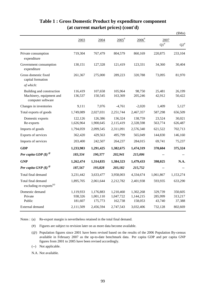|                                                                            |                                 |                                   |                                   |                                   |                              | \$Mn)                                 |
|----------------------------------------------------------------------------|---------------------------------|-----------------------------------|-----------------------------------|-----------------------------------|------------------------------|---------------------------------------|
|                                                                            | 2003                            | 2004                              | $2005$ <sup>#</sup>               | $2006$ <sup>#</sup>               | 2007<br>$\mathrm{Q1}^{\#}$   | ${\mathsf Q}2^{\scriptscriptstyle\#}$ |
| Private consumption<br>expenditure                                         | 719,304                         | 767,479                           | 804,579                           | 860,169                           | 220,875                      | 233,104                               |
| Government consumption<br>expenditure                                      | 130,151                         | 127,328                           | 121,419                           | 123,331                           | 34,360                       | 30,404                                |
| Gross domestic fixed<br>capital formation                                  | 261,367                         | 275,000                           | 289,223                           | 320,788                           | 73,095                       | 81,970                                |
| of which:                                                                  |                                 |                                   |                                   |                                   |                              |                                       |
| Building and construction<br>Machinery, equipment and<br>computer software | 116,419<br>136,537              | 107,658<br>150,545                | 105,964<br>163,369                | 98,750<br>205,246                 | 25,481<br>42,912             | 26,199<br>50,422                      |
| Changes in inventories                                                     | 9,111                           | 7,076                             | $-4,761$                          | $-2,020$                          | 1,409                        | 5,127                                 |
| Total exports of goods                                                     | 1,749,089                       | 2,027,031                         | 2,251,744                         | 2,467,357                         | 587,298                      | 656,509                               |
| Domestic exports<br>Re-exports                                             | 122,126<br>1,626,964            | 126,386<br>1,900,645              | 136,324<br>2,115,419              | 138,759<br>2,328,598              | 23,524<br>563,774            | 30,021<br>626,487                     |
| Imports of goods                                                           | 1,794,059                       | 2,099,545                         | 2,311,091                         | 2,576,340                         | 621,522                      | 702,713                               |
| Exports of services                                                        | 362,420                         | 429,563                           | 495,799                           | 565,049                           | 144,830                      | 146,160                               |
| Imports of services                                                        | 203,400                         | 242,507                           | 264,237                           | 284,015                           | 69,741                       | 75,237                                |
| <b>GDP</b>                                                                 | 1,233,983                       | 1,291,425                         | 1,382,675                         | 1,474,319                         | 370,604                      | 375,324                               |
| Per capita GDP $(\$)$ <sup><i>®</i></sup>                                  | 183,334                         | 190,377                           | 202,941                           | 215,006                           |                              |                                       |
| <b>GNP</b>                                                                 | 1,262,474                       | 1,314,835                         | 1,384,323                         | 1,479,433                         | 398,025                      | N.A.                                  |
| Per capita GNP $(\$)$ <sup><i>®</i></sup>                                  | 187,567                         | 193,828                           | 203,182                           | 215,752                           |                              |                                       |
| Total final demand                                                         | 3,231,442                       | 3,633,477                         | 3,958,003                         | 4,334,674                         | 1,061,867                    | 1,153,274                             |
| Total final demand<br>excluding re-exports <sup>(a)</sup>                  | 1,895,705                       | 2,061,644                         | 2,212,782                         | 2,401,938                         | 593,935                      | 633,290                               |
| Domestic demand<br>Private<br>Public                                       | 1,119,933<br>938,326<br>181,607 | 1,176,883<br>1,001,110<br>175,773 | 1,210,460<br>1,047,722<br>162,738 | 1,302,268<br>1,144,215<br>158,053 | 329,739<br>285,999<br>43,740 | 350,605<br>313,217<br>37,388          |
| External demand                                                            | 2,111,509                       | 2,456,594                         | 2,747,543                         | 3,032,406                         | 732,128                      | 802,669                               |

## **Table 1 : Gross Domestic Product by expenditure component (at current market prices) (cont'd)**

Notes : (a) Re-export margin is nevertheless retained in the total final demand.

(#) Figures are subject to revision later on as more data become available.

- (@) Population figures since 2001 have been revised based on the results of the 2006 Population By-census available in February 2007 as the up-to-date benchmark data. Per capita GDP and per capita GNP figures from 2001 to 2005 have been revised accordingly.
- (--) Not applicable.

N.A. Not available.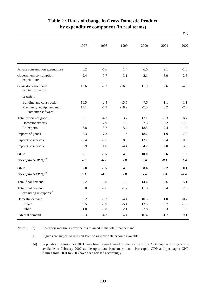|                                                           | 1997   | 1998   | 1999    | 2000   | 2001    | 2002    |
|-----------------------------------------------------------|--------|--------|---------|--------|---------|---------|
|                                                           |        |        |         |        |         |         |
| Private consumption expenditure                           | 6.2    | $-6.6$ | 1.4     | 6.0    | 2.1     | $-1.0$  |
| Government consumption<br>expenditure                     | 2.4    | 0.7    | 3.1     | 2.1    | 6.0     | 2.5     |
| Gross domestic fixed<br>capital formation                 | 12.6   | $-7.3$ | $-16.6$ | 11.0   | 2.6     | $-4.5$  |
| of which:                                                 |        |        |         |        |         |         |
| Building and construction                                 | 10.5   | $-2.4$ | $-15.5$ | $-7.6$ | $-1.1$  | $-1.1$  |
| Machinery, equipment and<br>computer software             | 13.1   | $-7.9$ | $-18.2$ | 27.0   | 6.2     | $-7.6$  |
| Total exports of goods                                    | 6.1    | $-4.3$ | 3.7     | 17.1   | $-3.3$  | 8.7     |
| Domestic exports                                          | 2.1    | $-7.9$ | $-7.2$  | 7.5    | $-10.2$ | $-11.2$ |
| Re-exports                                                | 6.8    | $-3.7$ | 5.4     | 18.5   | $-2.4$  | 11.0    |
| Imports of goods                                          | 7.3    | $-7.3$ | $\ast$  | 18.2   | $-1.9$  | 7.9     |
| Exports of services                                       | $-0.4$ | $-3.5$ | 8.8     | 12.1   | 6.4     | 10.9    |
| Imports of services                                       | 3.9    | 1.6    | $-4.4$  | 4.2    | 2.0     | 3.9     |
| <b>GDP</b>                                                | 5.1    | $-5.5$ | 4.0     | 10.0   | 0.6     | 1.8     |
| Per capita GDP $(\$)$ <sup><i>®</i></sup>                 | 4.2    | $-6.2$ | 3.0     | 9.0    | $-0.1$  | 1.4     |
| <b>GNP</b>                                                | 6.0    | $-3.5$ | 4.0     | 8.6    | 2.2     | 0.1     |
| Per capita GNP $(\$)$ <sup><i>®</i></sup>                 | 5.1    | $-4.3$ | 3.0     | 7.6    | 1.4     | $-0.4$  |
| Total final demand                                        | 6.2    | $-6.0$ | 1.3     | 14.4   | $-0.6$  | 5.1     |
| Total final demand<br>excluding re-exports <sup>(a)</sup> | 5.8    | $-7.6$ | $-1.7$  | 11.3   | 0.4     | 2.0     |
| Domestic demand                                           | 8.2    | $-9.2$ | $-4.4$  | 10.3   | $1.0\,$ | $-0.7$  |
| Private                                                   | 9.5    | $-9.9$ | $-5.4$  | 12.3   | 0.7     | $-1.0$  |
| Public                                                    | $-1.0$ | $-3.8$ | 2.1     | $-2.8$ | 3.3     | 1.2     |
| External demand                                           | 5.3    | $-4.3$ | 4.4     | 16.4   | $-1.7$  | 9.1     |

## **Table 2 : Rates of change in Gross Domestic Product by expenditure component (in real terms)**

(%)

(a) Notes : Re-export margin is nevertheless retained in the total final demand.

> (#) Figures are subject to revision later on as more data become available.

(@) Population figures since 2001 have been revised based on the results of the 2006 Population By-census available in February 2007 as the up-to-date benchmark data. Per capita GDP and per capita GNP figures from 2001 to 2005 have been revised accordingly.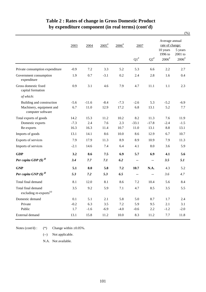|                                                           |        |         |                     |                     |         |         |                                                          | $(\% )$                      |  |
|-----------------------------------------------------------|--------|---------|---------------------|---------------------|---------|---------|----------------------------------------------------------|------------------------------|--|
|                                                           | 2003   | 2004    | $2005$ <sup>#</sup> | $2006$ <sup>#</sup> | 2007    |         | Average annual<br>rate of change:<br>10 years<br>5 years |                              |  |
|                                                           |        |         |                     |                     | $Q1^*$  | $Q2^*$  | 1996 to<br>$2006^{\rm \#}$                               | 2001 to<br>$2006^{\text{*}}$ |  |
| Private consumption expenditure                           | $-0.9$ | 7.2     | 3.3                 | 5.2                 | 5.3     | 6.6     | 2.2                                                      | 2.7                          |  |
| Government consumption<br>expenditure                     | 1.9    | 0.7     | $-3.1$              | 0.2                 | 2.4     | 2.8     | 1.6                                                      | 0.4                          |  |
| Gross domestic fixed<br>capital formation                 | 0.9    | 3.1     | 4.6                 | 7.9                 | 4.7     | 11.1    | 1.1                                                      | 2.3                          |  |
| of which:                                                 |        |         |                     |                     |         |         |                                                          |                              |  |
| Building and construction                                 | $-5.6$ | $-11.6$ | $-8.4$              | $-7.3$              | $-2.6$  | 5.3     | $-5.2$                                                   | $-6.9$                       |  |
| Machinery, equipment and<br>computer software             | 6.7    | 11.0    | 12.9                | 17.2                | 6.8     | 13.1    | 5.2                                                      | 7.7                          |  |
| Total exports of goods                                    | 14.2   | 15.3    | 11.2                | 10.2                | 8.2     | 11.3    | 7.6                                                      | 11.9                         |  |
| Domestic exports                                          | $-7.3$ | 2.4     | 7.6                 | 2.3                 | $-33.1$ | $-17.8$ | $-2.4$                                                   | $-1.5$                       |  |
| Re-exports                                                | 16.3   | 16.3    | 11.4                | 10.7                | 11.0    | 13.1    | 8.8                                                      | 13.1                         |  |
| Imports of goods                                          | 13.1   | 14.1    | 8.6                 | 10.0                | 8.6     | 12.9    | 6.7                                                      | 10.7                         |  |
| Exports of services                                       | 7.9    | 17.9    | 11.3                | 8.9                 | 8.9     | 10.9    | 7.9                                                      | 11.3                         |  |
| Imports of services                                       | $-2.1$ | 14.6    | 7.4                 | 6.4                 | 4.1     | 8.0     | 3.6                                                      | 5.9                          |  |
| <b>GDP</b>                                                | 3.2    | 8.6     | 7.5                 | 6.9                 | 5.7     | 6.9     | 4.1                                                      | 5.6                          |  |
| Per capita GDP $(\$)$ <sup><math>\degree</math></sup>     | 3.4    | 7.7     | 7.1                 | 6.2                 | --      | --      | 3.5                                                      | 5.1                          |  |
| <b>GNP</b>                                                | 5.1    | 8.0     | 5.8                 | 7.2                 | 10.7    | N.A.    | 4.3                                                      | 5.2                          |  |
| Per capita GNP $(\$)$ <sup><i>®</i></sup>                 | 5.3    | 7.2     | 5.3                 | 6.5                 | --      |         | 3.6                                                      | 4.7                          |  |
| Total final demand                                        | 8.1    | 12.0    | 8.1                 | 8.6                 | 7.2     | 10.4    | 5.6                                                      | 8.4                          |  |
| Total final demand<br>excluding re-exports <sup>(a)</sup> | $3.5$  | 9.2     | 5.9                 | 7.1                 | 4.7     | 8.5     | 3.5                                                      | 5.5                          |  |
| Domestic demand                                           | 0.1    | 5.1     | 2.1                 | 5.8                 | 5.0     | 8.7     | 1.7                                                      | 2.4                          |  |
| Private                                                   | $-0.2$ | 6.3     | 3.5                 | $7.2\,$             | 5.9     | 9.5     | 2.1                                                      | 3.1                          |  |
| Public                                                    | 1.7    | $-1.6$  | $-6.9$              | $-4.0$              | $-0.6$  | 2.2     | $-1.2$                                                   | $-2.0$                       |  |
| External demand                                           | 13.1   | 15.8    | 11.2                | 10.0                | 8.3     | 11.2    | 7.7                                                      | 11.8                         |  |

## **Table 2 : Rates of change in Gross Domestic Product by expenditure component (in real terms) (cont'd)**

(\*) Change within  $\pm 0.05\%$ . Notes (cont'd) :

(--) Not applicable.

N.A. Not available.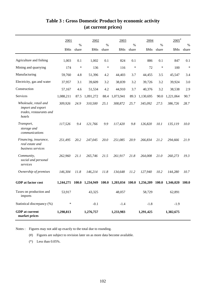|                                                                                 | 2001      | $\%$         | 2002      | %      | 2003            | $\frac{0}{0}$ | 2004      | $\%$   | $2005$ <sup>#</sup> | $\%$         |
|---------------------------------------------------------------------------------|-----------|--------------|-----------|--------|-----------------|---------------|-----------|--------|---------------------|--------------|
|                                                                                 | \$Mn      | share        | \$Mn      | share  | \$Mn            | share         | \$Mn      | share  | \$Mn                | share        |
| Agriculture and fishing                                                         | 1,003     | 0.1          | 1,002     | 0.1    | 824             | 0.1           | 886       | 0.1    | 847                 | 0.1          |
| Mining and quarrying                                                            | 174       | $\ast$       | 136       | $\ast$ | 116             | $\ast$        | 72        | $\ast$ | 100                 | $\ast$       |
| Manufacturing                                                                   | 59,760    | 4.8          | 51,396    | 4.2    | 44,403          | 3.7           | 44,455    | 3.5    | 45,547              | 3.4          |
| Electricity, gas and water                                                      | 37,957    | 3.1          | 39,609    | 3.2    | 38,839          | 3.2           | 39,726    | 3.2    | 39,924              | 3.0          |
| Construction                                                                    | 57,167    | 4.6          | 51,534    | 4.2    | 44,910          | 3.7           | 40,376    | 3.2    | 38,538              | 2.9          |
| Services                                                                        | 1,088,211 | 87.5         | 1,091,272 | 88.4   | 1,073,941       | 89.3          | 1,130,695 | 90.0   | 1,221,064           | 90.7         |
| Wholesale, retail and<br>import and export<br>trades, restaurants and<br>hotels | 309,926   | 24.9         | 310,500   | 25.1   | 308,872         | 25.7          | 345,092   | 27.5   | 386,726             | 28.7         |
| Transport,<br>storage and<br>communications                                     | 117,526   | 9.4          | 121,766   | 9.9    | 117,420         | 9.8           | 126,820   | 10.1   | 135,119             | 10.0         |
| Financing, insurance,<br>real estate and<br>business services                   | 251,495   | 20.2         | 247,045   | 20.0   | 251,085         | 20.9          | 266,834   | 21.2   | 294,666             | 21.9         |
| Community,<br>social and personal<br>services                                   | 262,960   | 21.1         | 265,746   | 21.5   | 261,917         | 21.8          | 264,008   | 21.0   | 260,273             | 19.3         |
| Ownership of premises                                                           | 146,304   | 11.8         | 146,214   | 11.8   | 134,648         | 11.2          | 127,940   | 10.2   | 144,280             | 10.7         |
| <b>GDP</b> at factor cost                                                       | 1,244,271 | <b>100.0</b> | 1,234,949 | 100.0  | 1,203,034 100.0 |               | 1,256,209 | 100.0  | 1,346,020           | <b>100.0</b> |
| Taxes on production and<br>imports                                              | 53,917    |              | 43,325    |        | 48,057          |               | 58,729    |        | 62,891              |              |
| Statistical discrepancy (%)                                                     | $\ast$    |              | $-0.1$    |        | $-1.4$          |               | $-1.8$    |        | $-1.9$              |              |
| <b>GDP</b> at current<br>market prices                                          | 1,298,813 |              | 1,276,757 |        | 1,233,983       |               | 1,291,425 |        | 1,382,675           |              |

## **Table 3 : Gross Domestic Product by economic activity (at current prices)**

Notes : Figures may not add up exactly to the total due to rounding.

(#) Figures are subject to revision later on as more data become available.

(\*) Less than 0.05%.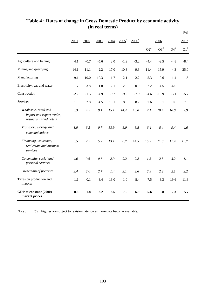|                                                                              |         |         |         |         |                     |                     |           |                           |                 | $(\% )$            |
|------------------------------------------------------------------------------|---------|---------|---------|---------|---------------------|---------------------|-----------|---------------------------|-----------------|--------------------|
|                                                                              | 2001    | 2002    | 2003    | 2004    | $2005$ <sup>#</sup> | $2006$ <sup>#</sup> |           | 2006                      |                 | 2007               |
|                                                                              |         |         |         |         |                     |                     | $Q2^{\#}$ | $\mathrm{Q3}^{\text{\#}}$ | ${\bf Q4}^{\#}$ | $\mathrm{Q1}^{\#}$ |
| Agriculture and fishing                                                      | 4.1     | $-0.7$  | $-5.6$  | 2.0     | $-1.9$              | $-3.2$              | $-4.4$    | $-2.5$                    | $-4.8$          | $-8.4$             |
| Mining and quarrying                                                         | $-14.1$ | $-11.1$ | 2.2     | $-17.0$ | 10.3                | 9.3                 | 11.4      | 15.9                      | 4.3             | 25.0               |
| Manufacturing                                                                | $-9.1$  | $-10.0$ | $-10.3$ | 1.7     | 2.1                 | 2.2                 | 5.3       | $-0.6$                    | $-1.4$          | $-1.5$             |
| Electricity, gas and water                                                   | 1.7     | 3.8     | 1.8     | 2.1     | 2.5                 | 0.9                 | 2.2       | 4.5                       | $-4.0$          | 1.5                |
| Construction                                                                 | $-2.2$  | $-1.5$  | $-4.9$  | $-9.7$  | $-9.2$              | $-7.9$              | $-4.6$    | $-10.9$                   | $-3.1$          | $-5.7$             |
| Services                                                                     | 1.8     | 2.8     | 4.5     | 10.1    | 8.0                 | 8.7                 | 7.6       | 8.1                       | 9.6             | 7.8                |
| Wholesale, retail and<br>import and export trades,<br>restaurants and hotels | 0.3     | 4.5     | 9.1     | 15.1    | 14.4                | 10.0                | 7.1       | 10.4                      | 10.0            | 7.9                |
| Transport, storage and<br>communications                                     | 1.9     | 6.5     | 0.7     | 13.9    | 8.0                 | 8.8                 | 6.4       | 8.4                       | 9.4             | 4.6                |
| Financing, insurance,<br>real estate and business<br>services                | 0.5     | 2.7     | 5.7     | 13.1    | 8.7                 | 14.5                | 15.2      | 11.8                      | 17.4            | 15.7               |
| Community, social and<br>personal services                                   | 4.0     | $-0.6$  | 0.6     | 2.9     | 0.2                 | 2.2                 | 1.5       | 2.5                       | 3.2             | 1.1                |
| Ownership of premises                                                        | 3.4     | 2.0     | 2.7     | 1.4     | 3.1                 | 2.6                 | 2.9       | 2.2                       | 2.1             | 2.2                |
| Taxes on production and<br>imports                                           | $-1.1$  | $-0.1$  | 3.4     | 13.0    | 1.0                 | 8.4                 | 7.5       | 3.3                       | 19.6            | 11.8               |
| GDP at constant (2000)<br>market prices                                      | 0.6     | 1.8     | 3.2     | 8.6     | 7.5                 | 6.9                 | 5.6       | 6.8                       | 7.3             | 5.7                |

# **Table 4 : Rates of change in Gross Domestic Product by economic activity (in real terms)**

(#) Figures are subject to revision later on as more data become available. Note :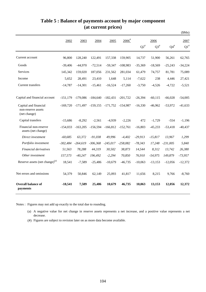|                                                             |            |            |            |            |                     |                           |                                   |                 | \$Mn)                      |
|-------------------------------------------------------------|------------|------------|------------|------------|---------------------|---------------------------|-----------------------------------|-----------------|----------------------------|
|                                                             | 2002       | 2003       | 2004       | 2005       | $2006$ <sup>#</sup> | $\mathrm{Q2}^{\text{\#}}$ | 2006<br>$\mathrm{Q3}^{\text{\#}}$ | ${\bf Q4}^{\#}$ | 2007<br>$\mathrm{Q1}^{\#}$ |
| Current account                                             | 96,800     | 128,240    | 122,491    | 157,338    | 159,905             | 14,737                    | 51,900                            | 56,261          | 62,765                     |
| Goods                                                       | $-39,406$  | $-44,970$  | $-72,514$  | $-59,347$  | $-108,983$          | $-35,369$                 | $-18,569$                         | $-25,243$       | $-34,224$                  |
| <b>Services</b>                                             | 145,342    | 159,020    | 187,056    | 231,562    | 281,034             | 61.479                    | 74,757                            | 81,781          | 75,089                     |
| Income                                                      | 5,652      | 28,491     | 23,410     | 1,648      | 5,114               | $-7,622$                  | 238                               | 4,446           | 27,421                     |
| Current transfers                                           | $-14,787$  | $-14,301$  | $-15,461$  | $-16,524$  | $-17,260$           | $-3,750$                  | $-4,526$                          | $-4,722$        | $-5,521$                   |
| Capital and financial account                               | $-151,179$ | $-179,086$ | $-184,640$ | $-182.431$ | $-201.722$          | $-26,394$                 | $-60,115$                         | $-66,028$       | $-54,005$                  |
| Capital and financial<br>non-reserve assets<br>(net change) | $-169,720$ | $-171,497$ | $-159,155$ | $-171,752$ | $-154,987$          | $-16,330$                 | $-46,962$                         | $-53,972$       | $-41,633$                  |
| Capital transfers                                           | $-15,686$  | $-8,292$   | $-2,561$   | $-4,939$   | $-2,226$            | 472                       | $-1,729$                          | $-554$          | $-1,196$                   |
| Financial non-reserve<br>assets (net change)                | $-154,033$ | $-163,205$ | $-156,594$ | $-166,812$ | $-152,761$          | $-16,803$                 | $-45,233$                         | $-53,418$       | $-40,437$                  |
| Direct investment                                           | $-60.685$  | 63,372     | $-91,038$  | 49.996     | $-4.402$            | $-29,913$                 | $-15,817$                         | 13.967          | 1,299                      |
| Portfolio investment                                        | $-302,484$ | $-264,619$ | $-306,368$ | $-245,017$ | $-258,082$          | $-78,343$                 | 17,248                            | $-231,005$      | 5,840                      |
| Financial derivatives                                       | 51,563     | 78,288     | 44,319     | 30,502     | 38,873              | 14,544                    | 8,312                             | 13,742          | 26,380                     |
| Other investment                                            | 157,573    | $-40,247$  | 196,492    | $-2,294$   | 70,850              | 76,910                    | $-54,975$                         | 149,879         | $-73,957$                  |
| Reserve assets (net change) <sup>(a)</sup>                  | 18,541     | $-7,589$   | $-25,486$  | $-10,679$  | $-46,735$           | $-10,063$                 | $-13,153$                         | $-12,056$       | $-12,372$                  |
| Net errors and omissions                                    | 54,379     | 50,846     | 62,149     | 25,093     | 41,817              | 11,656                    | 8,215                             | 9,766           | $-8,760$                   |
| <b>Overall balance of</b><br>payments                       | $-18,541$  | 7,589      | 25,486     | 10,679     | 46,735              | 10,063                    | 13,153                            | 12,056          | 12,372                     |

### **Table 5 : Balance of payments account by major component (at current prices)**

Notes : Figures may not add up exactly to the total due to rounding.

- (a) A negative value for net change in reserve assets represents a net increase, and a positive value represents a net decrease.
- (#) Figures are subject to revision later on as more data become available.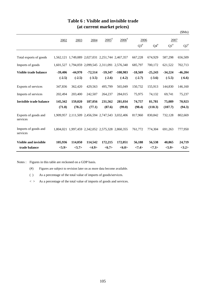### **Table 6 : Visible and invisible trade (at current market prices)**

|                                  |           |                                                   |           |                     | $\alpha$ can che mai ket prices, |           |           |           |           |
|----------------------------------|-----------|---------------------------------------------------|-----------|---------------------|----------------------------------|-----------|-----------|-----------|-----------|
|                                  |           |                                                   |           |                     |                                  |           |           |           | \$Mn)     |
|                                  | 2002      | 2003                                              | 2004      | $2005$ <sup>#</sup> | $2006$ <sup>#</sup>              | 2006      |           | 2007      |           |
|                                  |           |                                                   |           |                     |                                  | $Q3^*$    | $Q4^{\#}$ | $Q1^*$    | $Q2^{\#}$ |
| Total exports of goods           |           | 1,562,121 1,749,089 2,027,031 2,251,744 2,467,357 |           |                     |                                  | 667,228   | 674,929   | 587,298   | 656,509   |
| Imports of goods                 |           | 1,601,527 1,794,059 2,099,545 2,311,091 2,576,340 |           |                     |                                  | 685,797   | 700,172   | 621,522   | 702,713   |
| Visible trade balance            | $-39,406$ | $-44,970$                                         | $-72,514$ | $-59,347$           | $-108,983$                       | $-18,569$ | $-25,243$ | $-34,224$ | $-46,204$ |
|                                  | $(-2.5)$  | $(-2.5)$                                          | $(-3.5)$  | $(-2.6)$            | $(-4.2)$                         | $(-2.7)$  | $(-3.6)$  | $(-5.5)$  | $(-6.6)$  |
| Exports of services              | 347,836   | 362,420                                           | 429,563   | 495,799             | 565,049                          | 150,732   | 155,913   | 144,830   | 146,160   |
| Imports of services              | 202,494   | 203,400                                           | 242,507   | 264,237             | 284,015                          | 75,975    | 74,132    | 69,741    | 75,237    |
| <b>Invisible trade balance</b>   | 145,342   | 159,020                                           | 187,056   | 231,562             | 281,034                          | 74,757    | 81,781    | 75,089    | 70,923    |
|                                  | (71.8)    | (78.2)                                            | (77.1)    | (87.6)              | (99.0)                           | (98.4)    | (110.3)   | (107.7)   | (94.3)    |
| Exports of goods and<br>services |           | 1,909,957 2,111,509 2,456,594 2,747,543 3,032,406 |           |                     |                                  | 817,960   | 830,842   | 732,128   | 802,669   |
| Imports of goods and<br>services |           | 1,804,021 1,997,459 2,342,052 2,575,328 2,860,355 |           |                     |                                  | 761,772   | 774,304   | 691,263   | 777,950   |
| <b>Visible and invisible</b>     | 105,936   | 114,050                                           | 114,542   | 172,215             | 172,051                          | 56,188    | 56,538    | 40,865    | 24,719    |
| trade balance                    | < 5.9>    | <5.7>                                             | <4.9>     | $6.7$               | $<\!\!6.0\!\!>$                  | <7.4>     | <7.3>     | < 5.9>    | <3.2>     |

Notes : Figures in this table are reckoned on a GDP basis.

- (#) Figures are subject to revision later on as more data become available.
- ( ) As a percentage of the total value of imports of goods/services.
- < > As a percentage of the total value of imports of goods and services.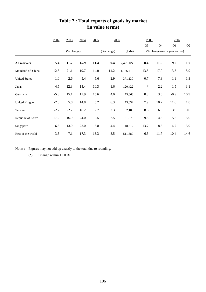|                      | 2002   | 2003       | 2004 | 2005 | 2006       |           |                |                | 2006<br>2007                   |      |
|----------------------|--------|------------|------|------|------------|-----------|----------------|----------------|--------------------------------|------|
|                      |        |            |      |      |            |           | Q <sub>3</sub> | Q <sub>4</sub> | Q1                             | Q2   |
|                      |        | (% change) |      |      | (% change) | (SMn)     |                |                | (% change over a year earlier) |      |
| <b>All markets</b>   | 5.4    | 11.7       | 15.9 | 11.4 | 9.4        | 2,461,027 | 8.4            | 11.9           | 9.0                            | 11.7 |
| Mainland of China    | 12.3   | 21.1       | 19.7 | 14.0 | 14.2       | 1,156,210 | 13.5           | 17.0           | 13.3                           | 15.9 |
| <b>United States</b> | 1.0    | $-2.6$     | 5.4  | 5.6  | 2.9        | 371,130   | 0.7            | 7.3            | 1.9                            | 1.3  |
| Japan                | $-4.5$ | 12.3       | 14.4 | 10.3 | 1.6        | 120,422   | $\ast$         | $-2.2$         | 1.5                            | 3.1  |
| Germany              | $-5.3$ | 15.1       | 11.9 | 15.6 | 4.0        | 75,663    | 0.3            | 3.6            | $-0.9$                         | 10.9 |
| United Kingdom       | $-2.0$ | 5.8        | 14.8 | 5.2  | 6.3        | 73,632    | 7.9            | 10.2           | 11.6                           | 1.8  |
| Taiwan               | $-2.2$ | 22.2       | 16.2 | 2.7  | 3.3        | 52,106    | 8.6            | 6.8            | 3.9                            | 10.0 |
| Republic of Korea    | 17.2   | 16.9       | 24.0 | 9.5  | $7.5$      | 51,873    | 9.8            | $-4.3$         | $-5.5$                         | 5.0  |
| Singapore            | 6.8    | 13.0       | 22.0 | 6.8  | 4.4        | 48,612    | 13.7           | 8.8            | 4.7                            | 3.9  |
| Rest of the world    | 3.5    | 7.1        | 17.3 | 13.3 | 8.5        | 511,380   | 6.3            | 11.7           | 10.4                           | 14.6 |

# **Table 7 : Total exports of goods by market (in value terms)**

Notes : Figures may not add up exactly to the total due to rounding.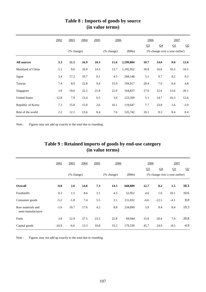|                      | 2002    | 2003       | 2004 | 2005 | 2006       |           | 2006           |                | 2007                           |        |
|----------------------|---------|------------|------|------|------------|-----------|----------------|----------------|--------------------------------|--------|
|                      |         |            |      |      |            |           | Q <sub>3</sub> | Q <sub>4</sub> | Q1                             | Q2     |
|                      |         | (% change) |      |      | (% change) | (SMn)     |                |                | (% change over a year earlier) |        |
| <b>All sources</b>   | 3.3     | 11.5       | 16.9 | 10.3 | 11.6       | 2,599,804 | 10.7           | 14.0           | 9.0                            | 12.6   |
| Mainland of China    | 5.1     | 9.6        | 16.9 | 14.3 | 13.7       | 1,192,952 | 10.8           | 16.6           | 10.3                           | 16.5   |
| Japan                | 3.4     | 17.2       | 19.7 | 0.1  | 4.5        | 268,140   | 5.1            | 9.7            | 8.2                            | 9.3    |
| Taiwan               | 7.4     | 8.0        | 22.8 | 9.4  | 15.9       | 194,917   | 20.4           | 7.0            | 0.4                            | 4.8    |
| Singapore            | 3.9     | 19.6       | 22.5 | 21.8 | 21.9       | 164,837   | 17.0           | 22.6           | 13.6                           | 26.1   |
| <b>United States</b> | $-12.8$ | 7.9        | 13.4 | 6.5  | 3.6        | 123,569   | 5.1            | 14.7           | 16.3                           | 12.6   |
| Republic of Korea    | 7.3     | 15.0       | 15.0 | 2.6  | 16.1       | 119,647   | 7.7            | 23.8           | 1.6                            | $-2.9$ |
| Rest of the world    | 2.2     | 12.1       | 13.6 | 8.4  | 7.6        | 535,742   | 10.1           | 8.3            | 8.4                            | 8.4    |

### **Table 8 : Imports of goods by source (in value terms)**

Note : Figures may not add up exactly to the total due to rounding.

|                   |        |            |      |      | (in value terms) |         |                |                                |        |                |
|-------------------|--------|------------|------|------|------------------|---------|----------------|--------------------------------|--------|----------------|
|                   | 2002   | 2003       | 2004 | 2005 | 2006             |         | 2006           |                                | 2007   |                |
|                   |        |            |      |      |                  |         | Q <sub>3</sub> | Q <sub>4</sub>                 | Q1     | Q <sub>2</sub> |
|                   |        | (% change) |      |      | (% change)       | (SMn)   |                | (% change over a year earlier) |        |                |
| Overall           | $-9.0$ | 2.6        | 14.8 | 7.3  | 14.3             | 668,809 | 12.7           | 8.2                            | 1.5    | 10.3           |
| Foodstuffs        | 0.2    | 1.5        | 8.6  | 3.1  | 4.3              | 52,952  | 4.6            | 1.0                            | 10.1   | 10.6           |
| Consumer goods    | $-5.2$ | $-1.8$     | 7.4  | 5.5  | 3.1              | 131,832 | $-6.6$         | $-12.1$                        | $-4.1$ | 8.8            |
| Raw materials and | $-1.6$ | 10.7       | 17.6 | 4.2  | 8.8              | 234,899 | 5.9            | 9.4                            | 8.4    | 19.3           |

Fuels 3.9 12.9 37.5 23.5 22.8 69,944 15.0 20.4 7.9 20.8

Capital goods -24.9 -6.6 13.3 10.8 33.2 179,339 45.7 24.9 -8.5 -4.9

# **Table 9 : Retained imports of goods by end-use category**

Note : Figures may not add up exactly to the total due to rounding.

semi-manufactures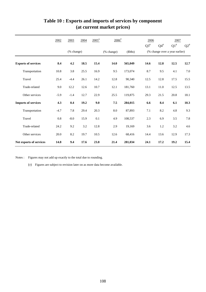|                            | 2002   | 2003       | 2004 | $2005$ <sup>#</sup> | $2006$ <sup>#</sup> |         | 2006      |           | 2007                           |        |
|----------------------------|--------|------------|------|---------------------|---------------------|---------|-----------|-----------|--------------------------------|--------|
|                            |        |            |      |                     |                     |         | $Q3^{\#}$ | $Q4^{\#}$ | $Q1^*$                         | $Q2^*$ |
|                            |        | (% change) |      |                     | (% change)          | \$Mn)   |           |           | (% change over a year earlier) |        |
| <b>Exports of services</b> | 8.4    | 4.2        | 18.5 | 15.4                | 14.0                | 565,049 | 14.6      | 12.8      | 12.5                           | 12.7   |
| Transportation             | 10.8   | 3.8        | 25.5 | 16.9                | 9.5                 | 173,074 | 8.7       | 9.5       | 4.1                            | 7.0    |
| Travel                     | 25.4   | $-4.4$     | 26.1 | 14.2                | 12.8                | 90,340  | 12.5      | 12.8      | 17.5                           | 15.5   |
| Trade-related              | 9.0    | 12.2       | 12.6 | 10.7                | 12.1                | 181,760 | 13.1      | 11.0      | 12.5                           | 13.5   |
| Other services             | $-5.9$ | $-1.4$     | 12.7 | 22.9                | 25.5                | 119,875 | 29.3      | 21.5      | 20.8                           | 18.1   |
| <b>Imports of services</b> | 4.3    | 0.4        | 19.2 | 9.0                 | 7.5                 | 284,015 | 6.6       | 8.4       | 6.1                            | 10.3   |
| Transportation             | $-4.7$ | 7.8        | 29.4 | 20.3                | $\ \, 8.0$          | 87,893  | 7.1       | 8.2       | 4.8                            | 9.3    |
| Travel                     | 0.8    | $-8.0$     | 15.9 | 0.1                 | 4.9                 | 108,537 | 2.3       | 6.9       | 3.5                            | 7.8    |
| Trade-related              | 24.2   | 9.2        | 3.2  | 12.8                | 2.9                 | 19,169  | 3.6       | $1.2\,$   | 3.2                            | 4.6    |
| Other services             | 20.0   | 8.2        | 19.7 | 10.5                | 12.6                | 68,416  | 14.4      | 13.6      | 12.9                           | 17.3   |
| Net exports of services    | 14.8   | 9.4        | 17.6 | 23.8                | 21.4                | 281,034 | 24.1      | 17.2      | 19.2                           | 15.4   |

### **Table 10 : Exports and imports of services by component (at current market prices)**

Notes : Figures may not add up exactly to the total due to rounding.

(#) Figures are subject to revision later on as more data become available.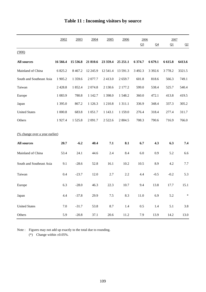|                                | 2002       | 2003      | 2004       | 2005       | 2006        | 2006           |                | 2007     |        |
|--------------------------------|------------|-----------|------------|------------|-------------|----------------|----------------|----------|--------|
|                                |            |           |            |            |             | Q <sub>3</sub> | Q <sub>4</sub> | $\Omega$ | Q2     |
| (000)                          |            |           |            |            |             |                |                |          |        |
| <b>All sources</b>             | 16 566.4   | 15 536.8  | 21 810.6   | 23 359.4   | 25 25 1.1   | 6 374.7        | 6 679.1        | 6 6 15.8 | 6413.6 |
| Mainland of China              | 6 825.2    | 8 4 6 7.2 | 12 245.9   | 12 541.4   | 13 591.3    | 3 492.3        | 3 3 9 2.6      | 3778.2   | 3321.5 |
| South and Southeast Asia       | 1 905.2    | 1 359.6   | 2077.7     | 2413.0     | 2659.7      | 601.8          | 818.6          | 566.3    | 749.1  |
| Taiwan                         | 2 4 2 8 .8 | 1852.4    | 2 0 7 4.8  | 2 130.6    | 2 177.2     | 599.0          | 538.4          | 525.7    | 540.4  |
| Europe                         | 1 0 8 3.9  | 780.8     | 1 1 4 2.7  | 1 3 9 8 .0 | 1548.2      | 360.0          | 472.1          | 413.8    | 419.5  |
| Japan                          | 1 3 9 5 .0 | 867.2     | 1 1 2 6 .3 | 1 2 1 0.8  | 1 3 1 1 .1  | 336.9          | 348.4          | 337.3    | 305.2  |
| <b>United States</b>           | 1 000.8    | 683.8     | 1 0 5 1 .7 | 1 1 4 3 .1 | 1 1 5 9 . 0 | 276.4          | 318.4          | 277.4    | 311.7  |
| Others                         | 1927.4     | 1525.8    | 2 091.7    | 2 5 2 2.6  | 2 804.5     | 708.3          | 790.6          | 716.9    | 766.0  |
| (% change over a year earlier) |            |           |            |            |             |                |                |          |        |
|                                |            |           |            |            |             |                |                |          |        |
| <b>All sources</b>             | 20.7       | $-6.2$    | 40.4       | 7.1        | 8.1         | 6.7            | 4.3            | 6.3      | 7.4    |
| Mainland of China              | 53.4       | 24.1      | 44.6       | 2.4        | 8.4         | 6.0            | 0.9            | 5.2      | 6.6    |
| South and Southeast Asia       | 9.1        | $-28.6$   | 52.8       | 16.1       | 10.2        | 10.5           | 8.9            | 4.2      | 7.7    |
| Taiwan                         | 0.4        | $-23.7$   | 12.0       | 2.7        | 2.2         | 4.4            | $-0.5$         | $-0.2$   | 5.3    |
| Europe                         | 6.3        | $-28.0$   | 46.3       | 22.3       | 10.7        | 9.4            | 13.8           | 17.7     | 15.1   |
| Japan                          | 4.4        | $-37.8$   | 29.9       | $7.5\,$    | 8.3         | $11.0\,$       | 6.9            | $5.2\,$  | $\ast$ |
| <b>United States</b>           | 7.0        | $-31.7$   | 53.8       | 8.7        | 1.4         | $0.5\,$        | 1.4            | 5.1      | 3.8    |
| Others                         | 5.9        | $-20.8$   | 37.1       | $20.6\,$   | $11.2\,$    | 7.9            | 13.9           | 14.2     | 13.0   |

# **Table 11 : Incoming visitors by source**

Note : Figures may not add up exactly to the total due to rounding.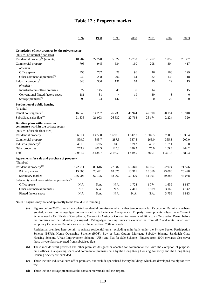|                                                                       | 1997    | 1998       | 1999    | 2000    | 2001           | 2002       | 2003           |
|-----------------------------------------------------------------------|---------|------------|---------|---------|----------------|------------|----------------|
|                                                                       |         |            |         |         |                |            |                |
| Completion of new property by the private sector                      |         |            |         |         |                |            |                |
| $(000 \text{ m}^2 \text{ of internal floor area})$                    |         |            |         |         |                |            |                |
| Residential property <sup>(a)</sup> (in units)                        | 18 20 2 | 22 278     | 35 322  | 25 790  | 26 26 2        | 31 052     | 26 397         |
| Commercial property                                                   | 705     | 945        | 634     | 160     | 208            | 304        | 417            |
| of which:                                                             |         |            |         |         |                |            |                |
| Office space                                                          | 456     | 737        | 428     | 96      | 76             | 166        | 299            |
| Other commercial premises <sup>(b)</sup>                              | 249     | 208        | 206     | 64      | 132            | 138        | 118            |
| Industrial property <sup>(c)</sup>                                    | 343     | 300        | 191     | 62      | 45             | 29         | 15             |
| of which:                                                             |         |            |         |         |                |            |                |
| Industrial-cum-office premises                                        | 72      | 145        | 40      | 37      | 14             | $\theta$   | 15             |
| Conventional flatted factory space                                    | 181     | 31         | 4       | 19      | 30             | 3          | $\mathbf{0}$   |
| Storage premises <sup>(d)</sup>                                       | 90      | 124        | 147     | 6       | $\overline{0}$ | 27         | $\overline{0}$ |
| Production of public housing                                          |         |            |         |         |                |            |                |
| (in units)                                                            |         |            |         |         |                |            |                |
| Rental housing flats <sup>(e)</sup>                                   | 16 04 6 | 14 267     | 26 7 33 | 40 944  | 47 590         | 20 154     | 13 948         |
| Subsidized sales flats <sup>(e)</sup>                                 | 21 5 35 | 21 9 93    | 26 5 32 | 22 768  | 26 174         | 2 2 2 4    | 320            |
| Building plans with consent to<br>commence work in the private sector |         |            |         |         |                |            |                |
| $(000 \text{ m}^2 \text{ of usable floor area})$                      |         |            |         |         |                |            |                |
| Residential property                                                  | 1 631.4 | 1 472.0    | 1 692.8 | 1 142.7 | 1 002.5        | 790.0      | 1 0 38.4       |
| Commercial property                                                   | 599.0   | 395.7      | 287.5   | 337.5   | 265.0          | 365.3      | 200.0          |
| Industrial property <sup>(f)</sup>                                    | 461.6   | 69.5       | 84.9    | 129.2   | 45.7           | 107.1      | 0.8            |
| Other properties                                                      | 259.2   | 201.5      | 125.8   | 240.2   | 75.0           | 109.3      | 444.2          |
| Total                                                                 | 2951.2  | 2 1 3 8 .7 | 2 190.9 | 1 849.5 | 1 3 8 8.1      | 1 3 7 1 .8 | 1683.3         |
|                                                                       |         |            |         |         |                |            |                |
| Agreements for sale and purchase of property                          |         |            |         |         |                |            |                |
| (Number)                                                              |         |            |         |         |                |            |                |
| Residential property <sup>(g)</sup>                                   | 172711  | 85 616     | 77 087  | 65 340  | 69 667         | 72974      | 71 576         |
| Primary market                                                        | 15 806  | 23 441     | 18 3 25 | 13 911  | 18 3 6 6       | 23 088     | 26 4 98        |
| Secondary market                                                      | 156 905 | 62 175     | 58762   | 51 429  | 51 301         | 49886      | 45 078         |
| Selected types of non-residential properties <sup>(h)</sup>           |         |            |         |         |                |            |                |
| Office space                                                          | N.A.    | N.A.       | N.A.    | 1 7 2 4 | 1 7 7 4        | 1639       | 1817           |
| Other commerical premises                                             | N.A.    | N.A.       | N.A.    | 2411    | 2989           | 3 1 6 7    | 4 1 4 2        |
| Flatted factory space                                                 | N.A.    | N.A.       | N.A.    | N.A.    | N.A.           | 3756       | 3813           |

### **Table 12 : Property market**

Notes : Figures may not add up exactly to the total due to rounding.

(a) Figures before 2002 cover all completed residential premises to which either temporary or full Occupation Permits have been granted, as well as village type houses issued with Letters of Compliance. Property developments subject to a Consent Scheme need a Certificate of Compliance, Consent to Assign or Consent to Lease in addition to an Occupation Permit before the premises can be individually assigned. Village-type housing units are excluded as from 2002 and units issued with temporary Occupation Permits are also excluded as from 2004 onwards.

Residential premises here pertain to private residential units, excluding units built under the Private Sector Participation Scheme (PSPS), Home Ownership Scheme (HOS), Buy or Rent Option, Mortgage Subsidy Scheme, Sandwich Class Housing Scheme, Urban Improvement Scheme (UIS) and Flat-for-Sale Scheme. Figures from 2004 onwards also cover those private flats converted from subsidised flats.

- (b) These include retail premises and other premises designed or adapted for commercial use, with the exception of purposebuilt offices. Car-parking space and commercial premises built by the Hong Kong Housing Authority and the Hong Kong Housing Society are excluded.
- (c) These include industrial-cum-office premises, but exclude specialised factory buildings which are developed mainly for own use.

(d) These include storage premises at the container terminals and the airport.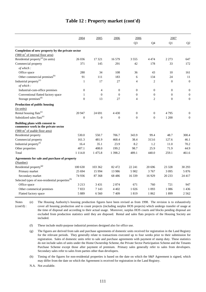|                                                                       | 2004             | 2005         | 2006             | 2006             |                  | 2007             |                  |
|-----------------------------------------------------------------------|------------------|--------------|------------------|------------------|------------------|------------------|------------------|
|                                                                       |                  |              |                  | Q <sub>3</sub>   | Q4               | Q1               | Q2               |
| Completion of new property by the private sector                      |                  |              |                  |                  |                  |                  |                  |
| $(000 \text{ m}^2 \text{ of internal floor area})$                    |                  |              |                  |                  |                  |                  |                  |
| Residential property <sup>(a)</sup> (in units)                        | 26 036           | 17 321       | 16.579           | 3 5 5 5 5        | 4474             | 2 2 7 3          | 647              |
| Commercial property                                                   | 371              | 145          | 291              | 42               | 178              | 33               | 172              |
| of which:                                                             |                  |              |                  |                  |                  |                  |                  |
| Office space                                                          | 280              | 34           | 108              | 36               | 43               | 10               | 161              |
| Other commercial premises <sup>(b)</sup>                              | 91               | 111          | 183              | 6                | 134              | 24               | 11               |
| Industrial property <sup>(c)</sup>                                    | $\mathbf{1}$     | 17           | 27               | $\overline{4}$   | $\mathfrak{2}$   | $\boldsymbol{0}$ | $\boldsymbol{0}$ |
| of which:                                                             |                  |              |                  |                  |                  |                  |                  |
| Industrial-cum-office premises                                        | $\boldsymbol{0}$ | 4            | $\boldsymbol{0}$ | $\boldsymbol{0}$ | $\boldsymbol{0}$ | $\boldsymbol{0}$ | $\boldsymbol{0}$ |
| Conventional flatted factory space                                    | $\mathbf{1}$     | $\mathbf{0}$ | $\mathbf{0}$     | $\theta$         | $\overline{0}$   | $\overline{0}$   | $\boldsymbol{0}$ |
| Storage premises <sup>(d)</sup>                                       | $\mathbf{0}$     | 13           | 27               | $\overline{4}$   | $\overline{2}$   | $\boldsymbol{0}$ | $\boldsymbol{0}$ |
| Production of public housing                                          |                  |              |                  |                  |                  |                  |                  |
| (in units)                                                            |                  |              |                  |                  |                  |                  |                  |
| Rental housing flats <sup>(e)</sup>                                   | 20 947           | 24 691       | 4 4 3 0          | $\overline{0}$   | $\overline{0}$   | 4795             | $\boldsymbol{0}$ |
| Subsidized sales flats <sup>(e)</sup>                                 | $\mathbf{0}$     | $\theta$     | $\mathbf{0}$     | $\Omega$         | $\overline{0}$   | 1 200            | $\boldsymbol{0}$ |
| Building plans with consent to<br>commence work in the private sector |                  |              |                  |                  |                  |                  |                  |
| $(000 \text{ m}^2 \text{ of usable floor area})$                      |                  |              |                  |                  |                  |                  |                  |
| Residential property                                                  | 530.0            | 550.7        | 706.7            | 343.9            | 99.4             | 48.7             | 300.4            |
| Commercial property                                                   | 161.3            | 481.9        | 468.4            | 38.4             | 313.6            | 127.6            | 46.1             |
| Industrial property <sup>(f)</sup>                                    | 16.4             | 35.1         | 23.9             | 8.2              | 1.2              | 11.0             | 70.2             |
| Other properties                                                      | 407.1            | 408.0        | 199.2            | 98.7             | 25.9             | 71.9             | 44.9             |
| Total                                                                 | 1 1 1 4 .8       | 1475.8       | 1 3 9 8.2        | 489.1            | 440.0            | 259.1            | 461.6            |
| Agreements for sale and purchase of property                          |                  |              |                  |                  |                  |                  |                  |
| (Number)                                                              |                  |              |                  |                  |                  |                  |                  |
| Residential property <sup>(g)</sup>                                   | 100 630          | 103 362      | 82 472           | 22 24 1          | 20 69 6          | 23 3 28          | 30 29 3          |
| Primary market                                                        | 25 694           | 15 9 94      | 13 986           | 5 902            | 3767             | 3 0 9 5          | 5 8 7 6          |
| Secondary market                                                      | 74 936           | 87 368       | 68 4 8 6         | 16 3 39          | 16929            | 20 233           | 24 417           |
| Selected types of non-residential properties <sup>(h)</sup>           |                  |              |                  |                  |                  |                  |                  |
| Office space                                                          | 3 2 1 3          | 3 4 3 1      | 2874             | 671              | 760              | 721              | 947              |
| Other commerical premises                                             | 7833             | 7 1 4 3      | 4 4 0 2          | 1 0 2 6          | 1 0 9 3          | 1 0 8 6          | 1436             |
| Flatted factory space                                                 | 5889             | 6 5 6 0      | 7409             | 1819             | 1862             | 1899             | 2 5 6 2          |

### **Table 12 : Property market (cont'd)**

(e) Notes (cont'd) : The Housing Authority's housing production figures have been revised as from 1998. The revision is to exhaustively cover all housing production and to count projects (including surplus HOS projects) which undergo transfer of usage at the time of disposal and according to their actual usage. Moreover, surplus HOS courts and blocks pending disposal are excluded from production statistics until they are disposed. Rental and sales flats projects of the Housing Society are included.

(f) These include multi-purpose industrial premises designed also for office use.

N.A. Not available.

<sup>(</sup>g) The figures are derived from sale and purchase agreements of domestic units received for registration in the Land Registry for the relevant periods. They generally relate to transactions executed up to four weeks prior to their submission for registration. Sales of domestic units refer to sale and purchase agreements with payment of stamp duty. These statistics do not include sales of units under the Home Ownership Scheme, the Private Sector Participation Scheme and the Tenants Purchase Scheme except those after payment of premium. Primary sales generally refer to sales from developers. Secondary sales refer to sales from parties other than developers.

<sup>(</sup>h) Timing of the figures for non-residential properties is based on the date on which the S&P Agreement is signed, which may differ from the date on which the Agreement is received for registration in the Land Registry.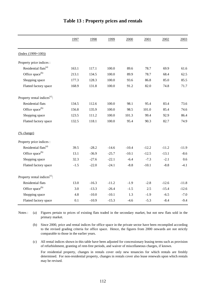|                                          | 1997   | 1998    | 1999    | 2000    | 2001    | 2002    | 2003    |
|------------------------------------------|--------|---------|---------|---------|---------|---------|---------|
| $(Index (1999=100))$                     |        |         |         |         |         |         |         |
| Property price indices :                 |        |         |         |         |         |         |         |
| Residential flats <sup>(a)</sup>         | 163.1  | 117.1   | 100.0   | 89.6    | 78.7    | 69.9    | 61.6    |
| Office space <sup>(b)</sup>              | 213.1  | 134.5   | 100.0   | 89.9    | 78.7    | 68.4    | 62.5    |
| Shopping space                           | 177.3  | 128.3   | 100.0   | 93.6    | 86.8    | 85.0    | 85.5    |
| Flatted factory space                    | 168.9  | 131.8   | 100.0   | 91.2    | 82.0    | 74.8    | 71.7    |
| Property rental indices <sup>(c)</sup> : |        |         |         |         |         |         |         |
| Residential flats                        | 134.5  | 112.6   | 100.0   | 98.1    | 95.4    | 83.4    | 73.6    |
| Office space <sup>(b)</sup>              | 156.8  | 135.9   | 100.0   | 98.5    | 101.0   | 85.4    | 74.6    |
| Shopping space                           | 123.5  | 111.2   | 100.0   | 101.3   | 99.4    | 92.9    | 86.4    |
| Flatted factory space                    | 132.5  | 118.1   | 100.0   | 95.4    | 90.3    | 82.7    | 74.9    |
| (% change)                               |        |         |         |         |         |         |         |
| Property price indices :                 |        |         |         |         |         |         |         |
| Residential flats <sup>(a)</sup>         | 39.5   | $-28.2$ | $-14.6$ | $-10.4$ | $-12.2$ | $-11.2$ | $-11.9$ |
| Office space <sup>(b)</sup>              | 13.1   | $-36.9$ | $-25.7$ | $-10.1$ | $-12.5$ | $-13.1$ | $-8.6$  |
| Shopping space                           | 32.3   | $-27.6$ | $-22.1$ | $-6.4$  | $-7.3$  | $-2.1$  | 0.6     |
| Flatted factory space                    | $-1.5$ | $-22.0$ | $-24.1$ | $-8.8$  | $-10.1$ | $-8.8$  | $-4.1$  |
| Property rental indices <sup>(c)</sup> : |        |         |         |         |         |         |         |
| Residential flats                        | 13.0   | $-16.3$ | $-11.2$ | $-1.9$  | $-2.8$  | $-12.6$ | $-11.8$ |
| Office space <sup>(b)</sup>              | 3.0    | $-13.3$ | $-26.4$ | $-1.5$  | 2.5     | $-15.4$ | $-12.6$ |
| Shopping space                           | 4.8    | $-10.0$ | $-10.1$ | 1.3     | $-1.9$  | $-6.5$  | $-7.0$  |
| Flatted factory space                    | 0.1    | $-10.9$ | $-15.3$ | $-4.6$  | $-5.3$  | $-8.4$  | $-9.4$  |

### **Table 13 : Property prices and rentals**

(a) Notes : (a) Figures pertain to prices of existing flats traded in the secondary market, but not new flats sold in the primary market.

(b) Since 2000, price and rental indices for office space in the private sector have been recompiled according to the revised grading criteria for office space. Hence, the figures from 2000 onwards are not strictly comparable to those in the earlier years.

(c) All rental indices shown in this table have been adjusted for concessionary leasing terms such as provision of refurbishment, granting of rent-free periods, and waiver of miscellaneous charges, if known.

For residential property, changes in rentals cover only new tenancies for which rentals are freshly determined. For non-residential property, changes in rentals cover also lease renewals upon which rentals may be revised.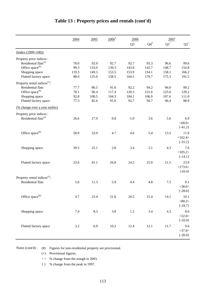|                                          | 2004    | 2005  | $2006$ <sup>#</sup> | 2006           |                 | 2007            |             |
|------------------------------------------|---------|-------|---------------------|----------------|-----------------|-----------------|-------------|
|                                          |         |       |                     | Q <sub>3</sub> | ${\bf Q4}^{\#}$ | $\mathrm{Q1}^+$ | $Q2^+$      |
| $(Index (1999=100))$                     |         |       |                     |                |                 |                 |             |
| Property price indices :                 |         |       |                     |                |                 |                 |             |
| Residential flats <sup>(a)</sup>         | 78.0    | 92.0  | 92.7                | 92.7           | 93.3            | 96.6            | 99.6        |
| Office space <sup>(b)</sup>              | 99.3    | 133.0 | 139.3               | 143.9          | 142.7           | 148.7           | 154.8       |
| Shopping space                           | 119.3   | 149.3 | 153.5               | 153.9          | 154.1           | 158.1           | 166.2       |
| Flatted factory space                    | 88.6    | 125.0 | 158.5               | 164.5          | 170.7           | 175.3           | 191.5       |
| Property rental indices <sup>(c)</sup> : |         |       |                     |                |                 |                 |             |
| Residential flats                        | 77.7    | 86.5  | 91.6                | 92.2           | 94.2            | 96.0            | 99.2        |
| Office space <sup>(b)</sup>              | 78.1    | 96.4  | 117.4               | 120.3          | 121.6           | 125.6           | 129.2       |
| Shopping space                           | 92.8    | 100.5 | 104.3               | 104.1          | 106.9           | 107.6           | 111.0       |
| Flatted factory space                    | 77.3    | 82.6  | 91.0                | 92.7           | 94.7            | 96.4            | 98.9        |
| (% change over a year earlier)           |         |       |                     |                |                 |                 |             |
| Property price indices :                 |         |       |                     |                |                 |                 |             |
| Residential flats <sup>(a)</sup>         | 26.6    | 17.9  | 0.8                 | $-1.0$         | 3.6             | 5.6             | 6.9         |
|                                          |         |       |                     |                |                 |                 | <68.0>      |
|                                          |         |       |                     |                |                 |                 | $\{-41.2\}$ |
| Office space <sup>(b)</sup>              | 58.9    | 33.9  | 4.7                 | 4.6            | 5.4             | 13.5            | 11.0        |
|                                          |         |       |                     |                |                 |                 | <162.4>     |
|                                          |         |       |                     |                |                 |                 | $\{-31.2\}$ |
|                                          |         |       |                     |                |                 |                 |             |
| Shopping space                           | 39.5    | 25.1  | 2.8                 | 3.4            | 2.1             | 4.3             | 7.6         |
|                                          |         |       |                     |                |                 |                 | <105.2>     |
|                                          |         |       |                     |                |                 |                 | $\{-14.1\}$ |
| Flatted factory space                    | 23.6    | 41.1  | 26.8                | 24.5           | 25.0            | 21.5            | 23.9        |
|                                          |         |       |                     |                |                 |                 | <173.6>     |
|                                          |         |       |                     |                |                 |                 | ${10.4}$    |
| Property rental indices <sup>(c)</sup> : |         |       |                     |                |                 |                 |             |
| <b>Residential flats</b>                 | 5.6     | 11.3  | 5.9                 | 4.4            | 4.8             | 7.5             | 9.1         |
|                                          |         |       |                     |                |                 |                 | <38.0>      |
|                                          |         |       |                     |                |                 |                 | $\{-28.6\}$ |
| Office space <sup>(b)</sup>              | 4.7     | 23.4  | 21.8                | 20.5           | 15.4            | 14.1            | 10.1        |
|                                          |         |       |                     |                |                 |                 | < 80.2 >    |
|                                          |         |       |                     |                |                 |                 | ${-18.7}$   |
| Shopping space                           | $7.4\,$ | 8.3   | 3.8                 | $1.2\,$        | 3.4             | 4.3             | 8.0         |
|                                          |         |       |                     |                |                 |                 | <32.0>      |
|                                          |         |       |                     |                |                 |                 | ${-10.9}$   |
|                                          |         |       |                     |                |                 |                 |             |
| Flatted factory space                    | $3.2\,$ | 6.9   | $10.2\,$            | 12.4           | 12.1            | 11.7            | 9.6         |
|                                          |         |       |                     |                |                 |                 | <37.0>      |
|                                          |         |       |                     |                |                 |                 | $\{-26.0\}$ |

# **Table 13 : Property prices and rentals (cont'd)**

Notes (cont'd) : (#) Figures for non-residential property are provisional.

(+) Provisional figures.

< > % change from the trough in 2003.

{ } % change from the peak in 1997.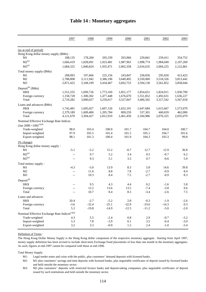|                                                              | 1997      | 1998      | 1999        | 2000        | 2001             | 2002             | 2003       |
|--------------------------------------------------------------|-----------|-----------|-------------|-------------|------------------|------------------|------------|
| (as at end of period)                                        |           |           |             |             |                  |                  |            |
| Hong Kong dollar money supply (\$Mn):                        |           |           |             |             |                  |                  |            |
| M1                                                           | 188,135   | 178,260   | 205,339     | 203,966     | 229,841          | 259,411          | 354,752    |
| $M2^{(a)}$                                                   | 1,666,419 | 1,828,691 | 1,923,481   | 1,987,963   | 1,998,774        | 1,984,049        | 2,107,269  |
| $M3^{(a)}$                                                   | 1,684,325 | 1,840,824 | 1,935,471   | 2,002,358   | 2,016,635        | 2,004,225        | 2,122,861  |
| Total money supply (\$Mn)                                    |           |           |             |             |                  |                  |            |
| M1                                                           | 208,093   | 197,666   | 225,156     | 243,847     | 258,056          | 295,650          | 413,423    |
| M <sub>2</sub>                                               | 2,788,808 | 3,111,942 | 3,386,196   | 3,649,492   | 3,550,060        | 3,518,326        | 3,813,442  |
| M <sub>3</sub>                                               | 2,871,425 | 3,168,199 | 3,434,467   | 3,692,753   | 3,594,130        | 3,561,852        | 3,858,044  |
| Deposit <sup>(b)</sup> (\$Mn)                                |           |           |             |             |                  |                  |            |
| HK\$                                                         | 1,551,555 | 1,699,726 | 1,773,169   | 1,851,177   | 1,854,651        | 1,824,911        | 1,930,790  |
| Foreign currency                                             | 1,158,728 | 1,300,302 | 1,477,448   | 1,676,670   | 1,551,852        | 1,492,631        | 1,636,227  |
| Total                                                        | 2,710,282 | 3,000,027 | 3,250,617   | 3,527,847   | 3,406,502        | 3,317,542        | 3,567,018  |
| Loans and advances (\$Mn)                                    |           |           |             |             |                  |                  |            |
| HK\$                                                         | 1,742,481 | 1,695,027 | 1,607,126   | 1,652,191   | 1,647,684        | 1,615,667        | 1,573,079  |
| Foreign currency                                             | 2,379,189 | 1,609,400 | 1,205,784   | 809,259     | 537,301          | 460,659          | 462,000    |
| Total                                                        | 4,121,670 | 3,304,427 | 2,812,910   | 2,461,450   | 2,184,986        | 2,076,325        | 2,035,079  |
|                                                              |           |           |             |             |                  |                  |            |
| Nominal Effective Exchange Rate Indices                      |           |           |             |             |                  |                  |            |
| $\left(\text{Jan } 2000 = 100\right)^{(c)(d)}$               |           |           |             |             |                  |                  |            |
| Trade-weighted                                               | 98.0      | 103.4     | 100.9       | 101.7       | 104.7            | 104.0            | 100.7      |
| Import-weighted                                              | 97.9      | 105.5     | 101.4       | 101.5       | 105.1            | 104.7            | 101.6      |
| Export-weighted                                              | 98.1      | 101.3     | 100.4       | 101.9       | 104.3            | 103.3            | 99.8       |
| (% change)                                                   |           |           |             |             |                  |                  |            |
| Hong Kong dollar money supply:                               |           |           |             |             |                  |                  |            |
| M1                                                           | $-5.1$    | $-5.2$    | 15.2        | $-0.7$      | 12.7             | 12.9             | 36.8       |
| $M2^{(a)}$                                                   | $-$       | 9.7       | 5.2         | 3.4         | 0.5              | $-0.7$           | 6.2        |
| $M3^{(a)}$                                                   | $-$       | 9.3       | 5.1         | 3.5         | 0.7              | $-0.6$           | 5.9        |
| Total money supply:                                          |           |           |             |             |                  |                  |            |
| M1                                                           | $-4.3$    | $-5.0$    | 13.9        | 8.3         | 5.8              | 14.6             | 39.8       |
| M2                                                           | $-$       | 11.6      | $8.8\,$     | 7.8         | $-2.7$           | $-0.9$           | 8.4        |
| M <sub>3</sub>                                               | $-$       | 10.3      | 8.4         | $7.5\,$     | $-2.7$           | $-0.9$           | 8.3        |
|                                                              |           |           |             |             |                  |                  |            |
| $Deposit^{(b)}$                                              |           |           |             |             |                  |                  |            |
| HK\$                                                         | $-$       | 9.5       | 4.3         | 4.4         | 0.2              | $-1.6$           | 5.8        |
| Foreign currency<br>Total                                    | $-$       | 12.2      | 13.6<br>8.4 | 13.5<br>8.5 | $-7.4$<br>$-3.4$ | $-3.8$<br>$-2.6$ | 9.6<br>7.5 |
|                                                              | --        | 10.7      |             |             |                  |                  |            |
| Loans and advances                                           |           |           |             |             |                  |                  |            |
| HK\$                                                         | 20.4      | $-2.7$    | $-5.2$      | $2.8\,$     | $-0.3$           | $-1.9$           | $-2.6$     |
| Foreign currency                                             | $-3.6$    | $-32.4$   | $-25.1$     | $-32.9$     | $-33.6$          | $-14.3$          | 0.3        |
| Total                                                        | 5.3       | $-19.8$   | $-14.9$     | $-12.5$     | $-11.2$          | $-5.0$           | $-2.0$     |
| Nominal Effective Exchange Rate Indices ${}^{\text{(c)(d)}}$ |           |           |             |             |                  |                  |            |
| Trade-weighted                                               | 4.3       | 5.5       | $-2.4$      | $0.8\,$     | 2.9              | $-0.7$           | $-3.2$     |
| Import-weighted                                              | 5.3       | 7.8       | $-3.9$      | 0.1         | 3.5              | $-0.4$           | $-3.0$     |
| Export-weighted                                              | $3.2\,$   | 3.3       | $-0.9$      | 1.5         | 2.4              | $-1.0$           | $-3.4$     |

### **Table 14 : Monetary aggregates**

#### Definition of Terms :

The Hong Kong Dollar Money Supply is the Hong Kong dollar component of the respective monetary aggregate. Starting from April 1997, money supply definition has been revised to include short-term Exchange Fund placements of less than one month in the monetary aggregates. As such, figures at end-1997 cannot be compared with those at end-1996.

Total Money Supply:

M1: Legal tender notes and coins with the public, plus customers' demand deposits with licensed banks.

M2: M1 plus customers' savings and time deposits with licensed banks, plus negotiable certificates of deposit issued by licensed banks and held outside the monetary sector.

M3: M2 plus customers' deposits with restricted licence banks and deposit-taking companies, plus negotiable certificates of deposit issued by such institutions and held outside the monetary sector.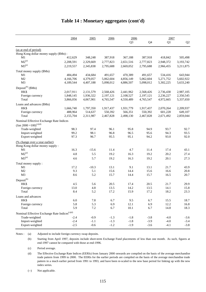|                                                              | 2004      | 2005      | 2006      | 2006           |           | 2007      |           |  |
|--------------------------------------------------------------|-----------|-----------|-----------|----------------|-----------|-----------|-----------|--|
|                                                              |           |           |           | Q <sub>3</sub> | Q4        | Q1        | Q2        |  |
| (as at end of period)                                        |           |           |           |                |           |           |           |  |
| Hong Kong dollar money supply (\$Mn):                        |           |           |           |                |           |           |           |  |
| M1                                                           | 412,629   | 348,248   | 387,918   | 367,188        | 387,918   | 418,842   | 505,498   |  |
| $M2^{(a)}$                                                   | 2,208,591 | 2,329,669 | 2,777,823 | 2,651,516      | 2,777,823 | 2,948,372 | 3,193,742 |  |
| $M3^{(a)}$                                                   | 2,219,557 | 2,345,838 | 2,795,688 | 2,669,052      | 2,795,688 | 2,966,455 | 3,211,875 |  |
| Total money supply (\$Mn)                                    |           |           |           |                |           |           |           |  |
| M1                                                           | 484,494   | 434,684   | 491,657   | 470,389        | 491,657   | 534,416   | 643,944   |  |
| M <sub>2</sub>                                               | 4,166,706 | 4,379,057 | 5,062,604 | 4,856,149      | 5,062,604 | 5,271,752 | 5,602,922 |  |
| M <sub>3</sub>                                               | 4,189,544 | 4,407,188 | 5,098,012 | 4,886,507      | 5,098,012 | 5,302,225 | 5,633,240 |  |
| Deposit <sup>(b)</sup> ( $$Mn)$                              |           |           |           |                |           |           |           |  |
| <b>HKS</b>                                                   | 2,017,911 | 2,131,579 | 2,568,426 | 2,441,962      | 2,568,426 | 2,736,438 | 2,987,105 |  |
| Foreign currency                                             | 1,848,145 | 1,936,322 | 2,197,121 | 2,108,527      | 2,197,121 | 2,236,227 | 2,350,545 |  |
| Total                                                        | 3,866,056 | 4,067,901 | 4,765,547 | 4,550,489      | 4,765,547 | 4,972,665 | 5,337,650 |  |
| Loans and advances (\$Mn)                                    |           |           |           |                |           |           |           |  |
| <b>HKS</b>                                                   | 1,666,740 | 1,797,350 | 1,917,437 | 1,931,779      | 1,917,437 | 2,070,264 | 2,209,937 |  |
| Foreign currency                                             | 488,964   | 514,637   | 550,392   | 566,351        | 550,392   | 601,228   | 649,107   |  |
| Total                                                        | 2,155,704 | 2,311,987 | 2,467,828 | 2,498,130      | 2,467,828 | 2,671,492 | 2,859,044 |  |
| Nominal Effective Exchange Rate Indices                      |           |           |           |                |           |           |           |  |
| (Jan 2000 = $100^{(c)(d)}$                                   |           |           |           |                |           |           |           |  |
| Trade-weighted                                               | 98.3      | 97.4      | 96.1      | 95.8           | 94.9      | 93.7      | 92.7      |  |
| Import-weighted                                              | 99.2      | 98.1      | 96.8      | 96.5           | 95.6      | 94.3      | 93.5      |  |
| Export-weighted                                              | 97.3      | 96.7      | 95.5      | 95.1           | 94.2      | 93.0      | 92.0      |  |
| (% change over a year earlier)                               |           |           |           |                |           |           |           |  |
| Hong Kong dollar money supply:                               |           |           |           |                |           |           |           |  |
| M1                                                           | 16.3      | $-15.6$   | 11.4      | 4.7            | 11.4      | 17.4      | 43.1      |  |
| $M2^{(a)}$                                                   | 4.8       | 5.5       | 19.2      | 16.3           | 19.2      | 20.2      | 27.4      |  |
| $M3^{(a)}$                                                   | 4.6       | 5.7       | 19.2      | 16.3           | 19.2      | 20.1      | 27.3      |  |
| Total money supply:                                          |           |           |           |                |           |           |           |  |
| M1                                                           | 17.2      | $-10.3$   | 13.1      | 9.1            | 13.1      | 21.7      | 43.9      |  |
| M <sub>2</sub>                                               | 9.3       | 5.1       | 15.6      | 14.4           | 15.6      | 16.6      | 20.8      |  |
| M <sub>3</sub>                                               | 8.6       | 5.2       | 15.7      | 14.4           | 15.7      | 16.5      | 20.7      |  |
| Deposit <sup>(b)</sup>                                       |           |           |           |                |           |           |           |  |
| HK\$                                                         | 4.5       | 5.6       | 20.5      | 17.4           | 20.5      | 21.7      | 29.9      |  |
| Foreign currency                                             | 13.0      | 4.8       | 13.5      | 14.2           | 13.5      | 14.1      | 15.8      |  |
| Total                                                        | 8.4       | 5.2       | 17.2      | 15.9           | 17.2      | 18.2      | 23.3      |  |
| Loans and advances                                           |           |           |           |                |           |           |           |  |
| HK\$                                                         | $6.0\,$   | 7.8       | 6.7       | 9.5            | 6.7       | 15.5      | 18.7      |  |
| Foreign currency                                             | 5.8       | 5.3       | 6.9       | 12.1           | 6.9       | 12.2      | 16.8      |  |
| Total                                                        | 5.9       | $7.2\,$   | 6.7       | $10.1\,$       | 6.7       | 14.8      | 18.3      |  |
| Nominal Effective Exchange Rate Indices ${}^{\text{(c)(d)}}$ |           |           |           |                |           |           |           |  |
| Trade-weighted                                               | $-2.4$    | $-0.9$    | $-1.3$    | $-1.8$         | $-3.8$    | $-4.0$    | $-3.6$    |  |
| Import-weighted                                              | $-2.4$    | $-1.1$    | $-1.3$    | $-1.8$         | $-3.9$    | $-4.0$    | $-3.4$    |  |
| Export-weighted                                              | $-2.5$    | $-0.6$    | $-1.2$    | $-1.9$         | $-3.6$    | $-4.1$    | $-3.8$    |  |
|                                                              |           |           |           |                |           |           |           |  |

### **Table 14 : Monetary aggregates (cont'd)**

Notes : (a) Adjusted to include foreign currency swap deposits.

(b) Starting from April 1997, deposits include short-term Exchange Fund placements of less than one month. As such, figures at end-1997 cannot be compared with those at end-1996.

(c) Period average.

(d) The Effective Exchange Rate Indices (EERIs) from January 2000 onwards are compiled on the basis of the average merchandise trade pattern from 1999 to 2000. The EERIs for the earlier periods are compiled on the basis of the average merchandise trade pattern in a much earlier period from 1991 to 1993, and have been re-scaled to the new base period for linking up with the new index series.

(--) Not applicable.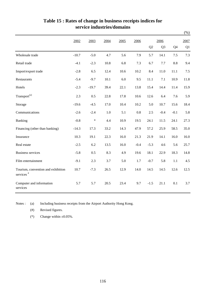|                                                             |         |         |         |      |         |                |                |                | $(\%)$ |
|-------------------------------------------------------------|---------|---------|---------|------|---------|----------------|----------------|----------------|--------|
|                                                             | 2002    | 2003    | 2004    | 2005 | 2006    |                | 2006           |                | 2007   |
|                                                             |         |         |         |      |         | Q <sub>2</sub> | Q <sub>3</sub> | Q <sub>4</sub> | Q1     |
| Wholesale trade                                             | $-10.7$ | $-5.0$  | 4.7     | 5.6  | 7.9     | 5.7            | 14.1           | 7.5            | 7.3    |
| Retail trade                                                | $-4.1$  | $-2.3$  | 10.8    | 6.8  | 7.3     | 6.7            | 7.7            | 8.8            | 9.4    |
| Import/export trade                                         | $-2.8$  | 6.5     | 12.4    | 10.6 | 10.2    | 8.4            | 11.0           | 11.1           | 7.5    |
| Restaurants                                                 | $-5.4$  | $-9.7$  | 10.1    | 6.0  | 9.5     | 11.1           | 7.1            | 10.9           | 11.8   |
| Hotels                                                      | $-2.3$  | $-19.7$ | 39.4    | 22.1 | 13.8    | 15.4           | 14.4           | 11.4           | 15.9   |
| Transport <sup>(a)</sup>                                    | 2.3     | 0.5     | 22.8    | 17.8 | 10.6    | 12.6           | 6.4            | 7.6            | 5.9    |
| Storage                                                     | $-19.6$ | $-4.5$  | 17.0    | 10.4 | 10.2    | 5.0            | 10.7           | 15.6           | 18.4   |
| Communications                                              | $-2.6$  | $-2.4$  | $1.0\,$ | 5.1  | $0.8\,$ | 2.5            | $-0.4$         | $-0.1$         | 5.8    |
| Banking                                                     | $-0.8$  | $\ast$  | 4.4     | 10.9 | 19.5    | 24.1           | 11.5           | 24.1           | 27.3   |
| Financing (other than banking)                              | $-14.3$ | 17.3    | 33.2    | 14.3 | 47.9    | 57.2           | 25.9           | 58.5           | 35.0   |
| Insurance                                                   | 10.3    | 19.1    | 22.3    | 16.0 | 21.3    | 21.9           | 14.1           | 16.0           | 16.0   |
| Real estate                                                 | $-2.5$  | 6.2     | 13.5    | 16.0 | $-0.4$  | $-5.3$         | 4.6            | 5.6            | 25.7   |
| <b>Business services</b>                                    | $-5.8$  | 0.5     | 8.3     | 4.9  | 19.6    | 18.1           | 22.9           | 18.3           | 14.8   |
| Film entertainment                                          | $-9.1$  | 2.3     | 3.7     | 5.0  | 1.7     | $-0.7$         | 5.8            | 1.1            | 4.5    |
| Tourism, convention and exhibition<br>services <sup>#</sup> | 10.7    | $-7.3$  | 26.5    | 12.9 | 14.0    | 14.5           | 14.5           | 12.6           | 12.5   |
| Computer and information<br>services                        | 5.7     | 5.7     | 20.5    | 23.4 | 9.7     | $-1.5$         | 21.1           | 0.1            | 3.7    |

### **Table 15 : Rates of change in business receipts indices for service industries/domains**

Notes : (a) Including business receipts from the Airport Authority Hong Kong.

(#) Revised figures.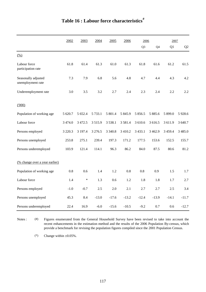|                                          | 2002        | 2003    | 2004       | 2005        | 2006        | 2006           |             | 2007      |            |
|------------------------------------------|-------------|---------|------------|-------------|-------------|----------------|-------------|-----------|------------|
|                                          |             |         |            |             |             | Q <sub>3</sub> | Q4          | Q1        | Q2         |
| $\frac{(0,0)}{2}$                        |             |         |            |             |             |                |             |           |            |
| Labour force<br>participation rate       | 61.8        | 61.4    | 61.3       | 61.0        | 61.3        | 61.8           | 61.6        | 61.2      | 61.5       |
| Seasonally adjusted<br>unemployment rate | 7.3         | 7.9     | 6.8        | 5.6         | 4.8         | 4.7            | 4.4         | 4.3       | 4.2        |
| Underemployment rate                     | 3.0         | 3.5     | 3.2        | 2.7         | 2.4         | 2.3            | 2.4         | 2.2       | 2.2        |
| (000)                                    |             |         |            |             |             |                |             |           |            |
| Population of working age                | 5 620.7     | 5 652.4 | 5 7 3 3.1  | 5 801.4     | 5 845.9     | 5 8 5 6.5      | 5 8 8 5 . 6 | 5 899.0   | 5 9 28.6   |
| Labour force                             | 3 4 7 4 .0  | 3 472.5 | 3515.9     | 3 5 3 8 .1  | 3 5 8 1 . 4 | 3 610.6        | 3 616.5     | 3 611.9   | 3 640.7    |
| Persons employed                         | 3 2 2 0 . 3 | 3 197.4 | 3 2 7 6 .5 | 3 3 4 0 . 8 | 3 4 1 0.2   | 3 4 3 3 .1     | 3 4 6 2.9   | 3 4 5 9.4 | 3 4 8 5 .0 |
| Persons unemployed                       | 253.8       | 275.1   | 239.4      | 197.3       | 171.2       | 177.5          | 153.6       | 152.5     | 155.7      |
| Persons underemployed                    | 103.9       | 121.4   | 114.1      | 96.3        | 86.2        | 84.0           | 87.5        | 80.6      | 81.2       |
| (% change over a year earlier)           |             |         |            |             |             |                |             |           |            |
| Population of working age                | 0.8         | 0.6     | 1.4        | 1.2         | 0.8         | $0.8\,$        | 0.9         | 1.5       | 1.7        |
| Labour force                             | 1.4         | $\ast$  | 1.3        | 0.6         | 1.2         | 1.8            | 1.8         | 1.7       | 2.7        |
| Persons employed                         | $-1.0$      | $-0.7$  | 2.5        | 2.0         | 2.1         | 2.7            | 2.7         | 2.5       | 3.4        |
| Persons unemployed                       | 45.3        | 8.4     | $-13.0$    | $-17.6$     | $-13.2$     | $-12.4$        | $-13.9$     | $-14.1$   | $-11.7$    |
| Persons underemployed                    | 22.4        | 16.9    | $-6.0$     | $-15.6$     | $-10.5$     | $-9.2$         | 0.7         | 0.6       | $-12.7$    |

Notes : (#) Figures enumerated from the General Household Survey have been revised to take into account the recent enhancements in the estimation method and the results of the 2006 Population By-census, which provide a benchmark for revising the population figures compiled since the 2001 Population Census.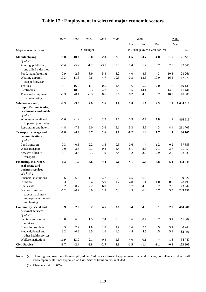|                                                                              | 2002    | 2003    | 2004       | 2005   | 2006    |         | 2006    |                                |         | 2007      |
|------------------------------------------------------------------------------|---------|---------|------------|--------|---------|---------|---------|--------------------------------|---------|-----------|
|                                                                              |         |         |            |        |         | Jun     | Sep     | Dec                            |         | Mar       |
| Major economic sector                                                        |         |         | (% change) |        |         |         |         | (% change over a year earlier) |         | No.       |
| <b>Manufacturing</b>                                                         | $-9.0$  | $-10.3$ | $-3.0$     | $-2.0$ | $-2.5$  | $-0.5$  | $-3.7$  | $-4.8$                         | $-1.7$  | 158728    |
| of which:                                                                    |         |         |            |        |         |         |         |                                |         |           |
| Printing, publishing<br>and allied industries                                | $-6.4$  | $-5.2$  | $-1.2$     | $-3.1$ | 2.0     | 0.4     | 1.7     | 3.7                            | 2.3     | 37 660    |
| Food, manufacturing                                                          | 0.9     | $-2.6$  | 3.9        | 5.4    | 5.2     | 4.0     | 8.5     | 4.3                            | 10.3    | 23 26 1   |
| Wearing apparel,<br>except footwear                                          | $-19.3$ | $-11.6$ | $-0.8$     | $-4.7$ | $-10.5$ | 0.3     | $-18.6$ | $-19.0$                        | $-16.5$ | 17 270    |
| <b>Textiles</b>                                                              | $-1.1$  | $-16.8$ | $-11.1$    | 0.5    | $-4.4$  | -1.6    | $-5.7$  | $-7.0$                         | 1.8     | 19 133    |
| Electronics                                                                  | $-13.1$ | $-18.9$ | $-2.3$     | $-4.7$ | $-12.9$ | $-9.5$  | $-14.1$ | $-16.1$                        | $-14.6$ | 11 441    |
| Transport equipment,<br>manufacturing                                        | $-5.3$  | $-0.4$  | $-3.3$     | 8.6    | 3.6     | 6.2     | 4.3     | 0.7                            | 10.2    | 10 30 6   |
| Wholesale, retail,                                                           | $-2.3$  | $-3.0$  | 2.9        | 2.6    | 1.9     | 1.8     | 1.7     | 2.3                            | 1.9     | 1 048 318 |
| import/export trades,<br>restaurants and hotels<br>of which:                 |         |         |            |        |         |         |         |                                |         |           |
| Wholesale, retail and<br>import/export trades                                | $-1.6$  | $-1.9$  | 2.1        | 2.3    | 1.1     | 0.9     | 0.7     | 1.8                            | 1.2     | 816 613   |
| Restaurants and hotels                                                       | $-4.8$  | $-7.3$  | 6.0        | 3.6    | 5.1     | 5.3     | 5.5     | 4.3                            | 4.4     | 231 705   |
| <b>Transport, storage and</b>                                                | $-1.8$  | $-4.4$  | 3.7        | 2.6    | 1.1     | $-0.2$  | 1.4     | 1.7                            | 1.1     | 186 107   |
| communications<br>of which:                                                  |         |         |            |        |         |         |         |                                |         |           |
| Land transport                                                               | $-0.3$  | 0.5     | $-2.2$     | $-1.5$ | 0.3     | 0.6     | $\ast$  | 1.2                            | 0.2     | 37853     |
| Water transport                                                              | 1.0     | $-3.6$  | 0.1        | $-0.3$ | $-4.4$  | $-8.1$  | $-3.5$  | $-2.1$                         | $-3.7$  | 25 5 5 9  |
| Services allied to<br>transport                                              | 1.1     | $-3.7$  | 10.3       | 7.9    | 3.4     | 3.2     | 3.9     | 2.9                            | 2.5     | 63 3 35   |
| Financing, insurance,<br>real estate and                                     | $-1.3$  | $-1.9$  | 3.6        | 4.4    | 5.0     | 4.1     | 5.5     | 5.8                            | 5.1     | 492 049   |
| business services<br>of which:                                               |         |         |            |        |         |         |         |                                |         |           |
| Financial institutions                                                       | $-5.6$  | $-6.5$  | 1.1        | 4.7    | 5.9     | 4.5     | 6.8     | 8.1                            | 7.9     | 139 622   |
| Insurance                                                                    | 0.3     | 1.2     | 2.4        | 5.9    | $-1.2$  | $-4.8$  | $-1.1$  | $-1.0$                         | $-0.7$  | 28 4 93   |
| Real estate                                                                  | 5.2     | 0.7     | 2.2        | 6.8    | 5.3     | 5.7     | 4.0     | 3.2                            | 2.0     | 99 342    |
| Business services<br>except machinery<br>and equipment rental<br>and leasing | $-1.2$  | $-0.2$  | $6.0\,$    | 2.9    | 5.3     | $4.5\,$ | 6.4     | 6.7                            | 5.5     | 223 751   |
| Community, social and<br>personal services                                   | 5.9     | 2.9     | 3.2        | 4.5    | 3.6     | 3.4     | 4.0     | 3.1                            | 2.9     | 464 206   |
| of which:<br>Sanitary and similar                                            | 13.8    | 6.0     | 1.5        | 2.4    | 2.5     | 1.6     | 0.4     | 3.7                            | 3.1     | 61 009    |
| services<br><b>Education services</b>                                        | 2.5     | 2.9     | 1.8        | 1.8    | 4.9     | 3.6     | 7.5     | 4.5                            | 3.7     | 140 944   |
| Medical, dental and<br>other health services                                 | 3.2     | $-0.3$  | $2.5\,$    | 1.6    | 4.0     | 4.4     | 4.5     | 4.5                            | 5.9     | 82 491    |
| Welfare institutions                                                         | 11.9    | 13.9    | 2.1        | $-0.4$ | 1.5     | 4.0     | $-0.1$  | $\ast$                         | 1.3     | 54 747    |
| Civil $\operatorname{Service}^{\left( a\right) }$                            | $-3.7$  | $-2.4$  | $-3.8$     | $-2.7$ | $-1.3$  | $-1.5$  | $-1.4$  | $-1.1$                         | $-0.8$  | 153 805   |

# **Table 17 : Employment in selected major economic sectors**

Notes : (a) These figures cover only those employed on Civil Service terms of appointment. Judicial officers, consultants, contract staff and temporary staff not appointed on Civil Service terms are not included.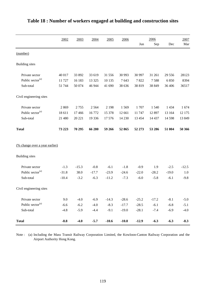|                                       | 2002    | 2003    | 2004    | 2005    | 2006    | Jun      | 2006<br>Sep | Dec      | 2007<br>Mar |
|---------------------------------------|---------|---------|---------|---------|---------|----------|-------------|----------|-------------|
| (number)                              |         |         |         |         |         |          |             |          |             |
| <b>Building</b> sites                 |         |         |         |         |         |          |             |          |             |
| Private sector                        | 40 017  | 33 892  | 33 619  | 31 556  | 30 993  | 30 997   | 31 261      | 29 5 5 6 | 28123       |
| Public sector <sup>(a)</sup>          | 11 727  | 16 183  | 13 3 25 | 10 135  | 7643    | 7822     | 7588        | 6850     | 8394        |
| Sub-total                             | 51 744  | 50 074  | 46 944  | 41 690  | 38 636  | 38 819   | 38 849      | 36 40 6  | 36517       |
| Civil engineering sites               |         |         |         |         |         |          |             |          |             |
| Private sector                        | 2869    | 2755    | 2564    | 2 1 9 8 | 1569    | 1707     | 1 5 4 0     | 1 4 3 4  | 1674        |
| Public sector <sup>(a)</sup>          | 18 611  | 17466   | 16772   | 15 378  | 12 661  | 11 747   | 12 897      | 13 164   | 12 175      |
| Sub-total                             | 21 480  | 20 221  | 19 3 36 | 17 576  | 14 2 30 | 13 4 5 4 | 14 4 37     | 14 5 98  | 13 849      |
| <b>Total</b>                          | 73 223  | 70 295  | 66 280  | 59 266  | 52 865  | 52 273   | 53 286      | 51 004   | 50 366      |
| <u>(% change over a year earlier)</u> |         |         |         |         |         |          |             |          |             |
| <b>Building</b> sites                 |         |         |         |         |         |          |             |          |             |
| Private sector                        | $-1.3$  | $-15.3$ | $-0.8$  | $-6.1$  | $-1.8$  | $-0.9$   | 1.9         | $-2.5$   | $-12.5$     |
| Public sector <sup>(a)</sup>          | $-31.8$ | 38.0    | $-17.7$ | $-23.9$ | $-24.6$ | $-22.0$  | $-28.2$     | $-19.0$  | 1.0         |
| Sub-total                             | $-10.4$ | $-3.2$  | $-6.3$  | $-11.2$ | $-7.3$  | $-6.0$   | $-5.8$      | $-6.1$   | $-9.8$      |
| Civil engineering sites               |         |         |         |         |         |          |             |          |             |
| Private sector                        | 9.0     | $-4.0$  | $-6.9$  | $-14.3$ | $-28.6$ | $-25.2$  | $-17.2$     | $-8.1$   | $-5.0$      |
| Public sector <sup>(a)</sup>          | $-6.6$  | $-6.2$  | $-4.0$  | $-8.3$  | $-17.7$ | $-28.5$  | $-6.1$      | $-6.8$   | $-5.1$      |
| Sub-total                             | $-4.8$  | $-5.9$  | $-4.4$  | $-9.1$  | $-19.0$ | $-28.1$  | $-7.4$      | $-6.9$   | $-4.0$      |
| <b>Total</b>                          | $-8.8$  | $-4.0$  | $-5.7$  | $-10.6$ | $-10.8$ | $-12.9$  | $-6.3$      | $-6.3$   | $-8.3$      |

# **Table 18 : Number of workers engaged at building and construction sites**

Note : (a) Including the Mass Transit Railway Corporation Limited, the Kowloon-Canton Railway Corporation and the Airport Authority Hong Kong.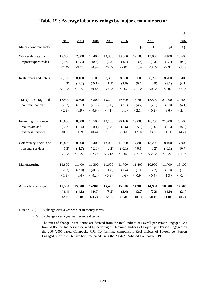|                        |           |           |            |           |            |                |                |          | $(\$)$    |
|------------------------|-----------|-----------|------------|-----------|------------|----------------|----------------|----------|-----------|
|                        | 2002      | 2003      | 2004       | 2005      | 2006       |                | 2006           |          | 2007      |
| Major economic sector  |           |           |            |           |            | Q <sub>2</sub> | Q <sub>3</sub> | Q4       | Q1        |
| Wholesale, retail and  | 12,500    | 12,300    | 12,400     | 13,300    | 13,800     | 12,500         | 13,000         | 14,100   | 15,600    |
| import/export trades   | $(-1.6)$  | $(-1.5)$  | (0.4)      | (7.3)     | (4.1)      | (3.4)          | (5.3)          | (5.1)    | (0.3)     |
|                        | <1.4>     | <1.1>     | <0.9>      | <6.3>     | <2.0>      | <1.3>          | <3.0>          | <2.9>    | $< -1.4>$ |
| Restaurants and hotels | 8,700     | 8,100     | 8,100      | 8,300     | 8,500      | 8,000          | 8,200          | 8,700    | 9,400     |
|                        | $(-4.2)$  | $(-6.2)$  | $(-0.1)$   | (1.9)     | (2.6)      | (0.7)          | (2.9)          | (8.1)    | (4.1)     |
|                        | $< -1.2>$ | $< -3.7>$ | <0.4>      | <0.9>     | <0.6       | <1.3>          | <0.6           | < 5.8>   | <2.3>     |
| Transport, storage and | 18,900    | 18,500    | 18,300     | 19,200    | 19,600     | 18,700         | 18,500         | 21,400   | 20,600    |
| communications         | $(-0.2)$  | $(-1.7)$  | $(-1.3)$   | (5.0)     | (2.1)      | (4.2)          | (2.1)          | (5.8)    | (4.1)     |
|                        | <2.9>     | <0.9>     | $< -0.9 >$ | <4.1>     | <0.1>      | <2.1>          | $<-0.2>$       | <3.6>    | <2.4>     |
| Financing, insurance,  | 18,800    | 18,600    | 18,500     | 19,100    | 20,100     | 19,000         | 18,200         | 21,200   | 23,500    |
| real estate and        | $(-2.2)$  | $(-1.4)$  | $(-0.1)$   | (2.8)     | (5.6)      | (5.0)          | (5.6)          | (6.3)    | (5.9)     |
| business services      | <0.8>     | <1.2>     | <0.4>      | <1.8>     | <3.6>      | <2.9>          | <3.3>          | <4.1>    | <4.2>     |
| Community, social and  | 19,800    | 18,900    | 18,400     | 18,000    | 17,900     | 17,800         | 18,200         | 18,100   | 17,900    |
| personal services      | $(-1.3)$  | $(-4.7)$  | $(-2.6)$   | $(-2.2)$  | $(-0.1)$   | $(-0.1)$       | (0.2)          | $(-0.1)$ | (0.7)     |
|                        | <1.8>     | $< -2.2>$ | $< -2.2>$  | $< -3.1>$ | $< -2.0>$  | $<-2.1>$       | $<-2.0>$       | $<-2.2>$ | $<-1.0>$  |
| Manufacturing          | 11,800    | 11,400    | 11,300     | 11,600    | 11,700     | 11,400         | 10,900         | 11,700   | 13,100    |
|                        | $(-1.2)$  | $(-3.0)$  | $(-0.6)$   | (1.8)     | (1.4)      | (1.1)          | (2.7)          | (0.8)    | (1.3)     |
|                        | <1.9>     | $< -0.4>$ | $<-0.2>$   | <0.9>     | $< -0.6 >$ | $< -0.9 >$     | <0.4>          | $<-1.3>$ | $<-0.4>$  |
| All sectors surveyed   | 15,300    | 15,000    | 14,900     | 15,400    | 15,800     | 14,900         | 14,900         | 16,300   | 17,500    |
|                        | $(-1.1)$  | $(-1.8)$  | $(-0.7)$   | (3.5)     | (2.4)      | (2.2)          | (2.2)          | (4.0)    | (2.4)     |
|                        | <2.0>     | <0.8>     | $<-0.2>$   | <2.6>     | <0.4>      | <0.1           | $<-0.1>$       | <1.8>    | <0.7>     |

### **Table 19 : Average labour earnings by major economic sector**

Notes : ( ) % change over a year earlier in money terms.

< > % change over a year earlier in real terms.

The rates of change in real terms are derived from the Real Indices of Payroll per Person Engaged. As from 2006, the Indices are derived by deflating the Nominal Indices of Payroll per Person Engaged by the 2004/2005-based Composite CPI. To facilitate comparison, Real Indices of Payroll per Person Engaged prior to 2006 have been re-scaled using the 2004/2005-based Composite CPI.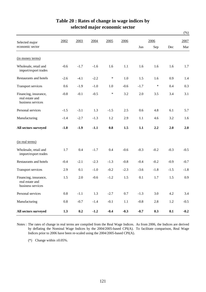|                                                               |        |        |        |        |         |        |         |         | $(\%)$ |
|---------------------------------------------------------------|--------|--------|--------|--------|---------|--------|---------|---------|--------|
| Selected major                                                | 2002   | 2003   | 2004   | 2005   | 2006    |        | 2006    |         | 2007   |
| economic sector                                               |        |        |        |        |         | Jun    | Sep     | Dec     | Mar    |
| (in money terms)                                              |        |        |        |        |         |        |         |         |        |
| Wholesale, retail and<br>import/export trades                 | $-0.6$ | $-1.7$ | $-1.6$ | 1.6    | 1.1     | 1.6    | 1.6     | 1.6     | 1.7    |
| Restaurants and hotels                                        | $-2.6$ | $-4.1$ | $-2.2$ | $\ast$ | 1.0     | 1.5    | 1.6     | 0.9     | 1.4    |
| Transport services                                            | 0.6    | $-1.9$ | $-1.0$ | 1.0    | $-0.6$  | $-1.7$ | $\ast$  | 0.4     | 0.3    |
| Financing, insurance,<br>real estate and<br>business services | $-0.8$ | $-0.1$ | $-0.5$ | $\ast$ | 3.2     | 2.0    | 3.5     | 3.4     | 3.1    |
| Personal services                                             | $-1.5$ | $-3.1$ | 1.3    | $-1.5$ | 2.5     | 0.6    | 4.8     | 6.1     | 5.7    |
| Manufacturing                                                 | $-1.4$ | $-2.7$ | $-1.3$ | 1.2    | 2.9     | 1.1    | 4.6     | 3.2     | 1.6    |
| All sectors surveyed                                          | $-1.0$ | $-1.9$ | $-1.1$ | 0.8    | 1.5     | 1.1    | 2.2     | 2.0     | 2.0    |
| (in real terms)                                               |        |        |        |        |         |        |         |         |        |
| Wholesale, retail and<br>import/export trades                 | 1.7    | 0.4    | $-1.7$ | 0.4    | $-0.6$  | $-0.3$ | $-0.2$  | $-0.3$  | $-0.5$ |
| Restaurants and hotels                                        | $-0.4$ | $-2.1$ | $-2.3$ | $-1.3$ | $-0.8$  | $-0.4$ | $-0.2$  | $-0.9$  | $-0.7$ |
| Transport services                                            | 2.9    | 0.1    | $-1.0$ | $-0.2$ | $-2.3$  | $-3.6$ | $-1.8$  | $-1.5$  | $-1.8$ |
| Financing, insurance,<br>real estate and<br>business services | 1.5    | 2.0    | $-0.6$ | $-1.2$ | 1.5     | 0.1    | 1.7     | 1.5     | 0.9    |
| Personal services                                             | 0.8    | $-1.1$ | 1.3    | $-2.7$ | $0.7\,$ | $-1.3$ | 3.0     | 4.2     | 3.4    |
| Manufacturing                                                 | 0.8    | $-0.7$ | $-1.4$ | $-0.1$ | $1.1\,$ | $-0.8$ | $2.8\,$ | $1.2\,$ | $-0.5$ |
| All sectors surveyed                                          | 1.3    | 0.2    | $-1.2$ | $-0.4$ | $-0.3$  | $-0.7$ | 0.3     | 0.1     | $-0.2$ |

### **Table 20 : Rates of change in wage indices by selected major economic sector**

Notes : The rates of change in real terms are compiled from the Real Wage Indices. As from 2006, the Indices are derived by deflating the Nominal Wage Indices by the 2004/2005-based CPI(A). To facilitate comparison, Real Wage Indices prior to 2006 have been re-scaled using the 2004/2005-based CPI(A).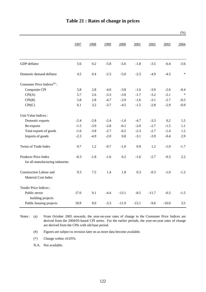|                                                          |        |        |        |         |         |         |         | (% )   |
|----------------------------------------------------------|--------|--------|--------|---------|---------|---------|---------|--------|
|                                                          | 1997   | 1998   | 1999   | 2000    | 2001    | 2002    | 2003    | 2004   |
| GDP deflator                                             | 5.6    | 0.2    | $-5.8$ | $-5.6$  | $-1.8$  | $-3.5$  | $-6.4$  | $-3.6$ |
| Domestic demand deflator                                 | 4.5    | 0.4    | $-2.3$ | $-5.0$  | $-2.3$  | $-4.9$  | $-4.5$  | $\ast$ |
| Consumer Price Indices $(a)$ :                           |        |        |        |         |         |         |         |        |
| Composite CPI                                            | 5.8    | 2.8    | $-4.0$ | $-3.8$  | $-1.6$  | $-3.0$  | $-2.6$  | $-0.4$ |
| CPI(A)                                                   | 5.7    | 2.6    | $-3.3$ | $-3.0$  | $-1.7$  | $-3.2$  | $-2.1$  | $\ast$ |
| CPI(B)                                                   | 5.8    | 2.8    | $-4.7$ | $-3.9$  | $-1.6$  | $-3.1$  | $-2.7$  | $-0.5$ |
| CPI(C)                                                   | 6.1    | 3.2    | $-3.7$ | $-4.5$  | $-1.5$  | $-2.8$  | $-2.9$  | $-0.9$ |
| Unit Value Indices :                                     |        |        |        |         |         |         |         |        |
| Domestic exports                                         | $-2.4$ | $-2.8$ | $-2.4$ | $-1.0$  | $-4.7$  | $-3.3$  | 0.2     | 1.5    |
| Re-exports                                               | $-1.5$ | $-3.9$ | $-2.8$ | $-0.1$  | $-2.0$  | $-2.7$  | $-1.5$  | 1.1    |
| Total exports of goods                                   | $-1.6$ | $-3.8$ | $-2.7$ | $-0.2$  | $-2.3$  | $-2.7$  | $-1.4$  | 1.2    |
| Imports of goods                                         | $-2.3$ | $-4.9$ | $-2.0$ | 0.8     | $-3.1$  | $-3.9$  | $-0.4$  | 2.9    |
| Terms of Trade Index                                     | 0.7    | 1.2    | $-0.7$ | $-1.0$  | 0.9     | 1.2     | $-1.0$  | $-1.7$ |
| Producer Price Index<br>for all manufacturing industries | $-0.3$ | $-1.8$ | $-1.6$ | 0.2     | $-1.6$  | $-2.7$  | $-0.3$  | 2.2    |
| <b>Construction Labour and</b><br>Material Cost Index    | 9.3    | 7.5    | 1.4    | 1.8     | 0.3     | $-0.3$  | $-1.0$  | $-1.2$ |
| Tender Price Indices:                                    |        |        |        |         |         |         |         |        |
| Public sector<br>building projects                       | 17.6   | 9.1    | $-4.4$ | $-13.1$ | $-8.5$  | $-11.7$ | $-0.3$  | $-1.5$ |
| Public housing projects                                  | 18.9   | 9.0    | $-3.3$ | $-11.9$ | $-15.1$ | $-9.6$  | $-10.0$ | 3.5    |

Notes : (a) From October 2005 onwards, the year-on-year rates of change in the Consumer Price Indices are derived from the 2004/05-based CPI series. For the earlier periods, the year-on-year rates of change are derived from the CPIs with old base period.

(#) Figures are subject to revision later on as more data become available.

(\*) Change within  $\pm 0.05\%$ .

N.A. Not available.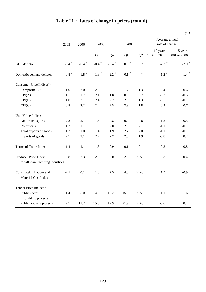|                                                          |               |               |                |               |               |        |                                   | (% )                    |
|----------------------------------------------------------|---------------|---------------|----------------|---------------|---------------|--------|-----------------------------------|-------------------------|
|                                                          | 2005          | 2006          | 2006           |               | 2007          |        | Average annual<br>rate of change: |                         |
|                                                          |               |               | Q <sub>3</sub> | Q4            | Q1            | Q2     | 10 years<br>1996 to 2006          | 5 years<br>2001 to 2006 |
| GDP deflator                                             | -0.4 $^\#$    | -0.4 $^\#$    | -0.4 $^\#$     | -0.4 $^\#$    | $0.9$ $^{\#}$ | 0.7    | $-2.2$ <sup>#</sup>               | $-2.9$ <sup>#</sup>     |
| Domestic demand deflator                                 | $0.8$ $^{\#}$ | $1.8$ $^{\#}$ | $1.8$ $^{\#}$  | $2.2$ $^{\#}$ | -0.1 $^\#$    | $\ast$ | -1.2 $^\#$                        | -1.4 $^\#$              |
| Consumer Price Indices <sup>(a)</sup> :                  |               |               |                |               |               |        |                                   |                         |
| Composite CPI                                            | 1.0           | 2.0           | 2.3            | 2.1           | 1.7           | 1.3    | $-0.4$                            | $-0.6$                  |
| CPI(A)                                                   | 1.1           | 1.7           | 2.1            | 1.8           | 0.3           | 0.7    | $-0.2$                            | $-0.5$                  |
| CPI(B)                                                   | 1.0           | 2.1           | 2.4            | 2.2           | 2.0           | 1.3    | $-0.5$                            | $-0.7$                  |
| CPI(C)                                                   | 0.8           | 2.2           | 2.4            | 2.5           | 2.9           | 1.8    | $-0.4$                            | $-0.7$                  |
| Unit Value Indices :                                     |               |               |                |               |               |        |                                   |                         |
| Domestic exports                                         | 2.2           | $-2.1$        | $-1.3$         | $-0.8$        | 0.4           | 0.6    | $-1.5$                            | $-0.3$                  |
| Re-exports                                               | 1.2           | 1.1           | 1.5            | 2.0           | 2.8           | 2.1    | $-1.1$                            | $-0.1$                  |
| Total exports of goods                                   | 1.3           | 1.0           | 1.4            | 1.9           | 2.7           | 2.0    | $-1.1$                            | $-0.1$                  |
| Imports of goods                                         | 2.7           | 2.1           | 2.7            | 2.7           | 2.6           | 1.9    | $-0.8$                            | 0.7                     |
| Terms of Trade Index                                     | $-1.4$        | $-1.1$        | $-1.3$         | $-0.9$        | 0.1           | 0.1    | $-0.3$                            | $-0.8$                  |
| Producer Price Index<br>for all manufacturing industries | 0.8           | 2.3           | 2.6            | 2.0           | 2.5           | N.A.   | $-0.3$                            | 0.4                     |
| Construction Labour and<br>Material Cost Index           | $-2.1$        | 0.1           | 1.3            | 2.5           | 4.0           | N.A.   | 1.5                               | $-0.9$                  |
| Tender Price Indices:                                    |               |               |                |               |               |        |                                   |                         |
| Public sector<br>building projects                       | 1.4           | 5.0           | 4.6            | 13.2          | 15.0          | N.A.   | $-1.1$                            | $-1.6$                  |
| Public housing projects                                  | 7.7           | 11.2          | 15.8           | 17.9          | 21.9          | N.A.   | $-0.6$                            | 0.2                     |

**Table 21 : Rates of change in prices (cont'd)**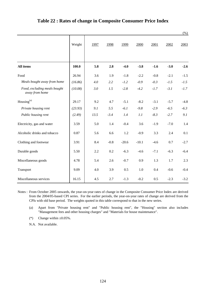|                                                |         |      |        |         |         |        |        | $(\%)$ |
|------------------------------------------------|---------|------|--------|---------|---------|--------|--------|--------|
|                                                | Weight  | 1997 | 1998   | 1999    | 2000    | 2001   | 2002   | 2003   |
| All items                                      | 100.0   | 5.8  | 2.8    | $-4.0$  | $-3.8$  | $-1.6$ | $-3.0$ | $-2.6$ |
| Food                                           | 26.94   | 3.6  | 1.9    | $-1.8$  | $-2.2$  | $-0.8$ | $-2.1$ | $-1.5$ |
| Meals bought away from home                    | (16.86) | 4.0  | 2.2    | $-1.2$  | $-0.9$  | $-0.3$ | $-1.5$ | $-1.5$ |
| Food, excluding meals bought<br>away from home | (10.08) | 3.0  | 1.5    | $-2.8$  | $-4.2$  | $-1.7$ | $-3.1$ | $-1.7$ |
| Housing <sup>(a)</sup>                         | 29.17   | 9.2  | 4.7    | $-5.1$  | $-8.2$  | $-3.1$ | $-5.7$ | $-4.8$ |
| Private housing rent                           | (23.93) | 9.1  | 5.5    | $-6.1$  | $-9.8$  | $-2.9$ | $-6.5$ | $-6.3$ |
| Public housing rent                            | (2.49)  | 13.5 | $-3.4$ | 1.4     | 1.1     | $-8.3$ | $-2.7$ | 9.1    |
| Electricity, gas and water                     | 3.59    | 5.0  | 1.4    | $-0.4$  | 3.6     | $-1.9$ | $-7.0$ | 1.4    |
| Alcoholic drinks and tobacco                   | 0.87    | 5.6  | 6.6    | 1.2     | $-0.9$  | 3.3    | 2.4    | 0.1    |
| Clothing and footwear                          | 3.91    | 8.4  | $-0.8$ | $-20.6$ | $-10.1$ | $-4.6$ | 0.7    | $-2.7$ |
| Durable goods                                  | 5.50    | 2.2  | 0.2    | $-6.3$  | $-4.6$  | $-7.1$ | $-6.3$ | $-6.4$ |
| Miscellaneous goods                            | 4.78    | 5.4  | 2.6    | $-0.7$  | 0.9     | 1.3    | 1.7    | 2.3    |
| Transport                                      | 9.09    | 4.0  | 3.9    | 0.5     | 1.0     | 0.4    | $-0.6$ | $-0.4$ |
| Miscellaneous services                         | 16.15   | 4.5  | 2.7    | $-1.3$  | $-0.2$  | 0.5    | $-2.3$ | $-3.2$ |

### **Table 22 : Rates of change in Composite Consumer Price Index**

Notes : From October 2005 onwards, the year-on-year rates of change in the Composite Consumer Price Index are derived from the 2004/05-based CPI series. For the earlier periods, the year-on-year rates of change are derived from the CPIs with old base period. The weights quoted in this table correspond to that in the new series.

(a) Apart from "Private housing rent" and "Public housing rent", the "Housing" section also includes "Management fees and other housing charges" and "Materials for house maintenance".

(\*) Change within  $\pm 0.05\%$ .

N.A. Not available.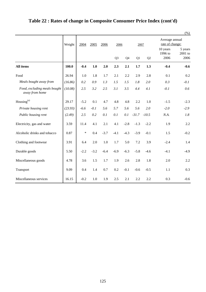|                                                |         |        |        |        |                |        |         |         |                                   | $(\%)$                       |
|------------------------------------------------|---------|--------|--------|--------|----------------|--------|---------|---------|-----------------------------------|------------------------------|
|                                                | Weight  | 2004   | 2005   | 2006   | 2006           |        | 2007    |         | Average annual<br>rate of change: |                              |
|                                                |         |        |        |        | Q <sub>3</sub> | Q4     | Q1      | Q2      | 10 years<br>1996 to<br>2006       | 5 years<br>$2001$ to<br>2006 |
| <b>All items</b>                               | 100.0   | $-0.4$ | 1.0    | 2.0    | 2.3            | 2.1    | 1.7     | 1.3     | $-0.4$                            | $-0.6$                       |
| Food                                           | 26.94   | 1.0    | 1.8    | 1.7    | 2.1            | 2.2    | 2.9     | 2.8     | 0.1                               | 0.2                          |
| Meals bought away from                         | (16.86) | 0.2    | 0.9    | 1.3    | 1.5            | 1.5    | 1.8     | 2.0     | 0.3                               | $-0.1$                       |
| Food, excluding meals bought<br>away from home | (10.08) | 2.5    | 3.2    | 2.5    | 3.1            | 3.5    | 4.4     | 4.1     | $-0.1$                            | 0.6                          |
| Housing <sup>(a)</sup>                         | 29.17   | $-5.2$ | 0.1    | 4.7    | 4.8            | 4.8    | 2.2     | 1.0     | $-1.5$                            | $-2.3$                       |
| Private housing rent                           | (23.93) | $-6.6$ | $-0.1$ | 5.6    | 5.7            | 5.6    | 5.6     | 2.0     | $-2.0$                            | $-2.9$                       |
| Public housing rent                            | (2.49)  | 2.5    | 0.2    | 0.1    | 0.1            | 0.1    | $-31.7$ | $-10.5$ | N.A.                              | 1.8                          |
| Electricity, gas and water                     | 3.59    | 11.4   | 4.1    | 2.1    | 4.1            | $-2.8$ | $-1.3$  | $-2.2$  | 1.9                               | 2.2                          |
| Alcoholic drinks and tobacco                   | 0.87    | $\ast$ | 0.4    | $-3.7$ | $-4.1$         | $-4.3$ | $-3.9$  | $-0.1$  | 1.5                               | $-0.2$                       |
| Clothing and footwear                          | 3.91    | 6.4    | 2.0    | 1.0    | 1.7            | 5.0    | 7.2     | 3.9     | $-2.4$                            | 1.4                          |
| Durable goods                                  | 5.50    | $-2.2$ | $-3.2$ | $-6.4$ | $-6.9$         | $-6.3$ | $-5.8$  | $-4.6$  | $-4.1$                            | $-4.9$                       |
| Miscellaneous goods                            | 4.78    | 3.6    | 1.5    | 1.7    | 1.9            | 2.6    | 2.8     | 1.8     | 2.0                               | 2.2                          |
| Transport                                      | 9.09    | 0.4    | 1.4    | 0.7    | 0.2            | $-0.1$ | $-0.6$  | $-0.5$  | 1.1                               | 0.3                          |
| Miscellaneous services                         | 16.15   | $-0.2$ | 1.0    | 1.9    | 2.5            | 2.1    | 2.2     | 2.2     | 0.3                               | $-0.6$                       |

# **Table 22 : Rates of change in Composite Consumer Price Index (cont'd)**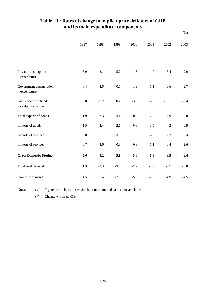|                                           |        |        |        |        |         |         | $(\%)$ |
|-------------------------------------------|--------|--------|--------|--------|---------|---------|--------|
|                                           | 1997   | 1998   | 1999   | 2000   | 2001    | 2002    | 2003   |
| Private consumption<br>expenditure        | 3.9    | 2.1    | $-5.2$ | $-4.5$ | $-1.0$  | $-3.4$  | $-2.9$ |
| Government consumption<br>expenditure     | 6.4    | 2.6    | $-0.1$ | $-1.9$ | $1.1\,$ | $-0.6$  | $-2.7$ |
| Gross domestic fixed<br>capital formation | 6.0    | $-7.2$ | 0.4    | $-3.8$ | $-6.6$  | $-10.1$ | $-9.4$ |
| Total exports of goods                    | $-1.9$ | $-3.3$ | $-3.4$ | $-0.5$ | $-2.6$  | $-2.9$  | $-2.0$ |
| Imports of goods                          | $-1.9$ | $-4.4$ | $-2.6$ | 0.8    | $-3.5$  | $-4.2$  | $-0.9$ |
| Exports of services                       | 0.8    | $-5.1$ | $-3.1$ | 1.6    | $-4.3$  | $-2.2$  | $-3.4$ |
| Imports of services                       | 0.7    | $-3.6$ | $-0.3$ | $-0.3$ | $-1.1$  | 0.4     | 2.6    |
| <b>Gross Domestic Product</b>             | 5.6    | 0.2    | $-5.8$ | $-5.6$ | $-1.8$  | $-3.5$  | $-6.4$ |
| Total final demand                        | 1.3    | $-2.3$ | $-3.7$ | $-2.7$ | $-2.6$  | $-3.7$  | $-3.0$ |
| Domestic demand                           | 4.5    | 0.4    | $-2.3$ | $-5.0$ | $-2.3$  | $-4.9$  | $-4.5$ |

# **and its main expenditure components Table 23 : Rates of change in implicit price deflators of GDP**

Notes :  $(#)$ Figures are subject to revision later on as more data become available.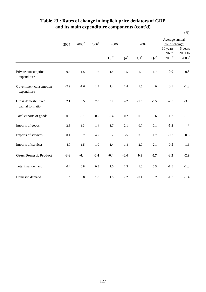|                                           |        |                     |                     |           |                 |                    |           |                              | $(\%)$                                        |  |
|-------------------------------------------|--------|---------------------|---------------------|-----------|-----------------|--------------------|-----------|------------------------------|-----------------------------------------------|--|
|                                           | 2004   | $2005$ <sup>#</sup> | $2006$ <sup>#</sup> |           | 2006            |                    | 2007      |                              | Average annual<br>rate of change:<br>10 years |  |
|                                           |        |                     |                     |           |                 |                    |           |                              | 5 years<br>$2001$ to                          |  |
|                                           |        |                     |                     | $Q3^{\#}$ | ${\bf Q4}^{\#}$ | $\mathrm{Q1}^{\#}$ | $Q2^{\#}$ | 1996 to<br>$2006^{\text{*}}$ | $2006^{\rm \#}$                               |  |
| Private consumption<br>expenditure        | $-0.5$ | 1.5                 | 1.6                 | 1.4       | 1.5             | 1.9                | 1.7       | $-0.9$                       | $-0.8$                                        |  |
| Government consumption<br>expenditure     | $-2.9$ | $-1.6$              | 1.4                 | 1.4       | 1.4             | 1.6                | 4.0       | 0.1                          | $-1.3$                                        |  |
| Gross domestic fixed<br>capital formation | 2.1    | 0.5                 | 2.8                 | 5.7       | 4.2             | $-5.5$             | $-6.5$    | $-2.7$                       | $-3.0$                                        |  |
| Total exports of goods                    | 0.5    | $-0.1$              | $-0.5$              | $-0.4$    | 0.2             | 0.9                | 0.6       | $-1.7$                       | $-1.0$                                        |  |
| Imports of goods                          | 2.5    | 1.3                 | 1.4                 | 1.7       | 2.1             | 0.7                | 0.1       | $-1.2$                       | $\ast$                                        |  |
| Exports of services                       | 0.4    | 3.7                 | 4.7                 | 5.2       | 3.5             | 3.3                | 1.7       | $-0.7$                       | 0.6                                           |  |
| Imports of services                       | 4.0    | 1.5                 | $1.0\,$             | 1.4       | 1.8             | 2.0                | 2.1       | 0.5                          | 1.9                                           |  |
| <b>Gross Domestic Product</b>             | $-3.6$ | $-0.4$              | $-0.4$              | $-0.4$    | $-0.4$          | 0.9                | 0.7       | $-2.2$                       | $-2.9$                                        |  |
| Total final demand                        | 0.4    | 0.8                 | $0.8\,$             | 1.0       | 1.3             | $1.0\,$            | 0.5       | $-1.5$                       | $-1.0$                                        |  |
| Domestic demand                           | $\ast$ | 0.8                 | 1.8                 | 1.8       | 2.2             | $-0.1$             | $\ast$    | $-1.2$                       | $-1.4$                                        |  |

# **Table 23 : Rates of change in implicit price deflators of GDP and its main expenditure components (cont'd)**